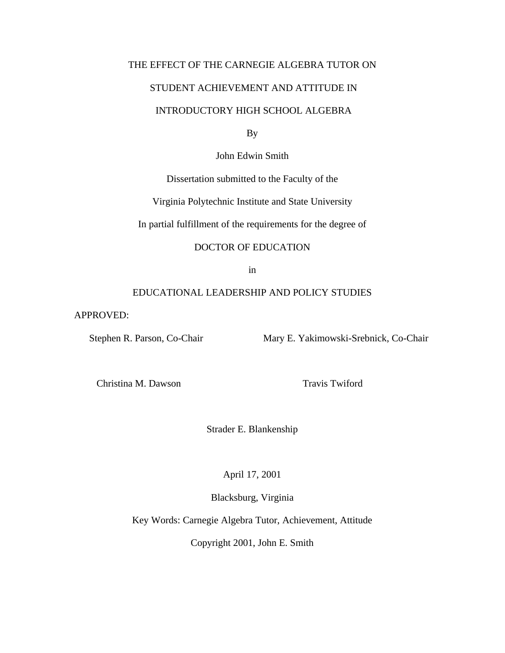# THE EFFECT OF THE CARNEGIE ALGEBRA TUTOR ON

# STUDENT ACHIEVEMENT AND ATTITUDE IN

# INTRODUCTORY HIGH SCHOOL ALGEBRA

By

John Edwin Smith

Dissertation submitted to the Faculty of the

Virginia Polytechnic Institute and State University

In partial fulfillment of the requirements for the degree of

## DOCTOR OF EDUCATION

in

## EDUCATIONAL LEADERSHIP AND POLICY STUDIES

APPROVED:

Stephen R. Parson, Co-Chair Mary E. Yakimowski-Srebnick, Co-Chair

Christina M. Dawson Travis Twiford

Strader E. Blankenship

April 17, 2001

Blacksburg, Virginia

Key Words: Carnegie Algebra Tutor, Achievement, Attitude

Copyright 2001, John E. Smith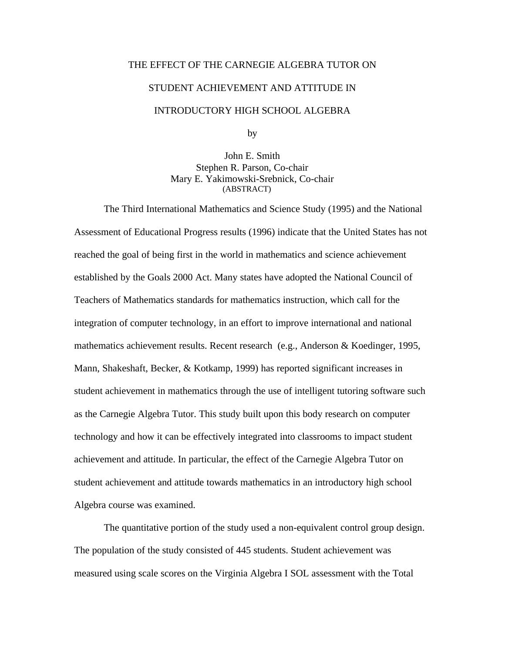# THE EFFECT OF THE CARNEGIE ALGEBRA TUTOR ON

#### STUDENT ACHIEVEMENT AND ATTITUDE IN

# INTRODUCTORY HIGH SCHOOL ALGEBRA

by

John E. Smith Stephen R. Parson, Co-chair Mary E. Yakimowski-Srebnick, Co-chair (ABSTRACT)

The Third International Mathematics and Science Study (1995) and the National Assessment of Educational Progress results (1996) indicate that the United States has not reached the goal of being first in the world in mathematics and science achievement established by the Goals 2000 Act. Many states have adopted the National Council of Teachers of Mathematics standards for mathematics instruction, which call for the integration of computer technology, in an effort to improve international and national mathematics achievement results. Recent research (e.g., Anderson & Koedinger, 1995, Mann, Shakeshaft, Becker, & Kotkamp, 1999) has reported significant increases in student achievement in mathematics through the use of intelligent tutoring software such as the Carnegie Algebra Tutor. This study built upon this body research on computer technology and how it can be effectively integrated into classrooms to impact student achievement and attitude. In particular, the effect of the Carnegie Algebra Tutor on student achievement and attitude towards mathematics in an introductory high school Algebra course was examined.

The quantitative portion of the study used a non-equivalent control group design. The population of the study consisted of 445 students. Student achievement was measured using scale scores on the Virginia Algebra I SOL assessment with the Total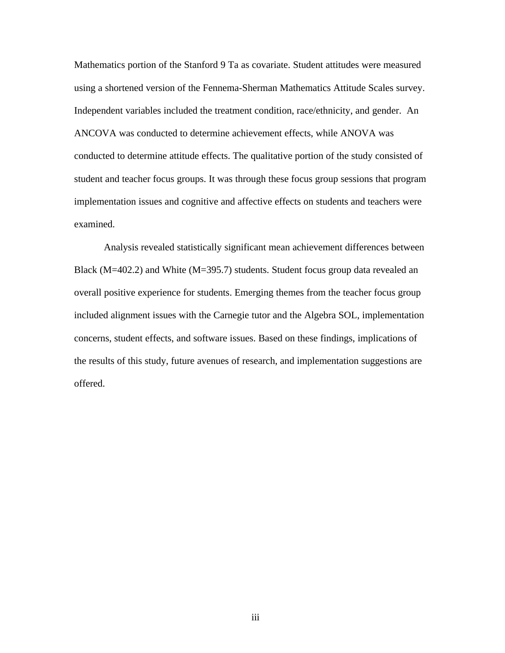Mathematics portion of the Stanford 9 Ta as covariate. Student attitudes were measured using a shortened version of the Fennema-Sherman Mathematics Attitude Scales survey. Independent variables included the treatment condition, race/ethnicity, and gender. An ANCOVA was conducted to determine achievement effects, while ANOVA was conducted to determine attitude effects. The qualitative portion of the study consisted of student and teacher focus groups. It was through these focus group sessions that program implementation issues and cognitive and affective effects on students and teachers were examined.

Analysis revealed statistically significant mean achievement differences between Black ( $M=402.2$ ) and White ( $M=395.7$ ) students. Student focus group data revealed an overall positive experience for students. Emerging themes from the teacher focus group included alignment issues with the Carnegie tutor and the Algebra SOL, implementation concerns, student effects, and software issues. Based on these findings, implications of the results of this study, future avenues of research, and implementation suggestions are offered.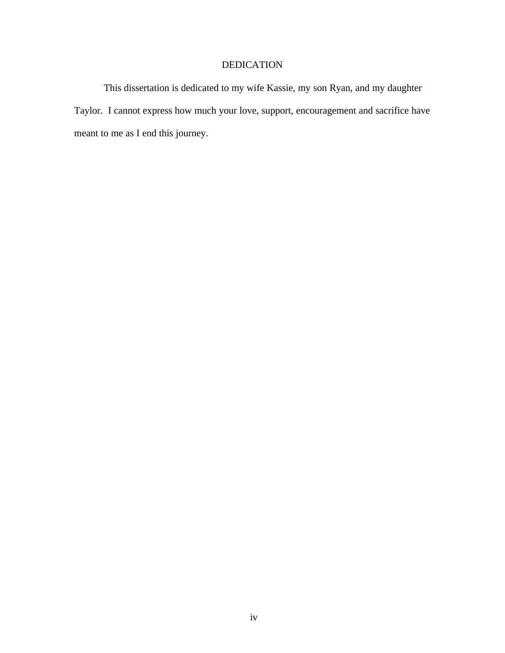# DEDICATION

This dissertation is dedicated to my wife Kassie, my son Ryan, and my daughter Taylor. I cannot express how much your love, support, encouragement and sacrifice have meant to me as I end this journey.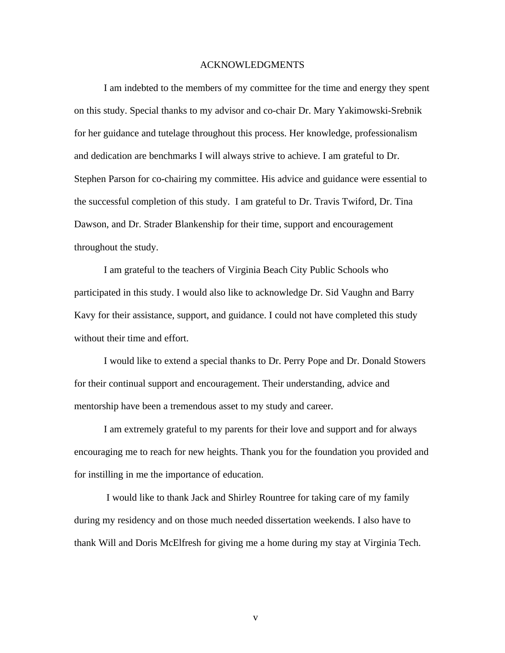#### ACKNOWLEDGMENTS

I am indebted to the members of my committee for the time and energy they spent on this study. Special thanks to my advisor and co-chair Dr. Mary Yakimowski-Srebnik for her guidance and tutelage throughout this process. Her knowledge, professionalism and dedication are benchmarks I will always strive to achieve. I am grateful to Dr. Stephen Parson for co-chairing my committee. His advice and guidance were essential to the successful completion of this study. I am grateful to Dr. Travis Twiford, Dr. Tina Dawson, and Dr. Strader Blankenship for their time, support and encouragement throughout the study.

I am grateful to the teachers of Virginia Beach City Public Schools who participated in this study. I would also like to acknowledge Dr. Sid Vaughn and Barry Kavy for their assistance, support, and guidance. I could not have completed this study without their time and effort.

I would like to extend a special thanks to Dr. Perry Pope and Dr. Donald Stowers for their continual support and encouragement. Their understanding, advice and mentorship have been a tremendous asset to my study and career.

I am extremely grateful to my parents for their love and support and for always encouraging me to reach for new heights. Thank you for the foundation you provided and for instilling in me the importance of education.

 I would like to thank Jack and Shirley Rountree for taking care of my family during my residency and on those much needed dissertation weekends. I also have to thank Will and Doris McElfresh for giving me a home during my stay at Virginia Tech.

v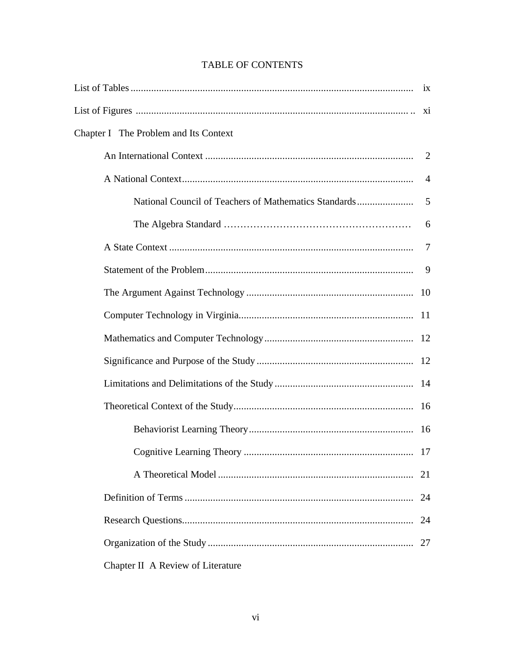| Chapter I The Problem and Its Context                 |                |  |  |
|-------------------------------------------------------|----------------|--|--|
|                                                       | 2              |  |  |
|                                                       | $\overline{4}$ |  |  |
| National Council of Teachers of Mathematics Standards | 5              |  |  |
|                                                       | 6              |  |  |
|                                                       | 7              |  |  |
|                                                       | 9              |  |  |
|                                                       |                |  |  |
|                                                       |                |  |  |
|                                                       |                |  |  |
|                                                       |                |  |  |
|                                                       |                |  |  |
|                                                       |                |  |  |
|                                                       |                |  |  |
|                                                       |                |  |  |
|                                                       | 21             |  |  |
|                                                       | 24             |  |  |
|                                                       | 24             |  |  |
|                                                       | 27             |  |  |
| Chapter II A Review of Literature                     |                |  |  |

# **TABLE OF CONTENTS**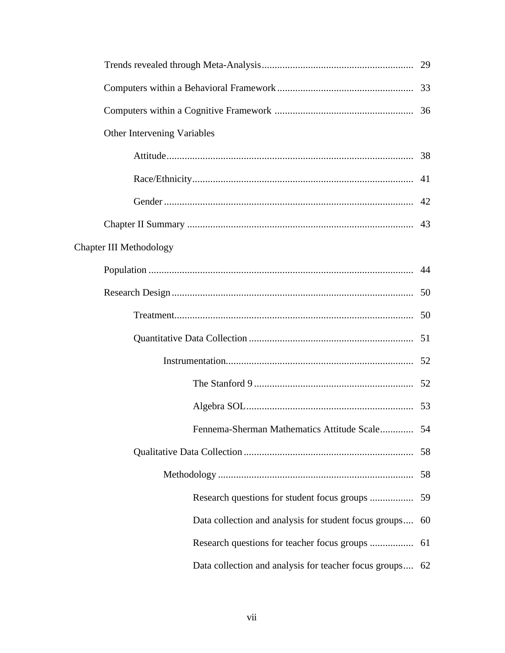| Other Intervening Variables                           |    |  |
|-------------------------------------------------------|----|--|
|                                                       |    |  |
|                                                       |    |  |
|                                                       |    |  |
|                                                       |    |  |
| <b>Chapter III Methodology</b>                        |    |  |
|                                                       |    |  |
|                                                       |    |  |
|                                                       |    |  |
|                                                       |    |  |
|                                                       |    |  |
|                                                       |    |  |
|                                                       |    |  |
| Fennema-Sherman Mathematics Attitude Scale 54         |    |  |
|                                                       | 58 |  |
|                                                       | 58 |  |
| Research questions for student focus groups           | 59 |  |
| Data collection and analysis for student focus groups | 60 |  |
| Research questions for teacher focus groups           | 61 |  |
| Data collection and analysis for teacher focus groups | 62 |  |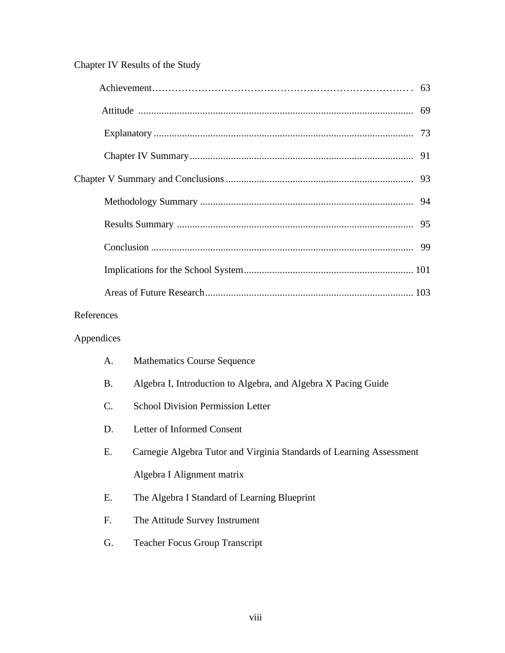# Chapter IV Results of the Study

| References |  |
|------------|--|

# Appendices

| A. | <b>Mathematics Course Sequence</b>                                   |
|----|----------------------------------------------------------------------|
| B. | Algebra I, Introduction to Algebra, and Algebra X Pacing Guide       |
| C. | <b>School Division Permission Letter</b>                             |
| D. | Letter of Informed Consent                                           |
| E. | Carnegie Algebra Tutor and Virginia Standards of Learning Assessment |
|    | Algebra I Alignment matrix                                           |
| Е. | The Algebra I Standard of Learning Blueprint                         |
| F. | The Attitude Survey Instrument                                       |
| G. | <b>Teacher Focus Group Transcript</b>                                |
|    |                                                                      |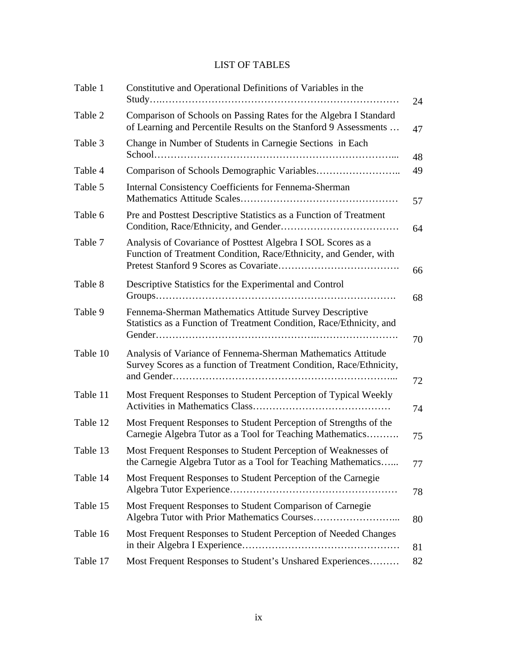# LIST OF TABLES

| Table 1  | Constitutive and Operational Definitions of Variables in the<br>24                                                                    |          |  |  |
|----------|---------------------------------------------------------------------------------------------------------------------------------------|----------|--|--|
| Table 2  | Comparison of Schools on Passing Rates for the Algebra I Standard<br>of Learning and Percentile Results on the Stanford 9 Assessments |          |  |  |
| Table 3  | Change in Number of Students in Carnegie Sections in Each                                                                             |          |  |  |
| Table 4  |                                                                                                                                       | 49       |  |  |
| Table 5  | <b>Internal Consistency Coefficients for Fennema-Sherman</b>                                                                          |          |  |  |
| Table 6  | Pre and Posttest Descriptive Statistics as a Function of Treatment                                                                    |          |  |  |
| Table 7  | Analysis of Covariance of Posttest Algebra I SOL Scores as a<br>Function of Treatment Condition, Race/Ethnicity, and Gender, with     |          |  |  |
| Table 8  | Descriptive Statistics for the Experimental and Control                                                                               | 66<br>68 |  |  |
| Table 9  | Fennema-Sherman Mathematics Attitude Survey Descriptive<br>Statistics as a Function of Treatment Condition, Race/Ethnicity, and       | 70       |  |  |
| Table 10 | Analysis of Variance of Fennema-Sherman Mathematics Attitude<br>Survey Scores as a function of Treatment Condition, Race/Ethnicity,   | 72       |  |  |
| Table 11 | Most Frequent Responses to Student Perception of Typical Weekly                                                                       | 74       |  |  |
| Table 12 | Most Frequent Responses to Student Perception of Strengths of the<br>Carnegie Algebra Tutor as a Tool for Teaching Mathematics        | 75       |  |  |
| Table 13 | Most Frequent Responses to Student Perception of Weaknesses of<br>the Carnegie Algebra Tutor as a Tool for Teaching Mathematics       |          |  |  |
| Table 14 | Most Frequent Responses to Student Perception of the Carnegie                                                                         | 78       |  |  |
| Table 15 | Most Frequent Responses to Student Comparison of Carnegie                                                                             | 80       |  |  |
| Table 16 | Most Frequent Responses to Student Perception of Needed Changes                                                                       | 81       |  |  |
| Table 17 | Most Frequent Responses to Student's Unshared Experiences                                                                             | 82       |  |  |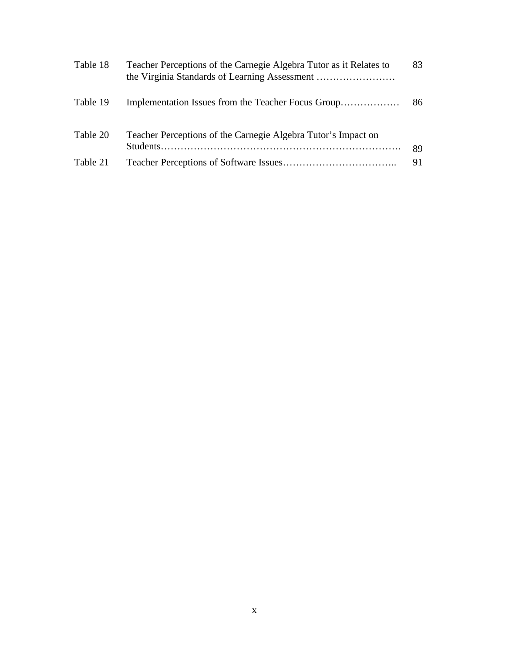| Table 18 | Teacher Perceptions of the Carnegie Algebra Tutor as it Relates to<br>the Virginia Standards of Learning Assessment | 83 |
|----------|---------------------------------------------------------------------------------------------------------------------|----|
| Table 19 |                                                                                                                     | 86 |
| Table 20 | Teacher Perceptions of the Carnegie Algebra Tutor's Impact on                                                       | 89 |
| Table 21 |                                                                                                                     | 91 |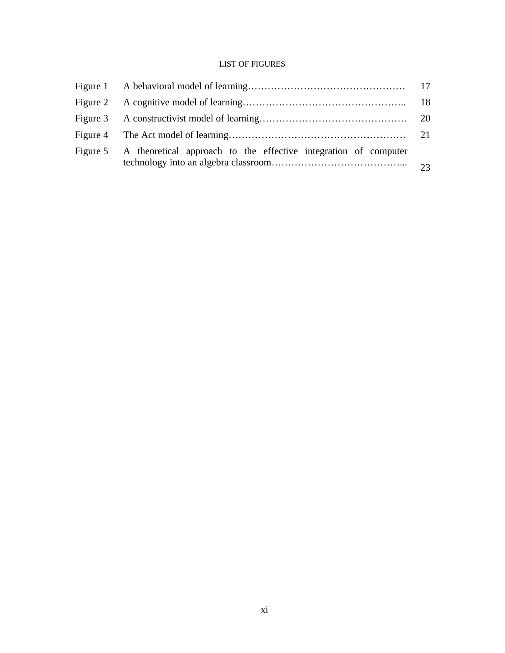## LIST OF FIGURES

| Figure 5 A theoretical approach to the effective integration of computer |  |
|--------------------------------------------------------------------------|--|
|                                                                          |  |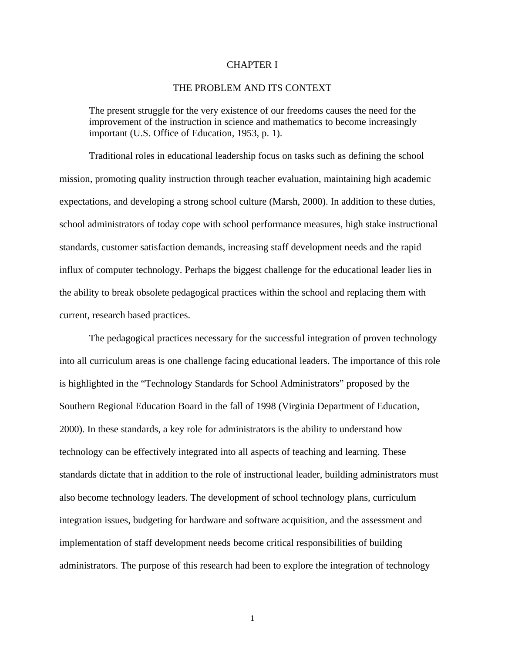#### CHAPTER I

#### THE PROBLEM AND ITS CONTEXT

The present struggle for the very existence of our freedoms causes the need for the improvement of the instruction in science and mathematics to become increasingly important (U.S. Office of Education, 1953, p. 1).

Traditional roles in educational leadership focus on tasks such as defining the school mission, promoting quality instruction through teacher evaluation, maintaining high academic expectations, and developing a strong school culture (Marsh, 2000). In addition to these duties, school administrators of today cope with school performance measures, high stake instructional standards, customer satisfaction demands, increasing staff development needs and the rapid influx of computer technology. Perhaps the biggest challenge for the educational leader lies in the ability to break obsolete pedagogical practices within the school and replacing them with current, research based practices.

The pedagogical practices necessary for the successful integration of proven technology into all curriculum areas is one challenge facing educational leaders. The importance of this role is highlighted in the "Technology Standards for School Administrators" proposed by the Southern Regional Education Board in the fall of 1998 (Virginia Department of Education, 2000). In these standards, a key role for administrators is the ability to understand how technology can be effectively integrated into all aspects of teaching and learning. These standards dictate that in addition to the role of instructional leader, building administrators must also become technology leaders. The development of school technology plans, curriculum integration issues, budgeting for hardware and software acquisition, and the assessment and implementation of staff development needs become critical responsibilities of building administrators. The purpose of this research had been to explore the integration of technology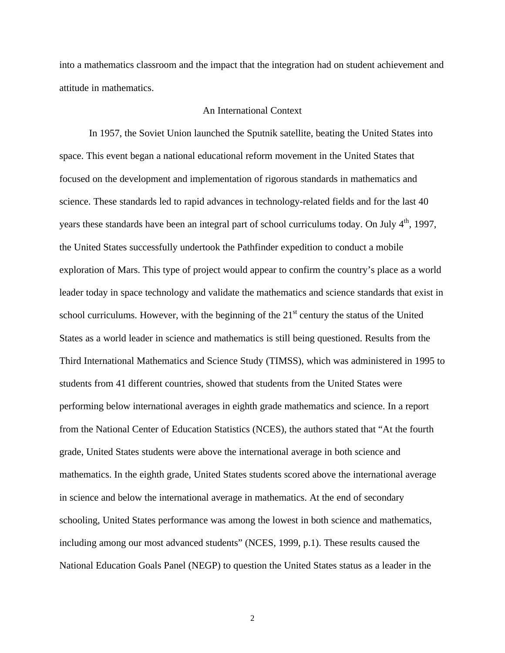into a mathematics classroom and the impact that the integration had on student achievement and attitude in mathematics.

#### An International Context

In 1957, the Soviet Union launched the Sputnik satellite, beating the United States into space. This event began a national educational reform movement in the United States that focused on the development and implementation of rigorous standards in mathematics and science. These standards led to rapid advances in technology-related fields and for the last 40 years these standards have been an integral part of school curriculums today. On July 4<sup>th</sup>, 1997, the United States successfully undertook the Pathfinder expedition to conduct a mobile exploration of Mars. This type of project would appear to confirm the country's place as a world leader today in space technology and validate the mathematics and science standards that exist in school curriculums. However, with the beginning of the  $21<sup>st</sup>$  century the status of the United States as a world leader in science and mathematics is still being questioned. Results from the Third International Mathematics and Science Study (TIMSS), which was administered in 1995 to students from 41 different countries, showed that students from the United States were performing below international averages in eighth grade mathematics and science. In a report from the National Center of Education Statistics (NCES), the authors stated that "At the fourth grade, United States students were above the international average in both science and mathematics. In the eighth grade, United States students scored above the international average in science and below the international average in mathematics. At the end of secondary schooling, United States performance was among the lowest in both science and mathematics, including among our most advanced students" (NCES, 1999, p.1). These results caused the National Education Goals Panel (NEGP) to question the United States status as a leader in the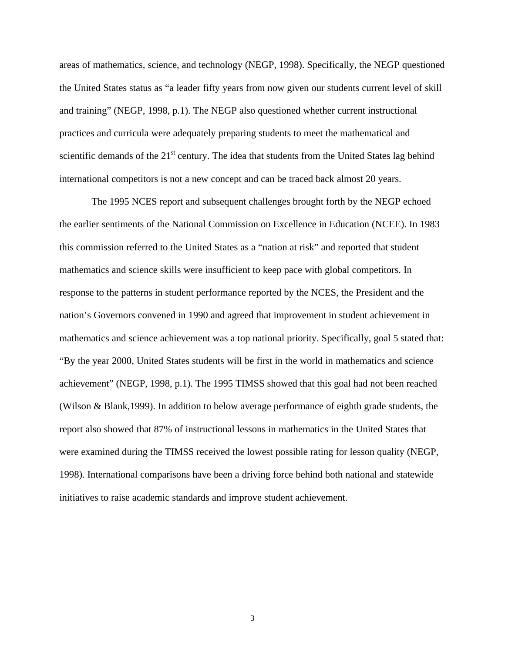areas of mathematics, science, and technology (NEGP, 1998). Specifically, the NEGP questioned the United States status as "a leader fifty years from now given our students current level of skill and training" (NEGP, 1998, p.1). The NEGP also questioned whether current instructional practices and curricula were adequately preparing students to meet the mathematical and scientific demands of the  $21<sup>st</sup>$  century. The idea that students from the United States lag behind international competitors is not a new concept and can be traced back almost 20 years.

 The 1995 NCES report and subsequent challenges brought forth by the NEGP echoed the earlier sentiments of the National Commission on Excellence in Education (NCEE). In 1983 this commission referred to the United States as a "nation at risk" and reported that student mathematics and science skills were insufficient to keep pace with global competitors. In response to the patterns in student performance reported by the NCES, the President and the nation's Governors convened in 1990 and agreed that improvement in student achievement in mathematics and science achievement was a top national priority. Specifically, goal 5 stated that: "By the year 2000, United States students will be first in the world in mathematics and science achievement" (NEGP, 1998, p.1). The 1995 TIMSS showed that this goal had not been reached (Wilson & Blank,1999). In addition to below average performance of eighth grade students, the report also showed that 87% of instructional lessons in mathematics in the United States that were examined during the TIMSS received the lowest possible rating for lesson quality (NEGP, 1998). International comparisons have been a driving force behind both national and statewide initiatives to raise academic standards and improve student achievement.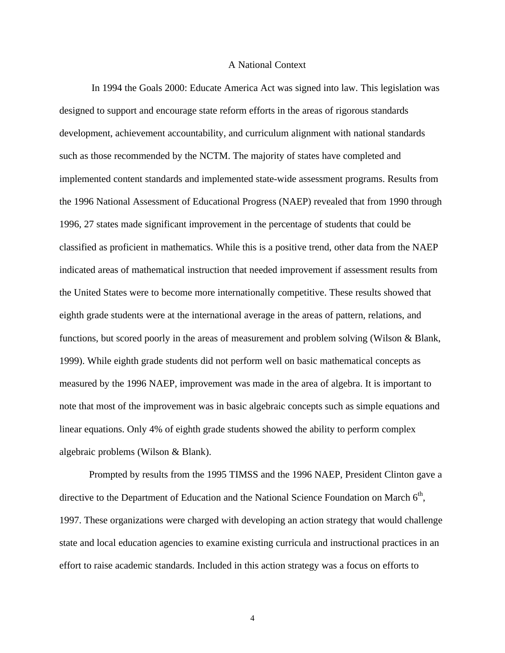#### A National Context

 In 1994 the Goals 2000: Educate America Act was signed into law. This legislation was designed to support and encourage state reform efforts in the areas of rigorous standards development, achievement accountability, and curriculum alignment with national standards such as those recommended by the NCTM. The majority of states have completed and implemented content standards and implemented state-wide assessment programs. Results from the 1996 National Assessment of Educational Progress (NAEP) revealed that from 1990 through 1996, 27 states made significant improvement in the percentage of students that could be classified as proficient in mathematics. While this is a positive trend, other data from the NAEP indicated areas of mathematical instruction that needed improvement if assessment results from the United States were to become more internationally competitive. These results showed that eighth grade students were at the international average in the areas of pattern, relations, and functions, but scored poorly in the areas of measurement and problem solving (Wilson & Blank, 1999). While eighth grade students did not perform well on basic mathematical concepts as measured by the 1996 NAEP, improvement was made in the area of algebra. It is important to note that most of the improvement was in basic algebraic concepts such as simple equations and linear equations. Only 4% of eighth grade students showed the ability to perform complex algebraic problems (Wilson & Blank).

Prompted by results from the 1995 TIMSS and the 1996 NAEP, President Clinton gave a directive to the Department of Education and the National Science Foundation on March  $6<sup>th</sup>$ , 1997. These organizations were charged with developing an action strategy that would challenge state and local education agencies to examine existing curricula and instructional practices in an effort to raise academic standards. Included in this action strategy was a focus on efforts to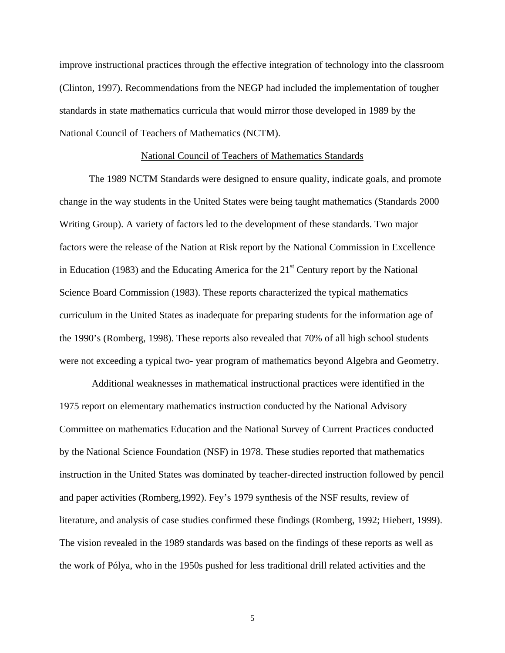improve instructional practices through the effective integration of technology into the classroom (Clinton, 1997). Recommendations from the NEGP had included the implementation of tougher standards in state mathematics curricula that would mirror those developed in 1989 by the National Council of Teachers of Mathematics (NCTM).

#### National Council of Teachers of Mathematics Standards

The 1989 NCTM Standards were designed to ensure quality, indicate goals, and promote change in the way students in the United States were being taught mathematics (Standards 2000 Writing Group). A variety of factors led to the development of these standards. Two major factors were the release of the Nation at Risk report by the National Commission in Excellence in Education (1983) and the Educating America for the  $21<sup>st</sup>$  Century report by the National Science Board Commission (1983). These reports characterized the typical mathematics curriculum in the United States as inadequate for preparing students for the information age of the 1990's (Romberg, 1998). These reports also revealed that 70% of all high school students were not exceeding a typical two- year program of mathematics beyond Algebra and Geometry.

 Additional weaknesses in mathematical instructional practices were identified in the 1975 report on elementary mathematics instruction conducted by the National Advisory Committee on mathematics Education and the National Survey of Current Practices conducted by the National Science Foundation (NSF) in 1978. These studies reported that mathematics instruction in the United States was dominated by teacher-directed instruction followed by pencil and paper activities (Romberg,1992). Fey's 1979 synthesis of the NSF results, review of literature, and analysis of case studies confirmed these findings (Romberg, 1992; Hiebert, 1999). The vision revealed in the 1989 standards was based on the findings of these reports as well as the work of Pólya, who in the 1950s pushed for less traditional drill related activities and the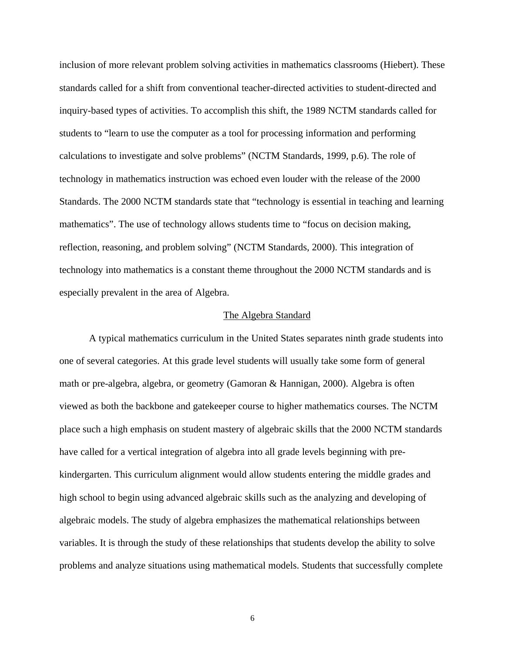inclusion of more relevant problem solving activities in mathematics classrooms (Hiebert). These standards called for a shift from conventional teacher-directed activities to student-directed and inquiry-based types of activities. To accomplish this shift, the 1989 NCTM standards called for students to "learn to use the computer as a tool for processing information and performing calculations to investigate and solve problems" (NCTM Standards, 1999, p.6). The role of technology in mathematics instruction was echoed even louder with the release of the 2000 Standards. The 2000 NCTM standards state that "technology is essential in teaching and learning mathematics". The use of technology allows students time to "focus on decision making, reflection, reasoning, and problem solving" (NCTM Standards, 2000). This integration of technology into mathematics is a constant theme throughout the 2000 NCTM standards and is especially prevalent in the area of Algebra.

#### The Algebra Standard

A typical mathematics curriculum in the United States separates ninth grade students into one of several categories. At this grade level students will usually take some form of general math or pre-algebra, algebra, or geometry (Gamoran & Hannigan, 2000). Algebra is often viewed as both the backbone and gatekeeper course to higher mathematics courses. The NCTM place such a high emphasis on student mastery of algebraic skills that the 2000 NCTM standards have called for a vertical integration of algebra into all grade levels beginning with prekindergarten. This curriculum alignment would allow students entering the middle grades and high school to begin using advanced algebraic skills such as the analyzing and developing of algebraic models. The study of algebra emphasizes the mathematical relationships between variables. It is through the study of these relationships that students develop the ability to solve problems and analyze situations using mathematical models. Students that successfully complete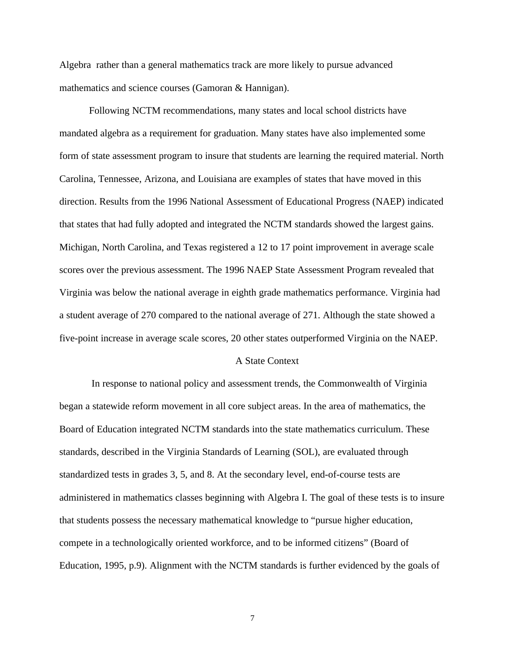Algebra rather than a general mathematics track are more likely to pursue advanced mathematics and science courses (Gamoran & Hannigan).

Following NCTM recommendations, many states and local school districts have mandated algebra as a requirement for graduation. Many states have also implemented some form of state assessment program to insure that students are learning the required material. North Carolina, Tennessee, Arizona, and Louisiana are examples of states that have moved in this direction. Results from the 1996 National Assessment of Educational Progress (NAEP) indicated that states that had fully adopted and integrated the NCTM standards showed the largest gains. Michigan, North Carolina, and Texas registered a 12 to 17 point improvement in average scale scores over the previous assessment. The 1996 NAEP State Assessment Program revealed that Virginia was below the national average in eighth grade mathematics performance. Virginia had a student average of 270 compared to the national average of 271. Although the state showed a five-point increase in average scale scores, 20 other states outperformed Virginia on the NAEP.

#### A State Context

 In response to national policy and assessment trends, the Commonwealth of Virginia began a statewide reform movement in all core subject areas. In the area of mathematics, the Board of Education integrated NCTM standards into the state mathematics curriculum. These standards, described in the Virginia Standards of Learning (SOL), are evaluated through standardized tests in grades 3, 5, and 8. At the secondary level, end-of-course tests are administered in mathematics classes beginning with Algebra I. The goal of these tests is to insure that students possess the necessary mathematical knowledge to "pursue higher education, compete in a technologically oriented workforce, and to be informed citizens" (Board of Education, 1995, p.9). Alignment with the NCTM standards is further evidenced by the goals of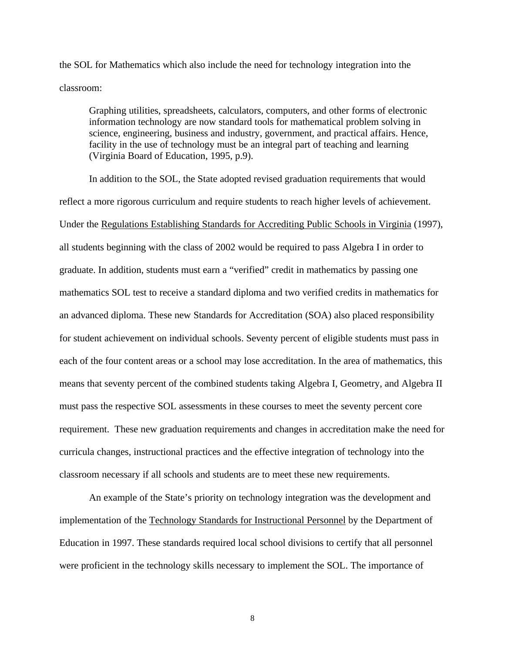the SOL for Mathematics which also include the need for technology integration into the classroom:

Graphing utilities, spreadsheets, calculators, computers, and other forms of electronic information technology are now standard tools for mathematical problem solving in science, engineering, business and industry, government, and practical affairs. Hence, facility in the use of technology must be an integral part of teaching and learning (Virginia Board of Education, 1995, p.9).

In addition to the SOL, the State adopted revised graduation requirements that would reflect a more rigorous curriculum and require students to reach higher levels of achievement. Under the Regulations Establishing Standards for Accrediting Public Schools in Virginia (1997), all students beginning with the class of 2002 would be required to pass Algebra I in order to graduate. In addition, students must earn a "verified" credit in mathematics by passing one mathematics SOL test to receive a standard diploma and two verified credits in mathematics for an advanced diploma. These new Standards for Accreditation (SOA) also placed responsibility for student achievement on individual schools. Seventy percent of eligible students must pass in each of the four content areas or a school may lose accreditation. In the area of mathematics, this means that seventy percent of the combined students taking Algebra I, Geometry, and Algebra II must pass the respective SOL assessments in these courses to meet the seventy percent core requirement. These new graduation requirements and changes in accreditation make the need for curricula changes, instructional practices and the effective integration of technology into the classroom necessary if all schools and students are to meet these new requirements.

An example of the State's priority on technology integration was the development and implementation of the Technology Standards for Instructional Personnel by the Department of Education in 1997. These standards required local school divisions to certify that all personnel were proficient in the technology skills necessary to implement the SOL. The importance of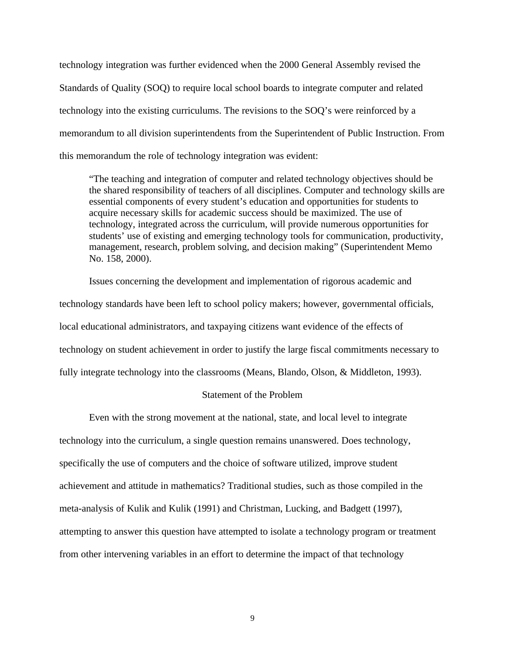technology integration was further evidenced when the 2000 General Assembly revised the Standards of Quality (SOQ) to require local school boards to integrate computer and related technology into the existing curriculums. The revisions to the SOQ's were reinforced by a memorandum to all division superintendents from the Superintendent of Public Instruction. From this memorandum the role of technology integration was evident:

"The teaching and integration of computer and related technology objectives should be the shared responsibility of teachers of all disciplines. Computer and technology skills are essential components of every student's education and opportunities for students to acquire necessary skills for academic success should be maximized. The use of technology, integrated across the curriculum, will provide numerous opportunities for students' use of existing and emerging technology tools for communication, productivity, management, research, problem solving, and decision making" (Superintendent Memo No. 158, 2000).

Issues concerning the development and implementation of rigorous academic and technology standards have been left to school policy makers; however, governmental officials, local educational administrators, and taxpaying citizens want evidence of the effects of technology on student achievement in order to justify the large fiscal commitments necessary to fully integrate technology into the classrooms (Means, Blando, Olson, & Middleton, 1993).

#### Statement of the Problem

Even with the strong movement at the national, state, and local level to integrate technology into the curriculum, a single question remains unanswered. Does technology, specifically the use of computers and the choice of software utilized, improve student achievement and attitude in mathematics? Traditional studies, such as those compiled in the meta-analysis of Kulik and Kulik (1991) and Christman, Lucking, and Badgett (1997), attempting to answer this question have attempted to isolate a technology program or treatment from other intervening variables in an effort to determine the impact of that technology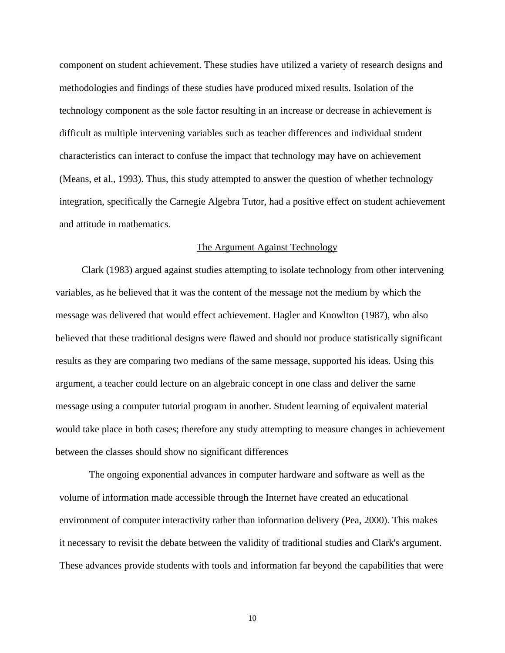component on student achievement. These studies have utilized a variety of research designs and methodologies and findings of these studies have produced mixed results. Isolation of the technology component as the sole factor resulting in an increase or decrease in achievement is difficult as multiple intervening variables such as teacher differences and individual student characteristics can interact to confuse the impact that technology may have on achievement (Means, et al., 1993). Thus, this study attempted to answer the question of whether technology integration, specifically the Carnegie Algebra Tutor, had a positive effect on student achievement and attitude in mathematics.

#### The Argument Against Technology

Clark (1983) argued against studies attempting to isolate technology from other intervening variables, as he believed that it was the content of the message not the medium by which the message was delivered that would effect achievement. Hagler and Knowlton (1987), who also believed that these traditional designs were flawed and should not produce statistically significant results as they are comparing two medians of the same message, supported his ideas. Using this argument, a teacher could lecture on an algebraic concept in one class and deliver the same message using a computer tutorial program in another. Student learning of equivalent material would take place in both cases; therefore any study attempting to measure changes in achievement between the classes should show no significant differences

The ongoing exponential advances in computer hardware and software as well as the volume of information made accessible through the Internet have created an educational environment of computer interactivity rather than information delivery (Pea, 2000). This makes it necessary to revisit the debate between the validity of traditional studies and Clark's argument. These advances provide students with tools and information far beyond the capabilities that were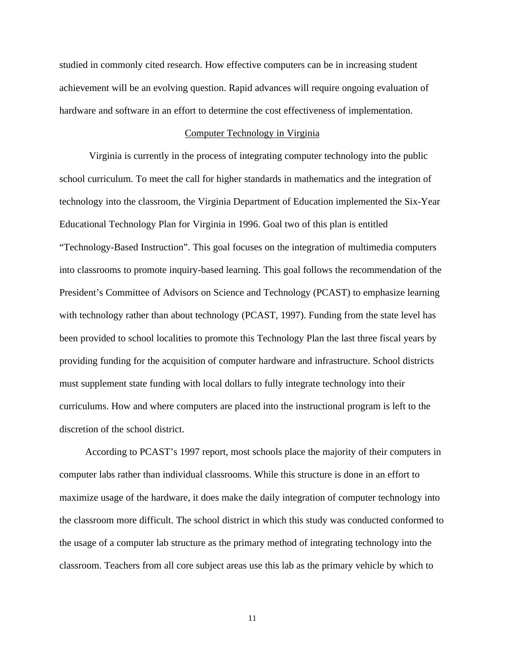studied in commonly cited research. How effective computers can be in increasing student achievement will be an evolving question. Rapid advances will require ongoing evaluation of hardware and software in an effort to determine the cost effectiveness of implementation.

#### Computer Technology in Virginia

Virginia is currently in the process of integrating computer technology into the public school curriculum. To meet the call for higher standards in mathematics and the integration of technology into the classroom, the Virginia Department of Education implemented the Six-Year Educational Technology Plan for Virginia in 1996. Goal two of this plan is entitled "Technology-Based Instruction". This goal focuses on the integration of multimedia computers into classrooms to promote inquiry-based learning. This goal follows the recommendation of the President's Committee of Advisors on Science and Technology (PCAST) to emphasize learning with technology rather than about technology (PCAST, 1997). Funding from the state level has been provided to school localities to promote this Technology Plan the last three fiscal years by providing funding for the acquisition of computer hardware and infrastructure. School districts must supplement state funding with local dollars to fully integrate technology into their curriculums. How and where computers are placed into the instructional program is left to the discretion of the school district.

According to PCAST's 1997 report, most schools place the majority of their computers in computer labs rather than individual classrooms. While this structure is done in an effort to maximize usage of the hardware, it does make the daily integration of computer technology into the classroom more difficult. The school district in which this study was conducted conformed to the usage of a computer lab structure as the primary method of integrating technology into the classroom. Teachers from all core subject areas use this lab as the primary vehicle by which to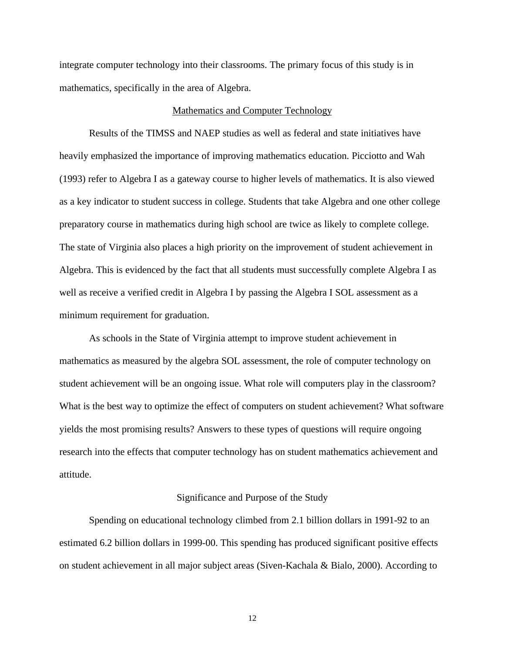integrate computer technology into their classrooms. The primary focus of this study is in mathematics, specifically in the area of Algebra.

#### Mathematics and Computer Technology

Results of the TIMSS and NAEP studies as well as federal and state initiatives have heavily emphasized the importance of improving mathematics education. Picciotto and Wah (1993) refer to Algebra I as a gateway course to higher levels of mathematics. It is also viewed as a key indicator to student success in college. Students that take Algebra and one other college preparatory course in mathematics during high school are twice as likely to complete college. The state of Virginia also places a high priority on the improvement of student achievement in Algebra. This is evidenced by the fact that all students must successfully complete Algebra I as well as receive a verified credit in Algebra I by passing the Algebra I SOL assessment as a minimum requirement for graduation.

As schools in the State of Virginia attempt to improve student achievement in mathematics as measured by the algebra SOL assessment, the role of computer technology on student achievement will be an ongoing issue. What role will computers play in the classroom? What is the best way to optimize the effect of computers on student achievement? What software yields the most promising results? Answers to these types of questions will require ongoing research into the effects that computer technology has on student mathematics achievement and attitude.

#### Significance and Purpose of the Study

Spending on educational technology climbed from 2.1 billion dollars in 1991-92 to an estimated 6.2 billion dollars in 1999-00. This spending has produced significant positive effects on student achievement in all major subject areas (Siven-Kachala & Bialo, 2000). According to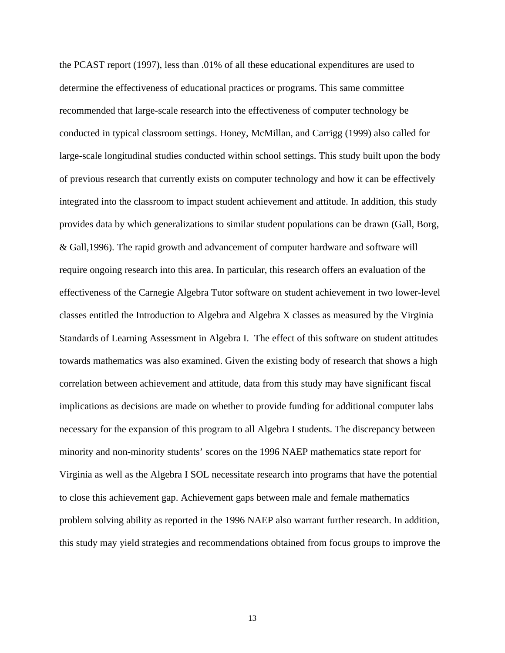the PCAST report (1997), less than .01% of all these educational expenditures are used to determine the effectiveness of educational practices or programs. This same committee recommended that large-scale research into the effectiveness of computer technology be conducted in typical classroom settings. Honey, McMillan, and Carrigg (1999) also called for large-scale longitudinal studies conducted within school settings. This study built upon the body of previous research that currently exists on computer technology and how it can be effectively integrated into the classroom to impact student achievement and attitude. In addition, this study provides data by which generalizations to similar student populations can be drawn (Gall, Borg, & Gall,1996). The rapid growth and advancement of computer hardware and software will require ongoing research into this area. In particular, this research offers an evaluation of the effectiveness of the Carnegie Algebra Tutor software on student achievement in two lower-level classes entitled the Introduction to Algebra and Algebra X classes as measured by the Virginia Standards of Learning Assessment in Algebra I. The effect of this software on student attitudes towards mathematics was also examined. Given the existing body of research that shows a high correlation between achievement and attitude, data from this study may have significant fiscal implications as decisions are made on whether to provide funding for additional computer labs necessary for the expansion of this program to all Algebra I students. The discrepancy between minority and non-minority students' scores on the 1996 NAEP mathematics state report for Virginia as well as the Algebra I SOL necessitate research into programs that have the potential to close this achievement gap. Achievement gaps between male and female mathematics problem solving ability as reported in the 1996 NAEP also warrant further research. In addition, this study may yield strategies and recommendations obtained from focus groups to improve the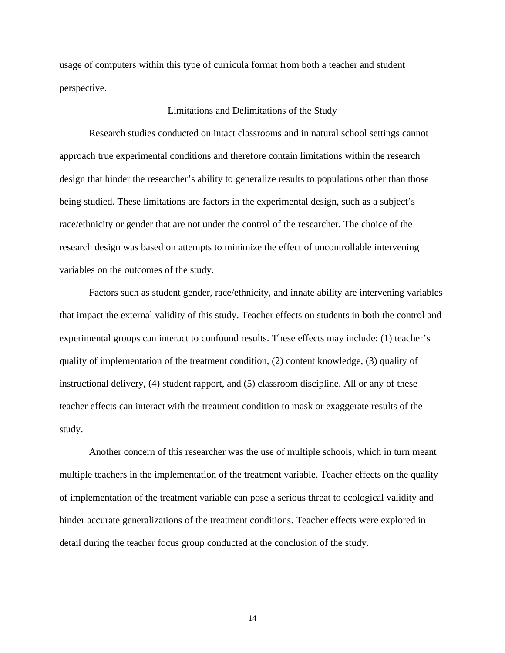usage of computers within this type of curricula format from both a teacher and student perspective.

#### Limitations and Delimitations of the Study

Research studies conducted on intact classrooms and in natural school settings cannot approach true experimental conditions and therefore contain limitations within the research design that hinder the researcher's ability to generalize results to populations other than those being studied. These limitations are factors in the experimental design, such as a subject's race/ethnicity or gender that are not under the control of the researcher. The choice of the research design was based on attempts to minimize the effect of uncontrollable intervening variables on the outcomes of the study.

Factors such as student gender, race/ethnicity, and innate ability are intervening variables that impact the external validity of this study. Teacher effects on students in both the control and experimental groups can interact to confound results. These effects may include: (1) teacher's quality of implementation of the treatment condition, (2) content knowledge, (3) quality of instructional delivery, (4) student rapport, and (5) classroom discipline. All or any of these teacher effects can interact with the treatment condition to mask or exaggerate results of the study.

Another concern of this researcher was the use of multiple schools, which in turn meant multiple teachers in the implementation of the treatment variable. Teacher effects on the quality of implementation of the treatment variable can pose a serious threat to ecological validity and hinder accurate generalizations of the treatment conditions. Teacher effects were explored in detail during the teacher focus group conducted at the conclusion of the study.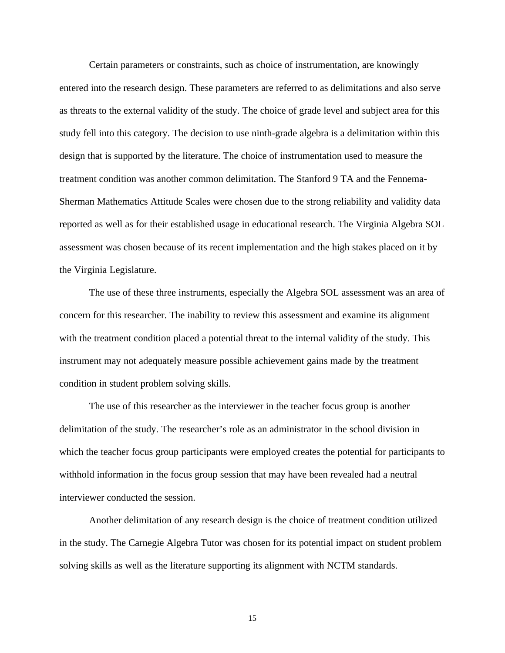Certain parameters or constraints, such as choice of instrumentation, are knowingly entered into the research design. These parameters are referred to as delimitations and also serve as threats to the external validity of the study. The choice of grade level and subject area for this study fell into this category. The decision to use ninth-grade algebra is a delimitation within this design that is supported by the literature. The choice of instrumentation used to measure the treatment condition was another common delimitation. The Stanford 9 TA and the Fennema-Sherman Mathematics Attitude Scales were chosen due to the strong reliability and validity data reported as well as for their established usage in educational research. The Virginia Algebra SOL assessment was chosen because of its recent implementation and the high stakes placed on it by the Virginia Legislature.

The use of these three instruments, especially the Algebra SOL assessment was an area of concern for this researcher. The inability to review this assessment and examine its alignment with the treatment condition placed a potential threat to the internal validity of the study. This instrument may not adequately measure possible achievement gains made by the treatment condition in student problem solving skills.

The use of this researcher as the interviewer in the teacher focus group is another delimitation of the study. The researcher's role as an administrator in the school division in which the teacher focus group participants were employed creates the potential for participants to withhold information in the focus group session that may have been revealed had a neutral interviewer conducted the session.

Another delimitation of any research design is the choice of treatment condition utilized in the study. The Carnegie Algebra Tutor was chosen for its potential impact on student problem solving skills as well as the literature supporting its alignment with NCTM standards.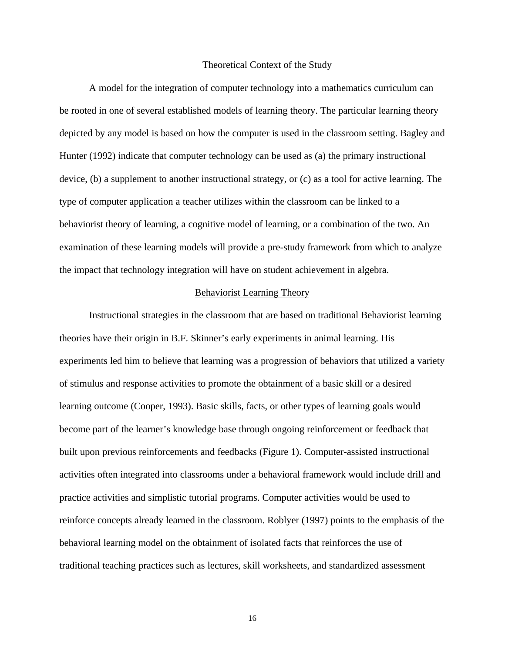#### Theoretical Context of the Study

 A model for the integration of computer technology into a mathematics curriculum can be rooted in one of several established models of learning theory. The particular learning theory depicted by any model is based on how the computer is used in the classroom setting. Bagley and Hunter (1992) indicate that computer technology can be used as (a) the primary instructional device, (b) a supplement to another instructional strategy, or (c) as a tool for active learning. The type of computer application a teacher utilizes within the classroom can be linked to a behaviorist theory of learning, a cognitive model of learning, or a combination of the two. An examination of these learning models will provide a pre-study framework from which to analyze the impact that technology integration will have on student achievement in algebra.

#### Behaviorist Learning Theory

Instructional strategies in the classroom that are based on traditional Behaviorist learning theories have their origin in B.F. Skinner's early experiments in animal learning. His experiments led him to believe that learning was a progression of behaviors that utilized a variety of stimulus and response activities to promote the obtainment of a basic skill or a desired learning outcome (Cooper, 1993). Basic skills, facts, or other types of learning goals would become part of the learner's knowledge base through ongoing reinforcement or feedback that built upon previous reinforcements and feedbacks (Figure 1). Computer-assisted instructional activities often integrated into classrooms under a behavioral framework would include drill and practice activities and simplistic tutorial programs. Computer activities would be used to reinforce concepts already learned in the classroom. Roblyer (1997) points to the emphasis of the behavioral learning model on the obtainment of isolated facts that reinforces the use of traditional teaching practices such as lectures, skill worksheets, and standardized assessment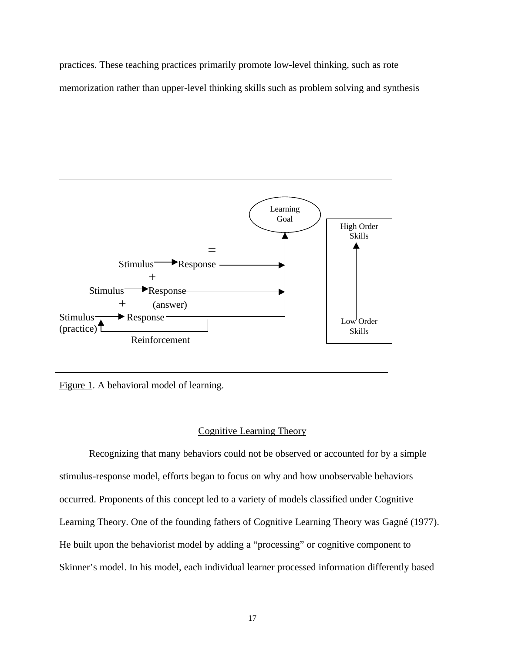practices. These teaching practices primarily promote low-level thinking, such as rote memorization rather than upper-level thinking skills such as problem solving and synthesis



Figure 1. A behavioral model of learning.

## Cognitive Learning Theory

Recognizing that many behaviors could not be observed or accounted for by a simple stimulus-response model, efforts began to focus on why and how unobservable behaviors occurred. Proponents of this concept led to a variety of models classified under Cognitive Learning Theory. One of the founding fathers of Cognitive Learning Theory was Gagné (1977). He built upon the behaviorist model by adding a "processing" or cognitive component to Skinner's model. In his model, each individual learner processed information differently based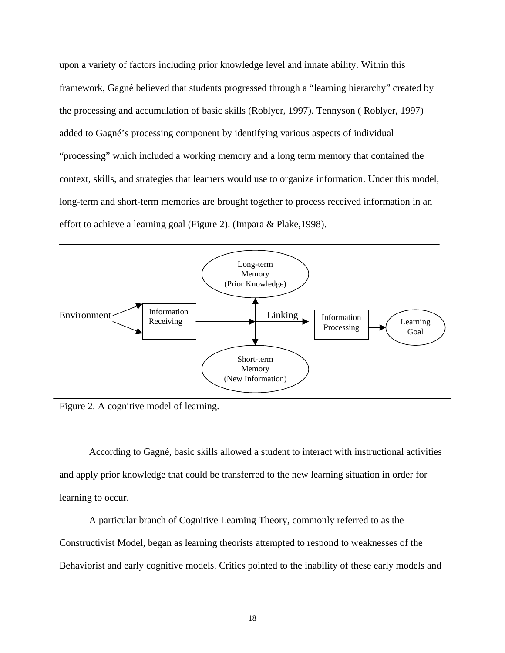upon a variety of factors including prior knowledge level and innate ability. Within this framework, Gagné believed that students progressed through a "learning hierarchy" created by the processing and accumulation of basic skills (Roblyer, 1997). Tennyson ( Roblyer, 1997) added to Gagné's processing component by identifying various aspects of individual "processing" which included a working memory and a long term memory that contained the context, skills, and strategies that learners would use to organize information. Under this model, long-term and short-term memories are brought together to process received information in an effort to achieve a learning goal (Figure 2). (Impara & Plake,1998).



Figure 2. A cognitive model of learning.

According to Gagné, basic skills allowed a student to interact with instructional activities and apply prior knowledge that could be transferred to the new learning situation in order for learning to occur.

A particular branch of Cognitive Learning Theory, commonly referred to as the Constructivist Model, began as learning theorists attempted to respond to weaknesses of the Behaviorist and early cognitive models. Critics pointed to the inability of these early models and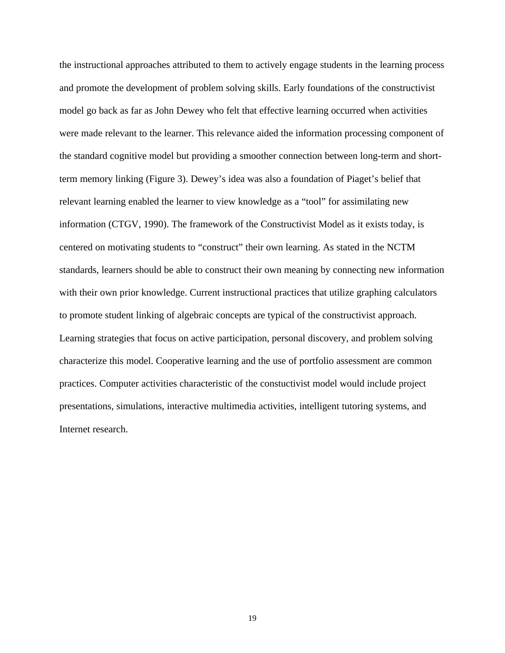the instructional approaches attributed to them to actively engage students in the learning process and promote the development of problem solving skills. Early foundations of the constructivist model go back as far as John Dewey who felt that effective learning occurred when activities were made relevant to the learner. This relevance aided the information processing component of the standard cognitive model but providing a smoother connection between long-term and shortterm memory linking (Figure 3). Dewey's idea was also a foundation of Piaget's belief that relevant learning enabled the learner to view knowledge as a "tool" for assimilating new information (CTGV, 1990). The framework of the Constructivist Model as it exists today, is centered on motivating students to "construct" their own learning. As stated in the NCTM standards, learners should be able to construct their own meaning by connecting new information with their own prior knowledge. Current instructional practices that utilize graphing calculators to promote student linking of algebraic concepts are typical of the constructivist approach. Learning strategies that focus on active participation, personal discovery, and problem solving characterize this model. Cooperative learning and the use of portfolio assessment are common practices. Computer activities characteristic of the constuctivist model would include project presentations, simulations, interactive multimedia activities, intelligent tutoring systems, and Internet research.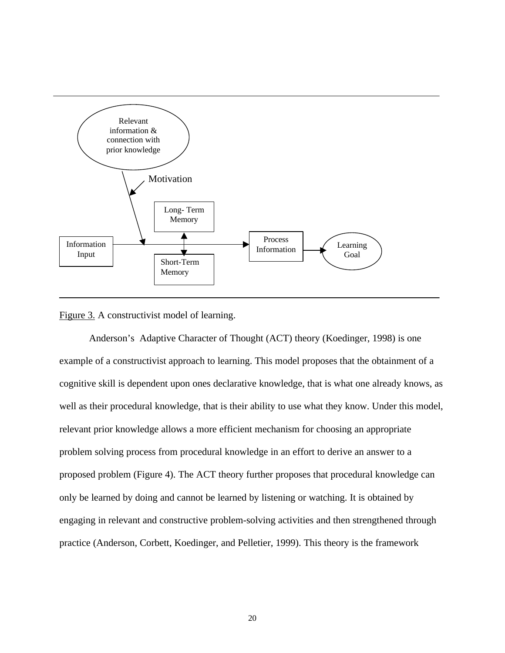

#### Figure 3. A constructivist model of learning.

Anderson's Adaptive Character of Thought (ACT) theory (Koedinger, 1998) is one example of a constructivist approach to learning. This model proposes that the obtainment of a cognitive skill is dependent upon ones declarative knowledge, that is what one already knows, as well as their procedural knowledge, that is their ability to use what they know. Under this model, relevant prior knowledge allows a more efficient mechanism for choosing an appropriate problem solving process from procedural knowledge in an effort to derive an answer to a proposed problem (Figure 4). The ACT theory further proposes that procedural knowledge can only be learned by doing and cannot be learned by listening or watching. It is obtained by engaging in relevant and constructive problem-solving activities and then strengthened through practice (Anderson, Corbett, Koedinger, and Pelletier, 1999). This theory is the framework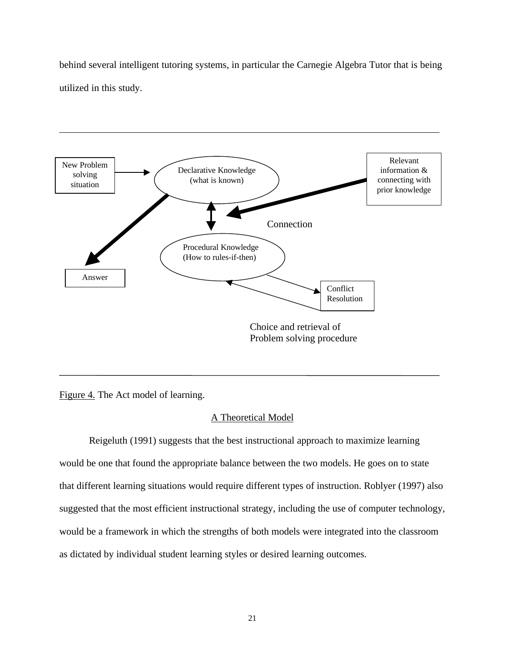behind several intelligent tutoring systems, in particular the Carnegie Algebra Tutor that is being utilized in this study.



Figure 4. The Act model of learning.

# A Theoretical Model

Reigeluth (1991) suggests that the best instructional approach to maximize learning would be one that found the appropriate balance between the two models. He goes on to state that different learning situations would require different types of instruction. Roblyer (1997) also suggested that the most efficient instructional strategy, including the use of computer technology, would be a framework in which the strengths of both models were integrated into the classroom as dictated by individual student learning styles or desired learning outcomes.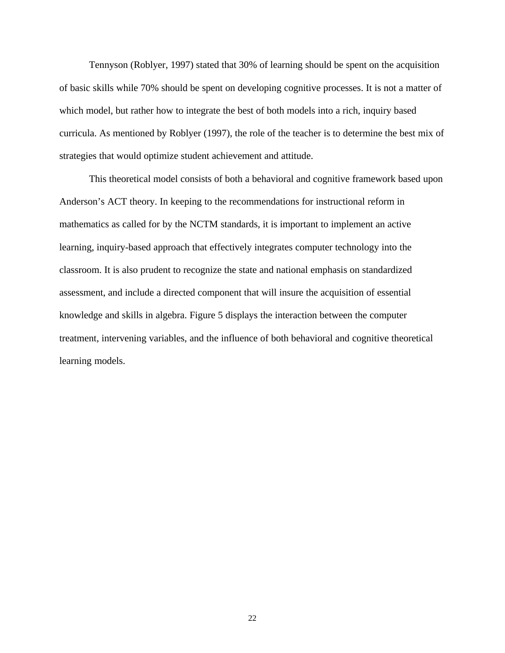Tennyson (Roblyer, 1997) stated that 30% of learning should be spent on the acquisition of basic skills while 70% should be spent on developing cognitive processes. It is not a matter of which model, but rather how to integrate the best of both models into a rich, inquiry based curricula. As mentioned by Roblyer (1997), the role of the teacher is to determine the best mix of strategies that would optimize student achievement and attitude.

This theoretical model consists of both a behavioral and cognitive framework based upon Anderson's ACT theory. In keeping to the recommendations for instructional reform in mathematics as called for by the NCTM standards, it is important to implement an active learning, inquiry-based approach that effectively integrates computer technology into the classroom. It is also prudent to recognize the state and national emphasis on standardized assessment, and include a directed component that will insure the acquisition of essential knowledge and skills in algebra. Figure 5 displays the interaction between the computer treatment, intervening variables, and the influence of both behavioral and cognitive theoretical learning models.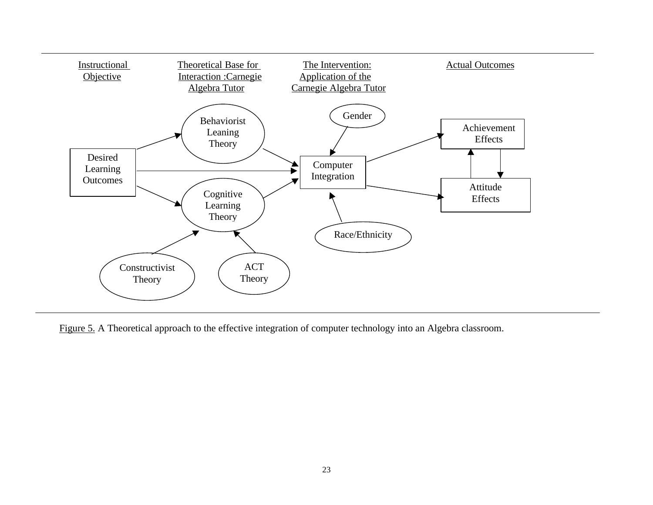

Figure 5. A Theoretical approach to the effective integration of computer technology into an Algebra classroom.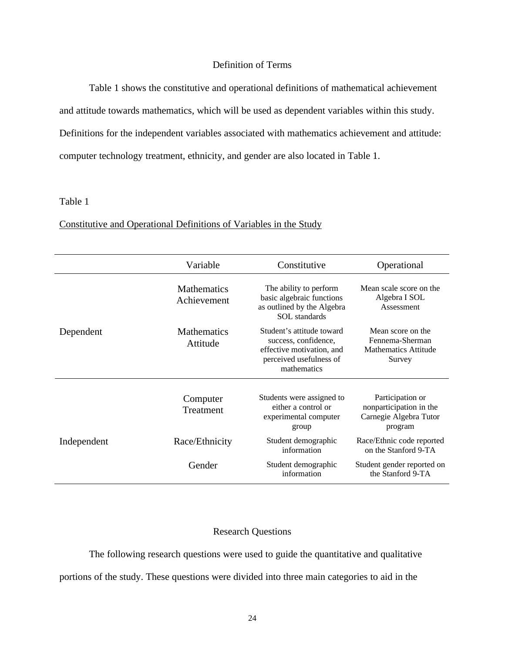# Definition of Terms

Table 1 shows the constitutive and operational definitions of mathematical achievement

and attitude towards mathematics, which will be used as dependent variables within this study.

Definitions for the independent variables associated with mathematics achievement and attitude:

computer technology treatment, ethnicity, and gender are also located in Table 1.

# Table 1

|             | Variable                          | Constitutive                                                                                                             | Operational                                                                      |
|-------------|-----------------------------------|--------------------------------------------------------------------------------------------------------------------------|----------------------------------------------------------------------------------|
|             | <b>Mathematics</b><br>Achievement | The ability to perform<br>basic algebraic functions<br>as outlined by the Algebra<br><b>SOL</b> standards                | Mean scale score on the<br>Algebra I SOL<br>Assessment                           |
| Dependent   | <b>Mathematics</b><br>Attitude    | Student's attitude toward<br>success, confidence,<br>effective motivation, and<br>perceived usefulness of<br>mathematics | Mean score on the<br>Fennema-Sherman<br><b>Mathematics Attitude</b><br>Survey    |
|             | Computer<br>Treatment             | Students were assigned to<br>either a control or<br>experimental computer<br>group                                       | Participation or<br>nonparticipation in the<br>Carnegie Algebra Tutor<br>program |
| Independent | Race/Ethnicity                    | Student demographic<br>information                                                                                       | Race/Ethnic code reported<br>on the Stanford 9-TA                                |
|             | Gender                            | Student demographic<br>information                                                                                       | Student gender reported on<br>the Stanford 9-TA                                  |

# Constitutive and Operational Definitions of Variables in the Study

# Research Questions

The following research questions were used to guide the quantitative and qualitative portions of the study. These questions were divided into three main categories to aid in the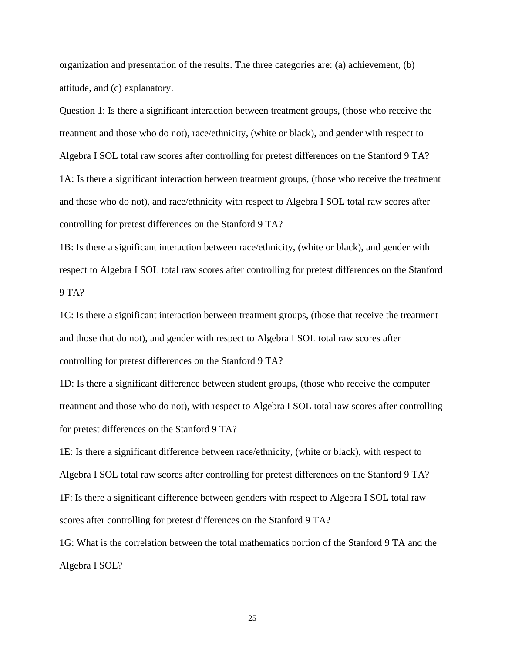organization and presentation of the results. The three categories are: (a) achievement, (b) attitude, and (c) explanatory.

Question 1: Is there a significant interaction between treatment groups, (those who receive the treatment and those who do not), race/ethnicity, (white or black), and gender with respect to Algebra I SOL total raw scores after controlling for pretest differences on the Stanford 9 TA? 1A: Is there a significant interaction between treatment groups, (those who receive the treatment and those who do not), and race/ethnicity with respect to Algebra I SOL total raw scores after controlling for pretest differences on the Stanford 9 TA?

1B: Is there a significant interaction between race/ethnicity, (white or black), and gender with respect to Algebra I SOL total raw scores after controlling for pretest differences on the Stanford  $9 TA?$ 

1C: Is there a significant interaction between treatment groups, (those that receive the treatment and those that do not), and gender with respect to Algebra I SOL total raw scores after controlling for pretest differences on the Stanford 9 TA?

1D: Is there a significant difference between student groups, (those who receive the computer treatment and those who do not), with respect to Algebra I SOL total raw scores after controlling for pretest differences on the Stanford 9 TA?

1E: Is there a significant difference between race/ethnicity, (white or black), with respect to Algebra I SOL total raw scores after controlling for pretest differences on the Stanford 9 TA? 1F: Is there a significant difference between genders with respect to Algebra I SOL total raw scores after controlling for pretest differences on the Stanford 9 TA?

1G: What is the correlation between the total mathematics portion of the Stanford 9 TA and the Algebra I SOL?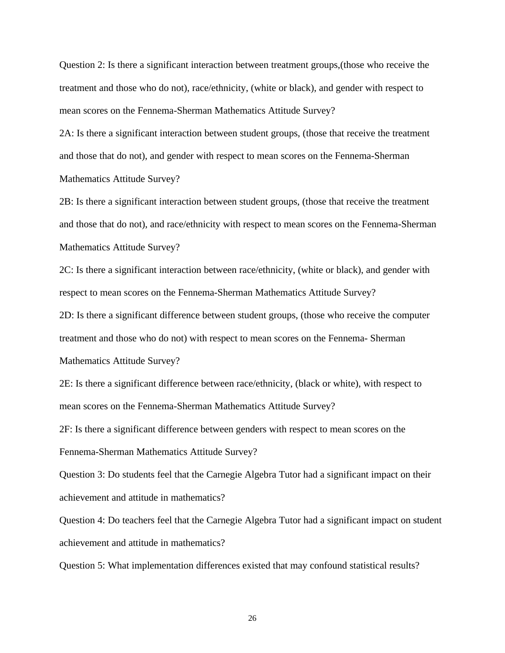Question 2: Is there a significant interaction between treatment groups,(those who receive the treatment and those who do not), race/ethnicity, (white or black), and gender with respect to mean scores on the Fennema-Sherman Mathematics Attitude Survey?

2A: Is there a significant interaction between student groups, (those that receive the treatment and those that do not), and gender with respect to mean scores on the Fennema-Sherman Mathematics Attitude Survey?

2B: Is there a significant interaction between student groups, (those that receive the treatment and those that do not), and race/ethnicity with respect to mean scores on the Fennema-Sherman Mathematics Attitude Survey?

2C: Is there a significant interaction between race/ethnicity, (white or black), and gender with respect to mean scores on the Fennema-Sherman Mathematics Attitude Survey?

2D: Is there a significant difference between student groups, (those who receive the computer treatment and those who do not) with respect to mean scores on the Fennema- Sherman Mathematics Attitude Survey?

2E: Is there a significant difference between race/ethnicity, (black or white), with respect to mean scores on the Fennema-Sherman Mathematics Attitude Survey?

2F: Is there a significant difference between genders with respect to mean scores on the Fennema-Sherman Mathematics Attitude Survey?

Question 3: Do students feel that the Carnegie Algebra Tutor had a significant impact on their achievement and attitude in mathematics?

Question 4: Do teachers feel that the Carnegie Algebra Tutor had a significant impact on student achievement and attitude in mathematics?

Question 5: What implementation differences existed that may confound statistical results?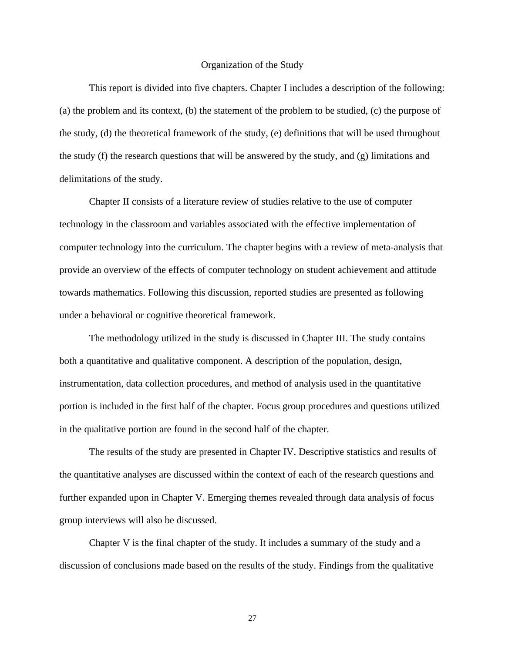#### Organization of the Study

This report is divided into five chapters. Chapter I includes a description of the following: (a) the problem and its context, (b) the statement of the problem to be studied, (c) the purpose of the study, (d) the theoretical framework of the study, (e) definitions that will be used throughout the study  $(f)$  the research questions that will be answered by the study, and  $(g)$  limitations and delimitations of the study.

Chapter II consists of a literature review of studies relative to the use of computer technology in the classroom and variables associated with the effective implementation of computer technology into the curriculum. The chapter begins with a review of meta-analysis that provide an overview of the effects of computer technology on student achievement and attitude towards mathematics. Following this discussion, reported studies are presented as following under a behavioral or cognitive theoretical framework.

The methodology utilized in the study is discussed in Chapter III. The study contains both a quantitative and qualitative component. A description of the population, design, instrumentation, data collection procedures, and method of analysis used in the quantitative portion is included in the first half of the chapter. Focus group procedures and questions utilized in the qualitative portion are found in the second half of the chapter.

The results of the study are presented in Chapter IV. Descriptive statistics and results of the quantitative analyses are discussed within the context of each of the research questions and further expanded upon in Chapter V. Emerging themes revealed through data analysis of focus group interviews will also be discussed.

Chapter V is the final chapter of the study. It includes a summary of the study and a discussion of conclusions made based on the results of the study. Findings from the qualitative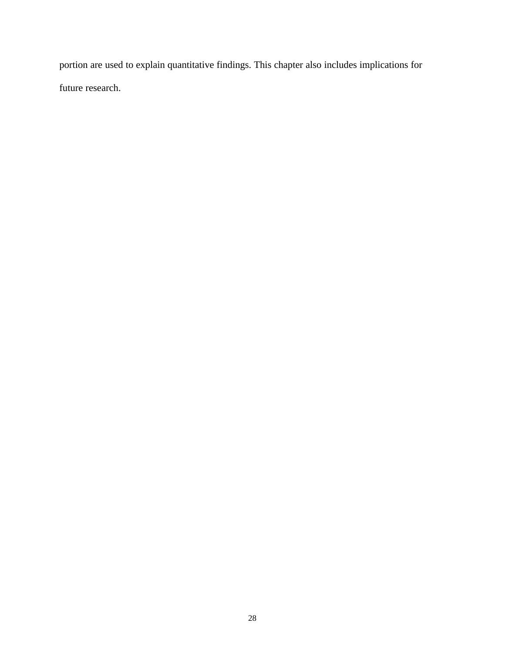portion are used to explain quantitative findings. This chapter also includes implications for future research.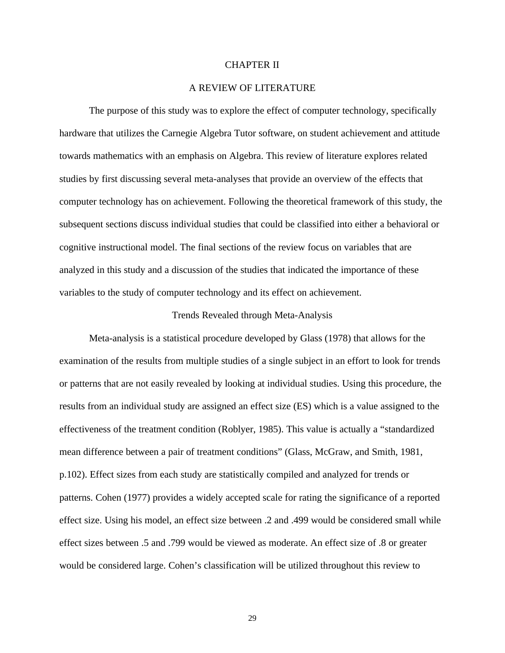## CHAPTER II

## A REVIEW OF LITERATURE

The purpose of this study was to explore the effect of computer technology, specifically hardware that utilizes the Carnegie Algebra Tutor software, on student achievement and attitude towards mathematics with an emphasis on Algebra. This review of literature explores related studies by first discussing several meta-analyses that provide an overview of the effects that computer technology has on achievement. Following the theoretical framework of this study, the subsequent sections discuss individual studies that could be classified into either a behavioral or cognitive instructional model. The final sections of the review focus on variables that are analyzed in this study and a discussion of the studies that indicated the importance of these variables to the study of computer technology and its effect on achievement.

#### Trends Revealed through Meta-Analysis

Meta-analysis is a statistical procedure developed by Glass (1978) that allows for the examination of the results from multiple studies of a single subject in an effort to look for trends or patterns that are not easily revealed by looking at individual studies. Using this procedure, the results from an individual study are assigned an effect size (ES) which is a value assigned to the effectiveness of the treatment condition (Roblyer, 1985). This value is actually a "standardized mean difference between a pair of treatment conditions" (Glass, McGraw, and Smith, 1981, p.102). Effect sizes from each study are statistically compiled and analyzed for trends or patterns. Cohen (1977) provides a widely accepted scale for rating the significance of a reported effect size. Using his model, an effect size between .2 and .499 would be considered small while effect sizes between .5 and .799 would be viewed as moderate. An effect size of .8 or greater would be considered large. Cohen's classification will be utilized throughout this review to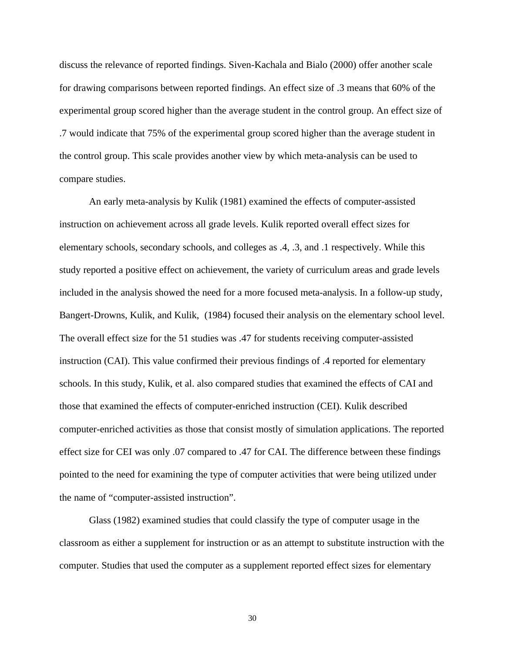discuss the relevance of reported findings. Siven-Kachala and Bialo (2000) offer another scale for drawing comparisons between reported findings. An effect size of .3 means that 60% of the experimental group scored higher than the average student in the control group. An effect size of .7 would indicate that 75% of the experimental group scored higher than the average student in the control group. This scale provides another view by which meta-analysis can be used to compare studies.

An early meta-analysis by Kulik (1981) examined the effects of computer-assisted instruction on achievement across all grade levels. Kulik reported overall effect sizes for elementary schools, secondary schools, and colleges as .4, .3, and .1 respectively. While this study reported a positive effect on achievement, the variety of curriculum areas and grade levels included in the analysis showed the need for a more focused meta-analysis. In a follow-up study, Bangert-Drowns, Kulik, and Kulik, (1984) focused their analysis on the elementary school level. The overall effect size for the 51 studies was .47 for students receiving computer-assisted instruction (CAI). This value confirmed their previous findings of .4 reported for elementary schools. In this study, Kulik, et al. also compared studies that examined the effects of CAI and those that examined the effects of computer-enriched instruction (CEI). Kulik described computer-enriched activities as those that consist mostly of simulation applications. The reported effect size for CEI was only .07 compared to .47 for CAI. The difference between these findings pointed to the need for examining the type of computer activities that were being utilized under the name of "computer-assisted instruction".

Glass (1982) examined studies that could classify the type of computer usage in the classroom as either a supplement for instruction or as an attempt to substitute instruction with the computer. Studies that used the computer as a supplement reported effect sizes for elementary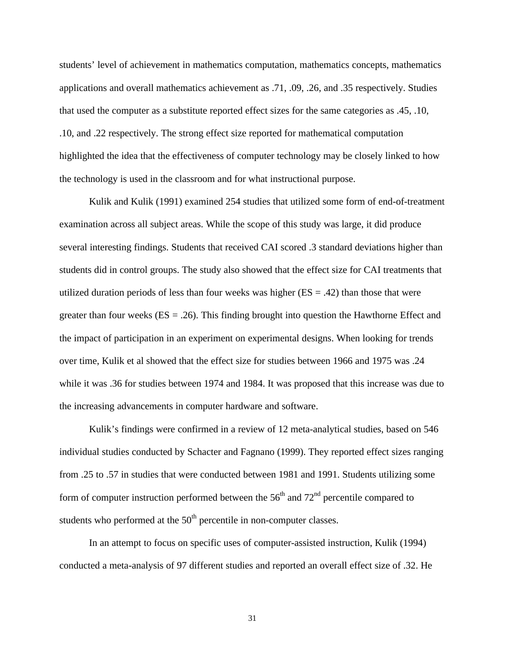students' level of achievement in mathematics computation, mathematics concepts, mathematics applications and overall mathematics achievement as .71, .09, .26, and .35 respectively. Studies that used the computer as a substitute reported effect sizes for the same categories as .45, .10, .10, and .22 respectively. The strong effect size reported for mathematical computation highlighted the idea that the effectiveness of computer technology may be closely linked to how the technology is used in the classroom and for what instructional purpose.

Kulik and Kulik (1991) examined 254 studies that utilized some form of end-of-treatment examination across all subject areas. While the scope of this study was large, it did produce several interesting findings. Students that received CAI scored .3 standard deviations higher than students did in control groups. The study also showed that the effect size for CAI treatments that utilized duration periods of less than four weeks was higher  $(ES = .42)$  than those that were greater than four weeks  $(ES = .26)$ . This finding brought into question the Hawthorne Effect and the impact of participation in an experiment on experimental designs. When looking for trends over time, Kulik et al showed that the effect size for studies between 1966 and 1975 was .24 while it was .36 for studies between 1974 and 1984. It was proposed that this increase was due to the increasing advancements in computer hardware and software.

Kulik's findings were confirmed in a review of 12 meta-analytical studies, based on 546 individual studies conducted by Schacter and Fagnano (1999). They reported effect sizes ranging from .25 to .57 in studies that were conducted between 1981 and 1991. Students utilizing some form of computer instruction performed between the  $56<sup>th</sup>$  and  $72<sup>nd</sup>$  percentile compared to students who performed at the  $50<sup>th</sup>$  percentile in non-computer classes.

In an attempt to focus on specific uses of computer-assisted instruction, Kulik (1994) conducted a meta-analysis of 97 different studies and reported an overall effect size of .32. He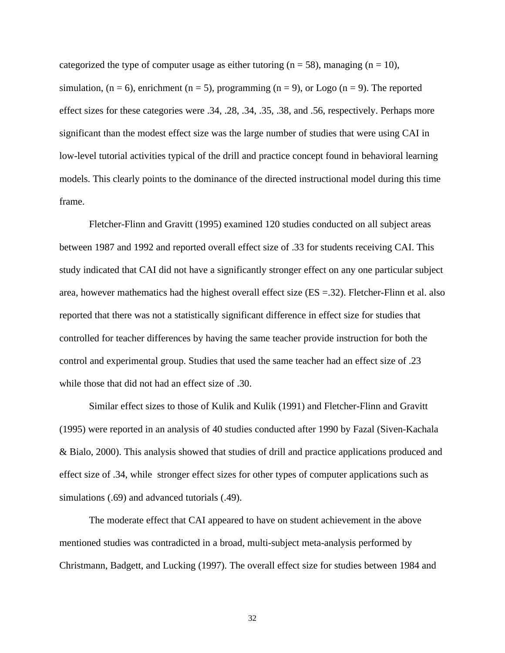categorized the type of computer usage as either tutoring ( $n = 58$ ), managing ( $n = 10$ ), simulation,  $(n = 6)$ , enrichment  $(n = 5)$ , programming  $(n = 9)$ , or Logo  $(n = 9)$ . The reported effect sizes for these categories were .34, .28, .34, .35, .38, and .56, respectively. Perhaps more significant than the modest effect size was the large number of studies that were using CAI in low-level tutorial activities typical of the drill and practice concept found in behavioral learning models. This clearly points to the dominance of the directed instructional model during this time frame.

Fletcher-Flinn and Gravitt (1995) examined 120 studies conducted on all subject areas between 1987 and 1992 and reported overall effect size of .33 for students receiving CAI. This study indicated that CAI did not have a significantly stronger effect on any one particular subject area, however mathematics had the highest overall effect size (ES =.32). Fletcher-Flinn et al. also reported that there was not a statistically significant difference in effect size for studies that controlled for teacher differences by having the same teacher provide instruction for both the control and experimental group. Studies that used the same teacher had an effect size of .23 while those that did not had an effect size of .30.

Similar effect sizes to those of Kulik and Kulik (1991) and Fletcher-Flinn and Gravitt (1995) were reported in an analysis of 40 studies conducted after 1990 by Fazal (Siven-Kachala & Bialo, 2000). This analysis showed that studies of drill and practice applications produced and effect size of .34, while stronger effect sizes for other types of computer applications such as simulations (.69) and advanced tutorials (.49).

The moderate effect that CAI appeared to have on student achievement in the above mentioned studies was contradicted in a broad, multi-subject meta-analysis performed by Christmann, Badgett, and Lucking (1997). The overall effect size for studies between 1984 and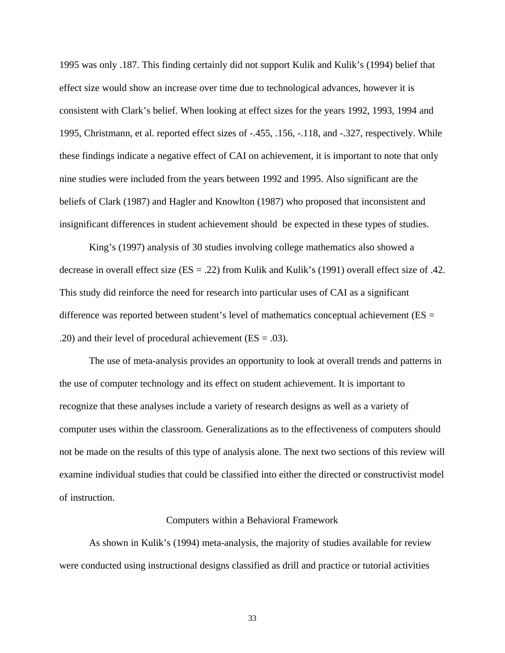1995 was only .187. This finding certainly did not support Kulik and Kulik's (1994) belief that effect size would show an increase over time due to technological advances, however it is consistent with Clark's belief. When looking at effect sizes for the years 1992, 1993, 1994 and 1995, Christmann, et al. reported effect sizes of -.455, .156, -.118, and -.327, respectively. While these findings indicate a negative effect of CAI on achievement, it is important to note that only nine studies were included from the years between 1992 and 1995. Also significant are the beliefs of Clark (1987) and Hagler and Knowlton (1987) who proposed that inconsistent and insignificant differences in student achievement should be expected in these types of studies.

King's (1997) analysis of 30 studies involving college mathematics also showed a decrease in overall effect size (ES = .22) from Kulik and Kulik's (1991) overall effect size of .42. This study did reinforce the need for research into particular uses of CAI as a significant difference was reported between student's level of mathematics conceptual achievement ( $ES =$ .20) and their level of procedural achievement  $(ES = .03)$ .

The use of meta-analysis provides an opportunity to look at overall trends and patterns in the use of computer technology and its effect on student achievement. It is important to recognize that these analyses include a variety of research designs as well as a variety of computer uses within the classroom. Generalizations as to the effectiveness of computers should not be made on the results of this type of analysis alone. The next two sections of this review will examine individual studies that could be classified into either the directed or constructivist model of instruction.

#### Computers within a Behavioral Framework

As shown in Kulik's (1994) meta-analysis, the majority of studies available for review were conducted using instructional designs classified as drill and practice or tutorial activities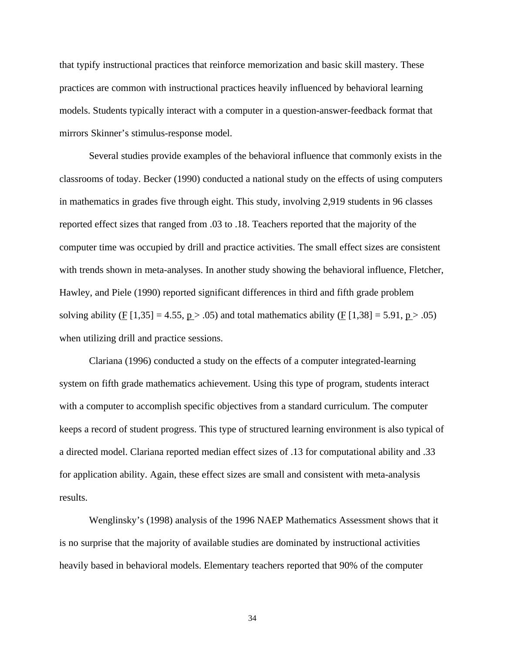that typify instructional practices that reinforce memorization and basic skill mastery. These practices are common with instructional practices heavily influenced by behavioral learning models. Students typically interact with a computer in a question-answer-feedback format that mirrors Skinner's stimulus-response model.

Several studies provide examples of the behavioral influence that commonly exists in the classrooms of today. Becker (1990) conducted a national study on the effects of using computers in mathematics in grades five through eight. This study, involving 2,919 students in 96 classes reported effect sizes that ranged from .03 to .18. Teachers reported that the majority of the computer time was occupied by drill and practice activities. The small effect sizes are consistent with trends shown in meta-analyses. In another study showing the behavioral influence, Fletcher, Hawley, and Piele (1990) reported significant differences in third and fifth grade problem solving ability (F [1,35] = 4.55,  $p > .05$ ) and total mathematics ability (F [1,38] = 5.91,  $p > .05$ ) when utilizing drill and practice sessions.

Clariana (1996) conducted a study on the effects of a computer integrated-learning system on fifth grade mathematics achievement. Using this type of program, students interact with a computer to accomplish specific objectives from a standard curriculum. The computer keeps a record of student progress. This type of structured learning environment is also typical of a directed model. Clariana reported median effect sizes of .13 for computational ability and .33 for application ability. Again, these effect sizes are small and consistent with meta-analysis results.

Wenglinsky's (1998) analysis of the 1996 NAEP Mathematics Assessment shows that it is no surprise that the majority of available studies are dominated by instructional activities heavily based in behavioral models. Elementary teachers reported that 90% of the computer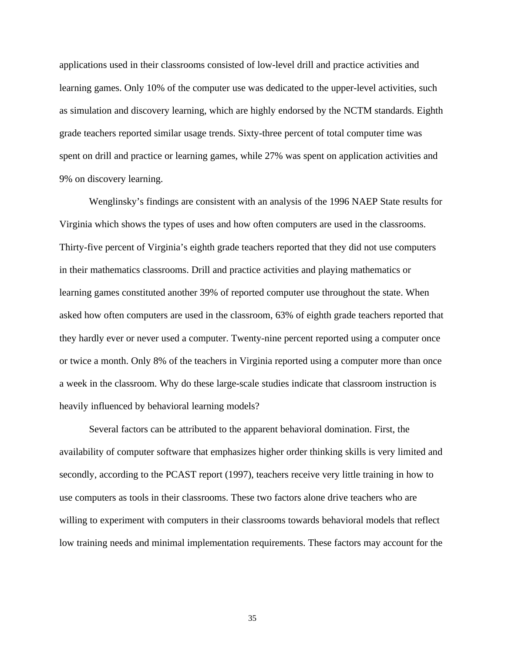applications used in their classrooms consisted of low-level drill and practice activities and learning games. Only 10% of the computer use was dedicated to the upper-level activities, such as simulation and discovery learning, which are highly endorsed by the NCTM standards. Eighth grade teachers reported similar usage trends. Sixty-three percent of total computer time was spent on drill and practice or learning games, while 27% was spent on application activities and 9% on discovery learning.

Wenglinsky's findings are consistent with an analysis of the 1996 NAEP State results for Virginia which shows the types of uses and how often computers are used in the classrooms. Thirty-five percent of Virginia's eighth grade teachers reported that they did not use computers in their mathematics classrooms. Drill and practice activities and playing mathematics or learning games constituted another 39% of reported computer use throughout the state. When asked how often computers are used in the classroom, 63% of eighth grade teachers reported that they hardly ever or never used a computer. Twenty-nine percent reported using a computer once or twice a month. Only 8% of the teachers in Virginia reported using a computer more than once a week in the classroom. Why do these large-scale studies indicate that classroom instruction is heavily influenced by behavioral learning models?

Several factors can be attributed to the apparent behavioral domination. First, the availability of computer software that emphasizes higher order thinking skills is very limited and secondly, according to the PCAST report (1997), teachers receive very little training in how to use computers as tools in their classrooms. These two factors alone drive teachers who are willing to experiment with computers in their classrooms towards behavioral models that reflect low training needs and minimal implementation requirements. These factors may account for the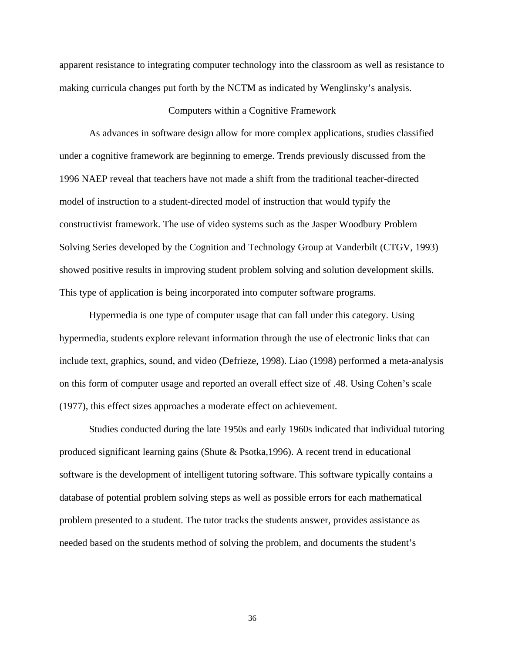apparent resistance to integrating computer technology into the classroom as well as resistance to making curricula changes put forth by the NCTM as indicated by Wenglinsky's analysis.

## Computers within a Cognitive Framework

As advances in software design allow for more complex applications, studies classified under a cognitive framework are beginning to emerge. Trends previously discussed from the 1996 NAEP reveal that teachers have not made a shift from the traditional teacher-directed model of instruction to a student-directed model of instruction that would typify the constructivist framework. The use of video systems such as the Jasper Woodbury Problem Solving Series developed by the Cognition and Technology Group at Vanderbilt (CTGV, 1993) showed positive results in improving student problem solving and solution development skills. This type of application is being incorporated into computer software programs.

Hypermedia is one type of computer usage that can fall under this category. Using hypermedia, students explore relevant information through the use of electronic links that can include text, graphics, sound, and video (Defrieze, 1998). Liao (1998) performed a meta-analysis on this form of computer usage and reported an overall effect size of .48. Using Cohen's scale (1977), this effect sizes approaches a moderate effect on achievement.

Studies conducted during the late 1950s and early 1960s indicated that individual tutoring produced significant learning gains (Shute & Psotka,1996). A recent trend in educational software is the development of intelligent tutoring software. This software typically contains a database of potential problem solving steps as well as possible errors for each mathematical problem presented to a student. The tutor tracks the students answer, provides assistance as needed based on the students method of solving the problem, and documents the student's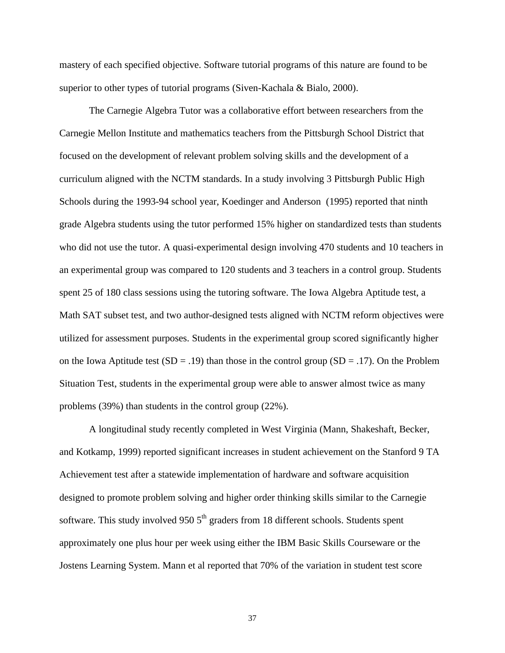mastery of each specified objective. Software tutorial programs of this nature are found to be superior to other types of tutorial programs (Siven-Kachala & Bialo, 2000).

The Carnegie Algebra Tutor was a collaborative effort between researchers from the Carnegie Mellon Institute and mathematics teachers from the Pittsburgh School District that focused on the development of relevant problem solving skills and the development of a curriculum aligned with the NCTM standards. In a study involving 3 Pittsburgh Public High Schools during the 1993-94 school year, Koedinger and Anderson (1995) reported that ninth grade Algebra students using the tutor performed 15% higher on standardized tests than students who did not use the tutor. A quasi-experimental design involving 470 students and 10 teachers in an experimental group was compared to 120 students and 3 teachers in a control group. Students spent 25 of 180 class sessions using the tutoring software. The Iowa Algebra Aptitude test, a Math SAT subset test, and two author-designed tests aligned with NCTM reform objectives were utilized for assessment purposes. Students in the experimental group scored significantly higher on the Iowa Aptitude test  $(SD = .19)$  than those in the control group  $(SD = .17)$ . On the Problem Situation Test, students in the experimental group were able to answer almost twice as many problems (39%) than students in the control group (22%).

A longitudinal study recently completed in West Virginia (Mann, Shakeshaft, Becker, and Kotkamp, 1999) reported significant increases in student achievement on the Stanford 9 TA Achievement test after a statewide implementation of hardware and software acquisition designed to promote problem solving and higher order thinking skills similar to the Carnegie software. This study involved 950  $5<sup>th</sup>$  graders from 18 different schools. Students spent approximately one plus hour per week using either the IBM Basic Skills Courseware or the Jostens Learning System. Mann et al reported that 70% of the variation in student test score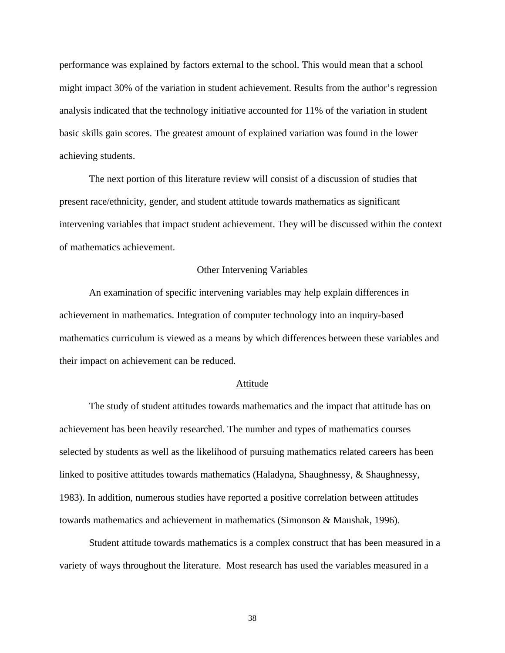performance was explained by factors external to the school. This would mean that a school might impact 30% of the variation in student achievement. Results from the author's regression analysis indicated that the technology initiative accounted for 11% of the variation in student basic skills gain scores. The greatest amount of explained variation was found in the lower achieving students.

The next portion of this literature review will consist of a discussion of studies that present race/ethnicity, gender, and student attitude towards mathematics as significant intervening variables that impact student achievement. They will be discussed within the context of mathematics achievement.

## Other Intervening Variables

An examination of specific intervening variables may help explain differences in achievement in mathematics. Integration of computer technology into an inquiry-based mathematics curriculum is viewed as a means by which differences between these variables and their impact on achievement can be reduced.

## Attitude

The study of student attitudes towards mathematics and the impact that attitude has on achievement has been heavily researched. The number and types of mathematics courses selected by students as well as the likelihood of pursuing mathematics related careers has been linked to positive attitudes towards mathematics (Haladyna, Shaughnessy, & Shaughnessy, 1983). In addition, numerous studies have reported a positive correlation between attitudes towards mathematics and achievement in mathematics (Simonson & Maushak, 1996).

Student attitude towards mathematics is a complex construct that has been measured in a variety of ways throughout the literature. Most research has used the variables measured in a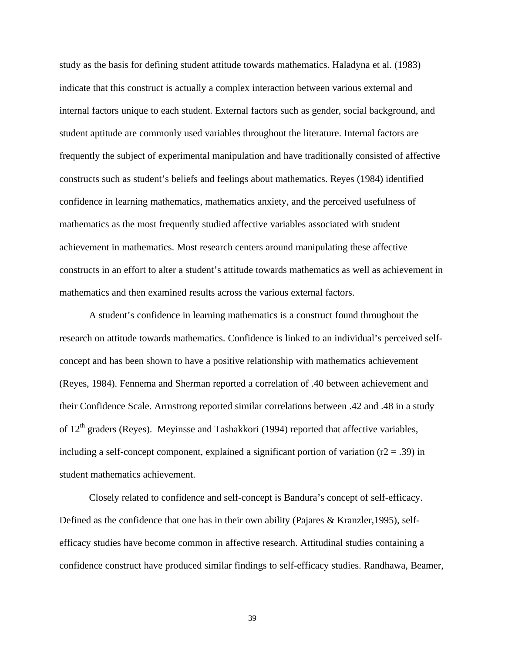study as the basis for defining student attitude towards mathematics. Haladyna et al. (1983) indicate that this construct is actually a complex interaction between various external and internal factors unique to each student. External factors such as gender, social background, and student aptitude are commonly used variables throughout the literature. Internal factors are frequently the subject of experimental manipulation and have traditionally consisted of affective constructs such as student's beliefs and feelings about mathematics. Reyes (1984) identified confidence in learning mathematics, mathematics anxiety, and the perceived usefulness of mathematics as the most frequently studied affective variables associated with student achievement in mathematics. Most research centers around manipulating these affective constructs in an effort to alter a student's attitude towards mathematics as well as achievement in mathematics and then examined results across the various external factors.

A student's confidence in learning mathematics is a construct found throughout the research on attitude towards mathematics. Confidence is linked to an individual's perceived selfconcept and has been shown to have a positive relationship with mathematics achievement (Reyes, 1984). Fennema and Sherman reported a correlation of .40 between achievement and their Confidence Scale. Armstrong reported similar correlations between .42 and .48 in a study of  $12<sup>th</sup>$  graders (Reyes). Meyinsse and Tashakkori (1994) reported that affective variables, including a self-concept component, explained a significant portion of variation ( $r2 = .39$ ) in student mathematics achievement.

Closely related to confidence and self-concept is Bandura's concept of self-efficacy. Defined as the confidence that one has in their own ability (Pajares & Kranzler,1995), selfefficacy studies have become common in affective research. Attitudinal studies containing a confidence construct have produced similar findings to self-efficacy studies. Randhawa, Beamer,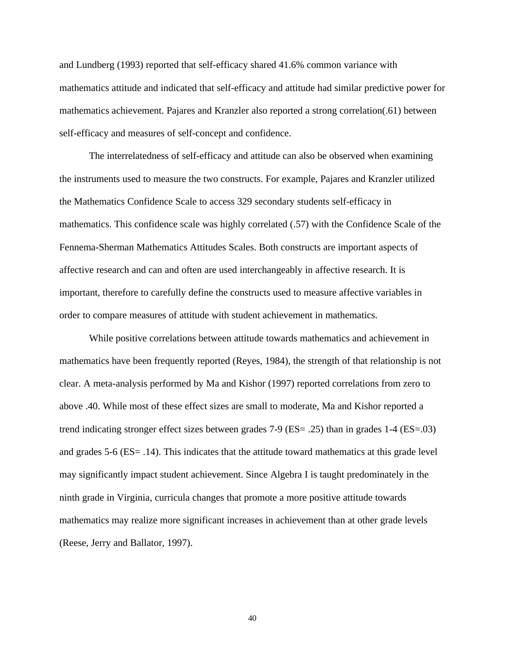and Lundberg (1993) reported that self-efficacy shared 41.6% common variance with mathematics attitude and indicated that self-efficacy and attitude had similar predictive power for mathematics achievement. Pajares and Kranzler also reported a strong correlation(.61) between self-efficacy and measures of self-concept and confidence.

The interrelatedness of self-efficacy and attitude can also be observed when examining the instruments used to measure the two constructs. For example, Pajares and Kranzler utilized the Mathematics Confidence Scale to access 329 secondary students self-efficacy in mathematics. This confidence scale was highly correlated (.57) with the Confidence Scale of the Fennema-Sherman Mathematics Attitudes Scales. Both constructs are important aspects of affective research and can and often are used interchangeably in affective research. It is important, therefore to carefully define the constructs used to measure affective variables in order to compare measures of attitude with student achievement in mathematics.

While positive correlations between attitude towards mathematics and achievement in mathematics have been frequently reported (Reyes, 1984), the strength of that relationship is not clear. A meta-analysis performed by Ma and Kishor (1997) reported correlations from zero to above .40. While most of these effect sizes are small to moderate, Ma and Kishor reported a trend indicating stronger effect sizes between grades 7-9 (ES= .25) than in grades 1-4 (ES=.03) and grades 5-6 (ES= .14). This indicates that the attitude toward mathematics at this grade level may significantly impact student achievement. Since Algebra I is taught predominately in the ninth grade in Virginia, curricula changes that promote a more positive attitude towards mathematics may realize more significant increases in achievement than at other grade levels (Reese, Jerry and Ballator, 1997).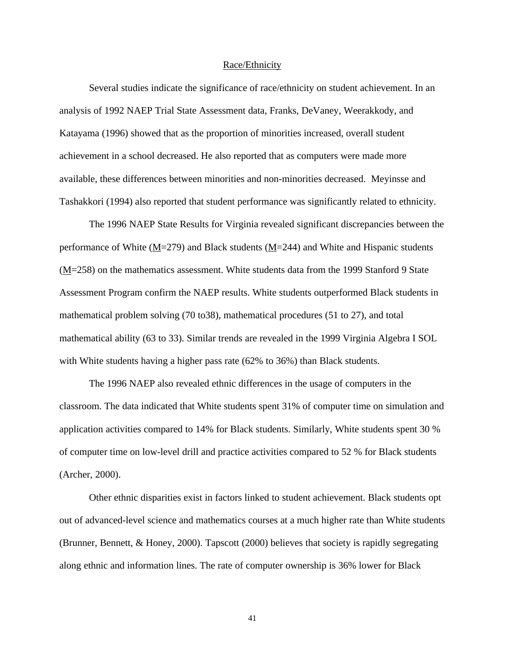#### Race/Ethnicity

Several studies indicate the significance of race/ethnicity on student achievement. In an analysis of 1992 NAEP Trial State Assessment data, Franks, DeVaney, Weerakkody, and Katayama (1996) showed that as the proportion of minorities increased, overall student achievement in a school decreased. He also reported that as computers were made more available, these differences between minorities and non-minorities decreased. Meyinsse and Tashakkori (1994) also reported that student performance was significantly related to ethnicity.

The 1996 NAEP State Results for Virginia revealed significant discrepancies between the performance of White (M=279) and Black students (M=244) and White and Hispanic students (M=258) on the mathematics assessment. White students data from the 1999 Stanford 9 State Assessment Program confirm the NAEP results. White students outperformed Black students in mathematical problem solving (70 to38), mathematical procedures (51 to 27), and total mathematical ability (63 to 33). Similar trends are revealed in the 1999 Virginia Algebra I SOL with White students having a higher pass rate (62% to 36%) than Black students.

The 1996 NAEP also revealed ethnic differences in the usage of computers in the classroom. The data indicated that White students spent 31% of computer time on simulation and application activities compared to 14% for Black students. Similarly, White students spent 30 % of computer time on low-level drill and practice activities compared to 52 % for Black students (Archer, 2000).

Other ethnic disparities exist in factors linked to student achievement. Black students opt out of advanced-level science and mathematics courses at a much higher rate than White students (Brunner, Bennett, & Honey, 2000). Tapscott (2000) believes that society is rapidly segregating along ethnic and information lines. The rate of computer ownership is 36% lower for Black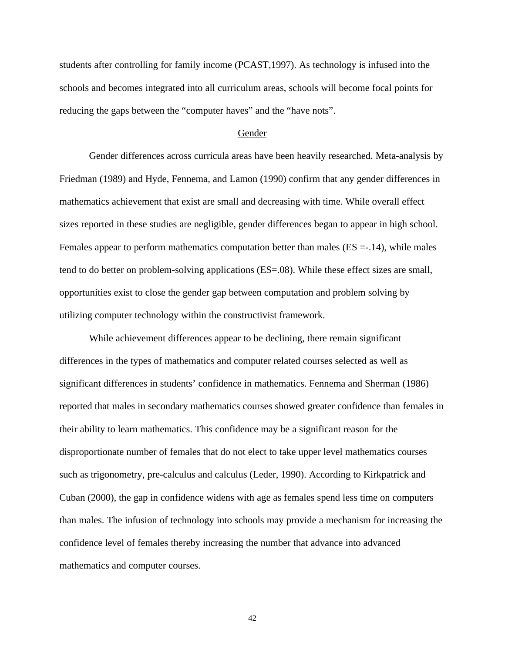students after controlling for family income (PCAST,1997). As technology is infused into the schools and becomes integrated into all curriculum areas, schools will become focal points for reducing the gaps between the "computer haves" and the "have nots".

## Gender

Gender differences across curricula areas have been heavily researched. Meta-analysis by Friedman (1989) and Hyde, Fennema, and Lamon (1990) confirm that any gender differences in mathematics achievement that exist are small and decreasing with time. While overall effect sizes reported in these studies are negligible, gender differences began to appear in high school. Females appear to perform mathematics computation better than males (ES =-.14), while males tend to do better on problem-solving applications (ES=.08). While these effect sizes are small, opportunities exist to close the gender gap between computation and problem solving by utilizing computer technology within the constructivist framework.

While achievement differences appear to be declining, there remain significant differences in the types of mathematics and computer related courses selected as well as significant differences in students' confidence in mathematics. Fennema and Sherman (1986) reported that males in secondary mathematics courses showed greater confidence than females in their ability to learn mathematics. This confidence may be a significant reason for the disproportionate number of females that do not elect to take upper level mathematics courses such as trigonometry, pre-calculus and calculus (Leder, 1990). According to Kirkpatrick and Cuban (2000), the gap in confidence widens with age as females spend less time on computers than males. The infusion of technology into schools may provide a mechanism for increasing the confidence level of females thereby increasing the number that advance into advanced mathematics and computer courses.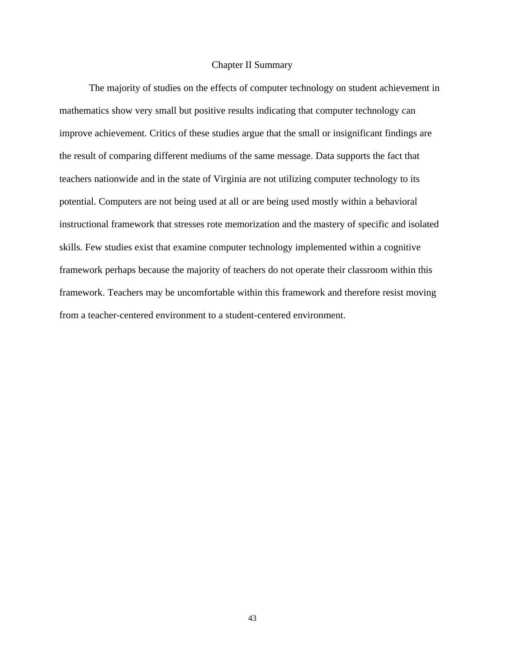## Chapter II Summary

The majority of studies on the effects of computer technology on student achievement in mathematics show very small but positive results indicating that computer technology can improve achievement. Critics of these studies argue that the small or insignificant findings are the result of comparing different mediums of the same message. Data supports the fact that teachers nationwide and in the state of Virginia are not utilizing computer technology to its potential. Computers are not being used at all or are being used mostly within a behavioral instructional framework that stresses rote memorization and the mastery of specific and isolated skills. Few studies exist that examine computer technology implemented within a cognitive framework perhaps because the majority of teachers do not operate their classroom within this framework. Teachers may be uncomfortable within this framework and therefore resist moving from a teacher-centered environment to a student-centered environment.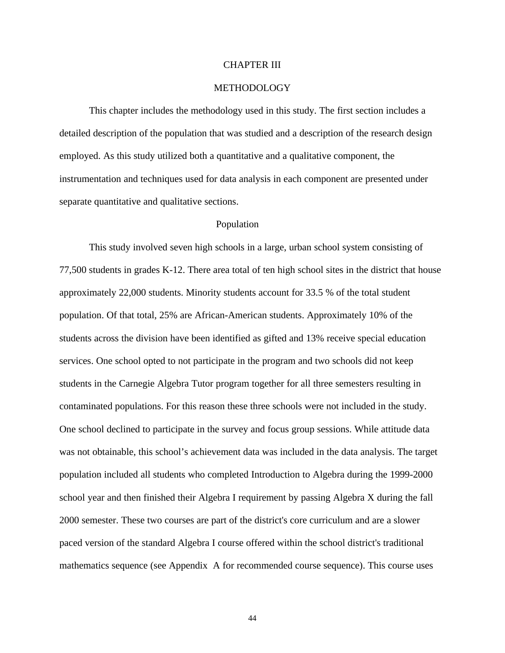#### CHAPTER III

## METHODOLOGY

This chapter includes the methodology used in this study. The first section includes a detailed description of the population that was studied and a description of the research design employed. As this study utilized both a quantitative and a qualitative component, the instrumentation and techniques used for data analysis in each component are presented under separate quantitative and qualitative sections.

#### Population

This study involved seven high schools in a large, urban school system consisting of 77,500 students in grades K-12. There area total of ten high school sites in the district that house approximately 22,000 students. Minority students account for 33.5 % of the total student population. Of that total, 25% are African-American students. Approximately 10% of the students across the division have been identified as gifted and 13% receive special education services. One school opted to not participate in the program and two schools did not keep students in the Carnegie Algebra Tutor program together for all three semesters resulting in contaminated populations. For this reason these three schools were not included in the study. One school declined to participate in the survey and focus group sessions. While attitude data was not obtainable, this school's achievement data was included in the data analysis. The target population included all students who completed Introduction to Algebra during the 1999-2000 school year and then finished their Algebra I requirement by passing Algebra X during the fall 2000 semester. These two courses are part of the district's core curriculum and are a slower paced version of the standard Algebra I course offered within the school district's traditional mathematics sequence (see Appendix A for recommended course sequence). This course uses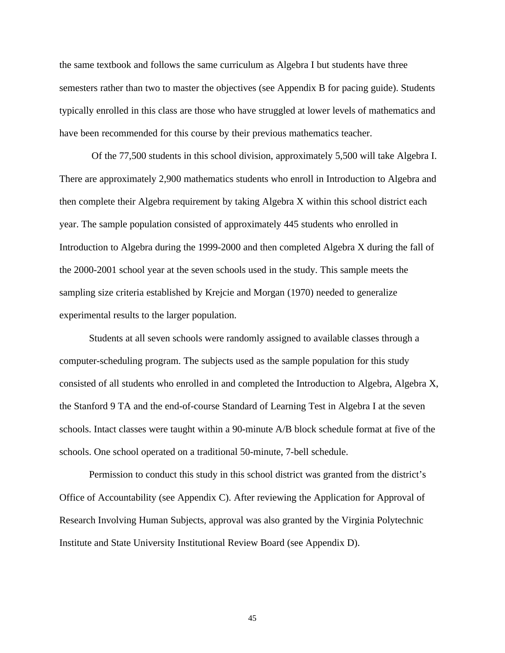the same textbook and follows the same curriculum as Algebra I but students have three semesters rather than two to master the objectives (see Appendix B for pacing guide). Students typically enrolled in this class are those who have struggled at lower levels of mathematics and have been recommended for this course by their previous mathematics teacher.

 Of the 77,500 students in this school division, approximately 5,500 will take Algebra I. There are approximately 2,900 mathematics students who enroll in Introduction to Algebra and then complete their Algebra requirement by taking Algebra X within this school district each year. The sample population consisted of approximately 445 students who enrolled in Introduction to Algebra during the 1999-2000 and then completed Algebra X during the fall of the 2000-2001 school year at the seven schools used in the study. This sample meets the sampling size criteria established by Krejcie and Morgan (1970) needed to generalize experimental results to the larger population.

Students at all seven schools were randomly assigned to available classes through a computer-scheduling program. The subjects used as the sample population for this study consisted of all students who enrolled in and completed the Introduction to Algebra, Algebra X, the Stanford 9 TA and the end-of-course Standard of Learning Test in Algebra I at the seven schools. Intact classes were taught within a 90-minute A/B block schedule format at five of the schools. One school operated on a traditional 50-minute, 7-bell schedule.

Permission to conduct this study in this school district was granted from the district's Office of Accountability (see Appendix C). After reviewing the Application for Approval of Research Involving Human Subjects, approval was also granted by the Virginia Polytechnic Institute and State University Institutional Review Board (see Appendix D).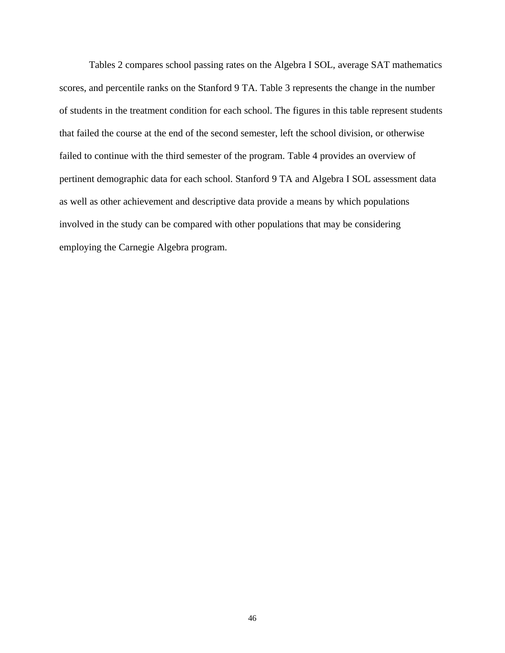Tables 2 compares school passing rates on the Algebra I SOL, average SAT mathematics scores, and percentile ranks on the Stanford 9 TA. Table 3 represents the change in the number of students in the treatment condition for each school. The figures in this table represent students that failed the course at the end of the second semester, left the school division, or otherwise failed to continue with the third semester of the program. Table 4 provides an overview of pertinent demographic data for each school. Stanford 9 TA and Algebra I SOL assessment data as well as other achievement and descriptive data provide a means by which populations involved in the study can be compared with other populations that may be considering employing the Carnegie Algebra program.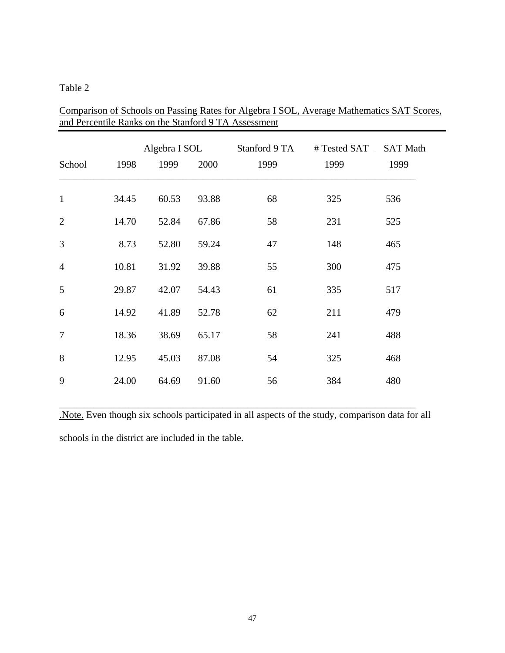## Table 2

| School         | 1998  | Algebra I SOL<br>1999 | 2000  | Stanford 9 TA<br>1999 | # Tested SAT<br>1999 | <b>SAT Math</b><br>1999 |
|----------------|-------|-----------------------|-------|-----------------------|----------------------|-------------------------|
| $\mathbf{1}$   | 34.45 | 60.53                 | 93.88 | 68                    | 325                  | 536                     |
| $\overline{2}$ | 14.70 | 52.84                 | 67.86 | 58                    | 231                  | 525                     |
| 3              | 8.73  | 52.80                 | 59.24 | 47                    | 148                  | 465                     |
| $\overline{4}$ | 10.81 | 31.92                 | 39.88 | 55                    | 300                  | 475                     |
| 5              | 29.87 | 42.07                 | 54.43 | 61                    | 335                  | 517                     |
| 6              | 14.92 | 41.89                 | 52.78 | 62                    | 211                  | 479                     |
| $\tau$         | 18.36 | 38.69                 | 65.17 | 58                    | 241                  | 488                     |
| 8              | 12.95 | 45.03                 | 87.08 | 54                    | 325                  | 468                     |
| 9              | 24.00 | 64.69                 | 91.60 | 56                    | 384                  | 480                     |

Comparison of Schools on Passing Rates for Algebra I SOL, Average Mathematics SAT Scores, and Percentile Ranks on the Stanford 9 TA Assessment

\_\_\_\_\_\_\_\_\_\_\_\_\_\_\_\_\_\_\_\_\_\_\_\_\_\_\_\_\_\_\_\_\_\_\_\_\_\_\_\_\_\_\_\_\_\_\_\_\_\_\_\_\_\_\_\_\_\_\_\_\_\_\_\_\_\_\_\_\_\_\_\_ .Note. Even though six schools participated in all aspects of the study, comparison data for all schools in the district are included in the table.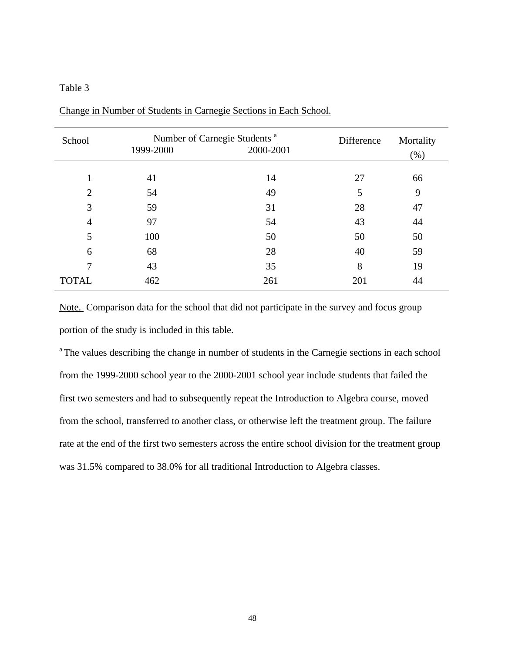## Table 3

| School         | 1999-2000 | Number of Carnegie Students <sup>a</sup><br>2000-2001 | Difference | Mortality<br>(% ) |
|----------------|-----------|-------------------------------------------------------|------------|-------------------|
|                |           |                                                       |            |                   |
|                | 41        | 14                                                    | 27         | 66                |
| $\overline{2}$ | 54        | 49                                                    | 5          | 9                 |
| 3              | 59        | 31                                                    | 28         | 47                |
| $\overline{4}$ | 97        | 54                                                    | 43         | 44                |
| 5              | 100       | 50                                                    | 50         | 50                |
| 6              | 68        | 28                                                    | 40         | 59                |
| $\tau$         | 43        | 35                                                    | 8          | 19                |
| <b>TOTAL</b>   | 462       | 261                                                   | 201        | 44                |

Change in Number of Students in Carnegie Sections in Each School.

Note. Comparison data for the school that did not participate in the survey and focus group portion of the study is included in this table.

<sup>a</sup> The values describing the change in number of students in the Carnegie sections in each school from the 1999-2000 school year to the 2000-2001 school year include students that failed the first two semesters and had to subsequently repeat the Introduction to Algebra course, moved from the school, transferred to another class, or otherwise left the treatment group. The failure rate at the end of the first two semesters across the entire school division for the treatment group was 31.5% compared to 38.0% for all traditional Introduction to Algebra classes.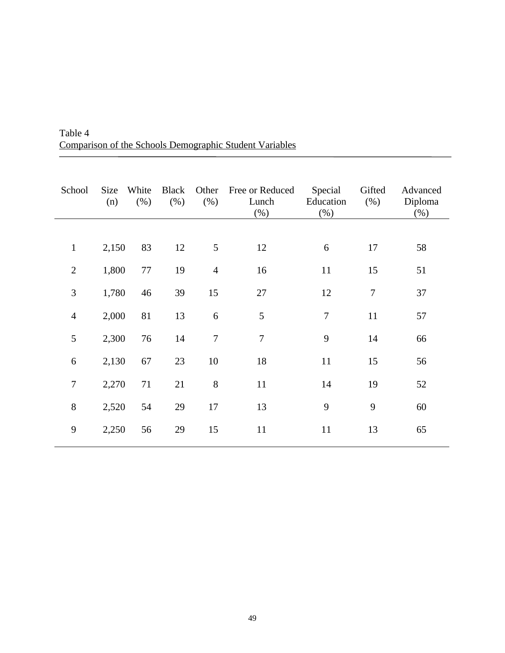| School         | Size<br>(n) | White<br>(% ) | Black<br>(% ) | Other<br>(% )  | Free or Reduced<br>Lunch<br>$(\%)$ | Special<br>Education<br>$(\%)$ | Gifted<br>(% ) | Advanced<br>Diploma<br>$(\% )$ |
|----------------|-------------|---------------|---------------|----------------|------------------------------------|--------------------------------|----------------|--------------------------------|
| $\mathbf{1}$   | 2,150       | 83            | 12            | 5              | 12                                 | 6                              | 17             | 58                             |
| $\overline{2}$ | 1,800       | $77\,$        | 19            | $\overline{4}$ | 16                                 | 11                             | 15             | 51                             |
| $\mathfrak{Z}$ | 1,780       | 46            | 39            | 15             | 27                                 | 12                             | 7              | 37                             |
| $\overline{4}$ | 2,000       | 81            | 13            | 6              | 5                                  | $\boldsymbol{7}$               | 11             | 57                             |
| 5              | 2,300       | 76            | 14            | $\overline{7}$ | $\overline{7}$                     | 9                              | 14             | 66                             |
| 6              | 2,130       | 67            | 23            | 10             | 18                                 | 11                             | 15             | 56                             |
| $\tau$         | 2,270       | 71            | 21            | 8              | 11                                 | 14                             | 19             | 52                             |
| $8\,$          | 2,520       | 54            | 29            | 17             | 13                                 | 9                              | 9              | 60                             |
| 9              | 2,250       | 56            | 29            | 15             | 11                                 | 11                             | 13             | 65                             |

Table 4 Comparison of the Schools Demographic Student Variables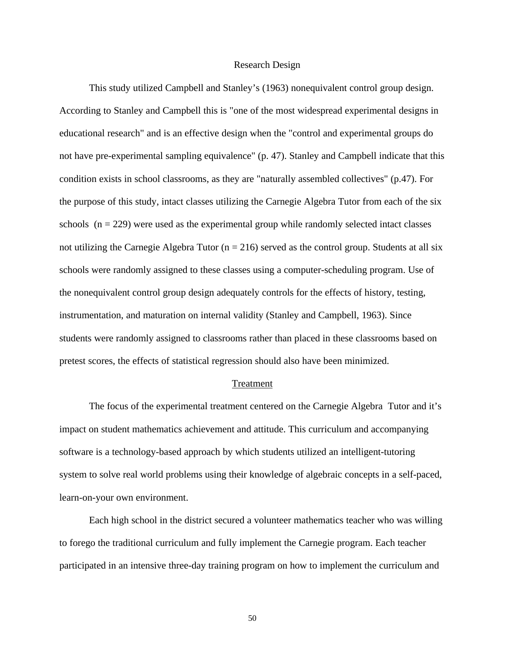#### Research Design

This study utilized Campbell and Stanley's (1963) nonequivalent control group design. According to Stanley and Campbell this is "one of the most widespread experimental designs in educational research" and is an effective design when the "control and experimental groups do not have pre-experimental sampling equivalence" (p. 47). Stanley and Campbell indicate that this condition exists in school classrooms, as they are "naturally assembled collectives" (p.47). For the purpose of this study, intact classes utilizing the Carnegie Algebra Tutor from each of the six schools  $(n = 229)$  were used as the experimental group while randomly selected intact classes not utilizing the Carnegie Algebra Tutor ( $n = 216$ ) served as the control group. Students at all six schools were randomly assigned to these classes using a computer-scheduling program. Use of the nonequivalent control group design adequately controls for the effects of history, testing, instrumentation, and maturation on internal validity (Stanley and Campbell, 1963). Since students were randomly assigned to classrooms rather than placed in these classrooms based on pretest scores, the effects of statistical regression should also have been minimized.

#### Treatment

The focus of the experimental treatment centered on the Carnegie Algebra Tutor and it's impact on student mathematics achievement and attitude. This curriculum and accompanying software is a technology-based approach by which students utilized an intelligent-tutoring system to solve real world problems using their knowledge of algebraic concepts in a self-paced, learn-on-your own environment.

Each high school in the district secured a volunteer mathematics teacher who was willing to forego the traditional curriculum and fully implement the Carnegie program. Each teacher participated in an intensive three-day training program on how to implement the curriculum and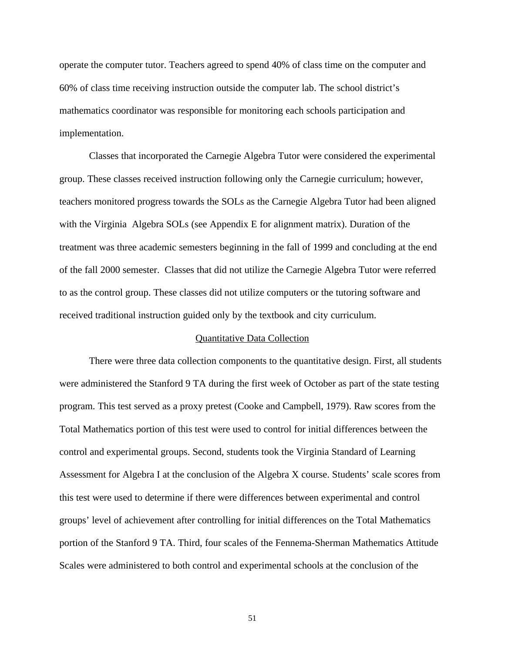operate the computer tutor. Teachers agreed to spend 40% of class time on the computer and 60% of class time receiving instruction outside the computer lab. The school district's mathematics coordinator was responsible for monitoring each schools participation and implementation.

Classes that incorporated the Carnegie Algebra Tutor were considered the experimental group. These classes received instruction following only the Carnegie curriculum; however, teachers monitored progress towards the SOLs as the Carnegie Algebra Tutor had been aligned with the Virginia Algebra SOLs (see Appendix E for alignment matrix). Duration of the treatment was three academic semesters beginning in the fall of 1999 and concluding at the end of the fall 2000 semester. Classes that did not utilize the Carnegie Algebra Tutor were referred to as the control group. These classes did not utilize computers or the tutoring software and received traditional instruction guided only by the textbook and city curriculum.

#### Quantitative Data Collection

There were three data collection components to the quantitative design. First, all students were administered the Stanford 9 TA during the first week of October as part of the state testing program. This test served as a proxy pretest (Cooke and Campbell, 1979). Raw scores from the Total Mathematics portion of this test were used to control for initial differences between the control and experimental groups. Second, students took the Virginia Standard of Learning Assessment for Algebra I at the conclusion of the Algebra X course. Students' scale scores from this test were used to determine if there were differences between experimental and control groups' level of achievement after controlling for initial differences on the Total Mathematics portion of the Stanford 9 TA. Third, four scales of the Fennema-Sherman Mathematics Attitude Scales were administered to both control and experimental schools at the conclusion of the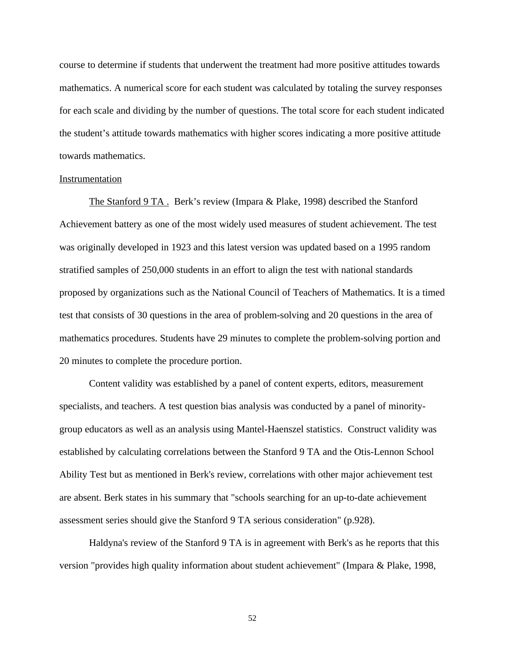course to determine if students that underwent the treatment had more positive attitudes towards mathematics. A numerical score for each student was calculated by totaling the survey responses for each scale and dividing by the number of questions. The total score for each student indicated the student's attitude towards mathematics with higher scores indicating a more positive attitude towards mathematics.

#### Instrumentation

The Stanford 9 TA . Berk's review (Impara & Plake, 1998) described the Stanford Achievement battery as one of the most widely used measures of student achievement. The test was originally developed in 1923 and this latest version was updated based on a 1995 random stratified samples of 250,000 students in an effort to align the test with national standards proposed by organizations such as the National Council of Teachers of Mathematics. It is a timed test that consists of 30 questions in the area of problem-solving and 20 questions in the area of mathematics procedures. Students have 29 minutes to complete the problem-solving portion and 20 minutes to complete the procedure portion.

Content validity was established by a panel of content experts, editors, measurement specialists, and teachers. A test question bias analysis was conducted by a panel of minoritygroup educators as well as an analysis using Mantel-Haenszel statistics. Construct validity was established by calculating correlations between the Stanford 9 TA and the Otis-Lennon School Ability Test but as mentioned in Berk's review, correlations with other major achievement test are absent. Berk states in his summary that "schools searching for an up-to-date achievement assessment series should give the Stanford 9 TA serious consideration" (p.928).

Haldyna's review of the Stanford 9 TA is in agreement with Berk's as he reports that this version "provides high quality information about student achievement" (Impara & Plake, 1998,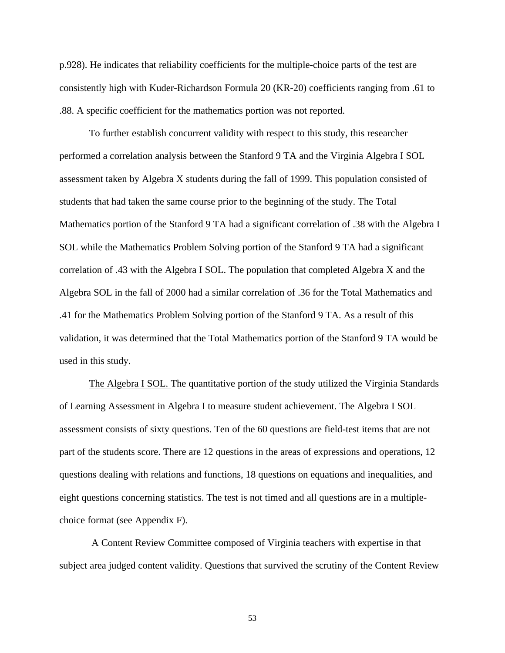p.928). He indicates that reliability coefficients for the multiple-choice parts of the test are consistently high with Kuder-Richardson Formula 20 (KR-20) coefficients ranging from .61 to .88. A specific coefficient for the mathematics portion was not reported.

To further establish concurrent validity with respect to this study, this researcher performed a correlation analysis between the Stanford 9 TA and the Virginia Algebra I SOL assessment taken by Algebra X students during the fall of 1999. This population consisted of students that had taken the same course prior to the beginning of the study. The Total Mathematics portion of the Stanford 9 TA had a significant correlation of .38 with the Algebra I SOL while the Mathematics Problem Solving portion of the Stanford 9 TA had a significant correlation of .43 with the Algebra I SOL. The population that completed Algebra X and the Algebra SOL in the fall of 2000 had a similar correlation of .36 for the Total Mathematics and .41 for the Mathematics Problem Solving portion of the Stanford 9 TA. As a result of this validation, it was determined that the Total Mathematics portion of the Stanford 9 TA would be used in this study.

The Algebra I SOL. The quantitative portion of the study utilized the Virginia Standards of Learning Assessment in Algebra I to measure student achievement. The Algebra I SOL assessment consists of sixty questions. Ten of the 60 questions are field-test items that are not part of the students score. There are 12 questions in the areas of expressions and operations, 12 questions dealing with relations and functions, 18 questions on equations and inequalities, and eight questions concerning statistics. The test is not timed and all questions are in a multiplechoice format (see Appendix F).

 A Content Review Committee composed of Virginia teachers with expertise in that subject area judged content validity. Questions that survived the scrutiny of the Content Review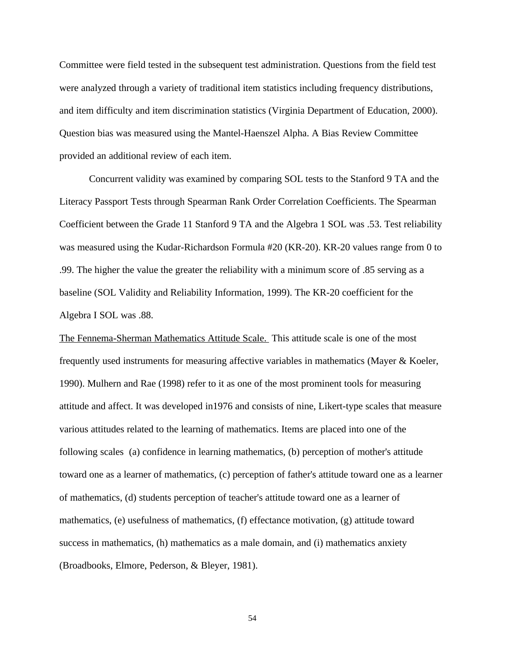Committee were field tested in the subsequent test administration. Questions from the field test were analyzed through a variety of traditional item statistics including frequency distributions, and item difficulty and item discrimination statistics (Virginia Department of Education, 2000). Question bias was measured using the Mantel-Haenszel Alpha. A Bias Review Committee provided an additional review of each item.

Concurrent validity was examined by comparing SOL tests to the Stanford 9 TA and the Literacy Passport Tests through Spearman Rank Order Correlation Coefficients. The Spearman Coefficient between the Grade 11 Stanford 9 TA and the Algebra 1 SOL was .53. Test reliability was measured using the Kudar-Richardson Formula #20 (KR-20). KR-20 values range from 0 to .99. The higher the value the greater the reliability with a minimum score of .85 serving as a baseline (SOL Validity and Reliability Information, 1999). The KR-20 coefficient for the Algebra I SOL was .88.

The Fennema-Sherman Mathematics Attitude Scale. This attitude scale is one of the most frequently used instruments for measuring affective variables in mathematics (Mayer & Koeler, 1990). Mulhern and Rae (1998) refer to it as one of the most prominent tools for measuring attitude and affect. It was developed in1976 and consists of nine, Likert-type scales that measure various attitudes related to the learning of mathematics. Items are placed into one of the following scales (a) confidence in learning mathematics, (b) perception of mother's attitude toward one as a learner of mathematics, (c) perception of father's attitude toward one as a learner of mathematics, (d) students perception of teacher's attitude toward one as a learner of mathematics, (e) usefulness of mathematics, (f) effectance motivation, (g) attitude toward success in mathematics, (h) mathematics as a male domain, and (i) mathematics anxiety (Broadbooks, Elmore, Pederson, & Bleyer, 1981).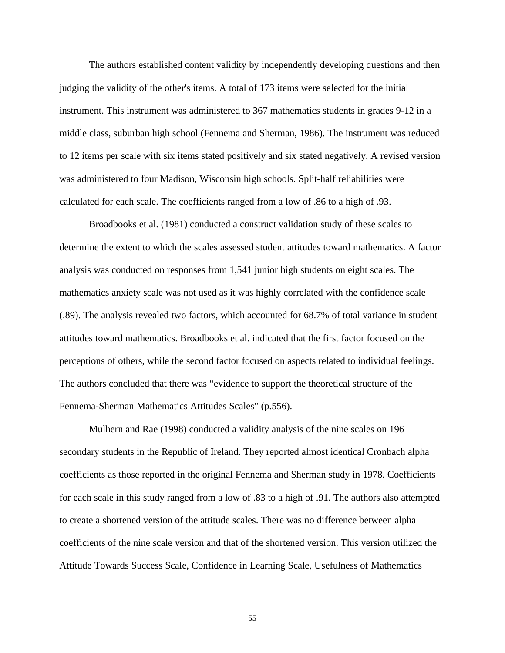The authors established content validity by independently developing questions and then judging the validity of the other's items. A total of 173 items were selected for the initial instrument. This instrument was administered to 367 mathematics students in grades 9-12 in a middle class, suburban high school (Fennema and Sherman, 1986). The instrument was reduced to 12 items per scale with six items stated positively and six stated negatively. A revised version was administered to four Madison, Wisconsin high schools. Split-half reliabilities were calculated for each scale. The coefficients ranged from a low of .86 to a high of .93.

Broadbooks et al. (1981) conducted a construct validation study of these scales to determine the extent to which the scales assessed student attitudes toward mathematics. A factor analysis was conducted on responses from 1,541 junior high students on eight scales. The mathematics anxiety scale was not used as it was highly correlated with the confidence scale (.89). The analysis revealed two factors, which accounted for 68.7% of total variance in student attitudes toward mathematics. Broadbooks et al. indicated that the first factor focused on the perceptions of others, while the second factor focused on aspects related to individual feelings. The authors concluded that there was "evidence to support the theoretical structure of the Fennema-Sherman Mathematics Attitudes Scales" (p.556).

Mulhern and Rae (1998) conducted a validity analysis of the nine scales on 196 secondary students in the Republic of Ireland. They reported almost identical Cronbach alpha coefficients as those reported in the original Fennema and Sherman study in 1978. Coefficients for each scale in this study ranged from a low of .83 to a high of .91. The authors also attempted to create a shortened version of the attitude scales. There was no difference between alpha coefficients of the nine scale version and that of the shortened version. This version utilized the Attitude Towards Success Scale, Confidence in Learning Scale, Usefulness of Mathematics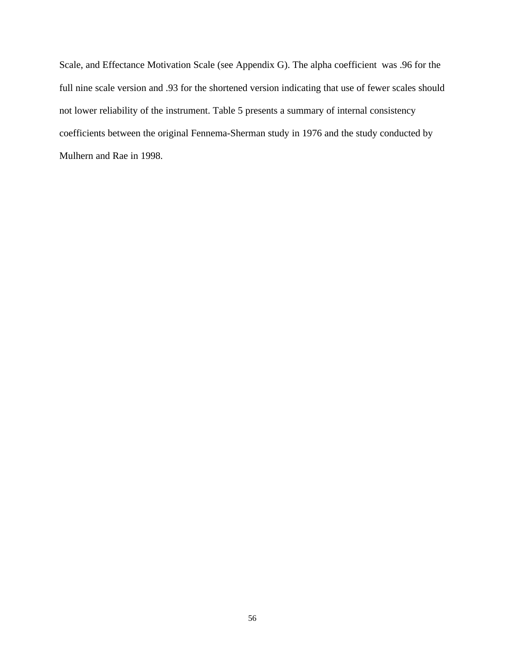Scale, and Effectance Motivation Scale (see Appendix G). The alpha coefficient was .96 for the full nine scale version and .93 for the shortened version indicating that use of fewer scales should not lower reliability of the instrument. Table 5 presents a summary of internal consistency coefficients between the original Fennema-Sherman study in 1976 and the study conducted by Mulhern and Rae in 1998.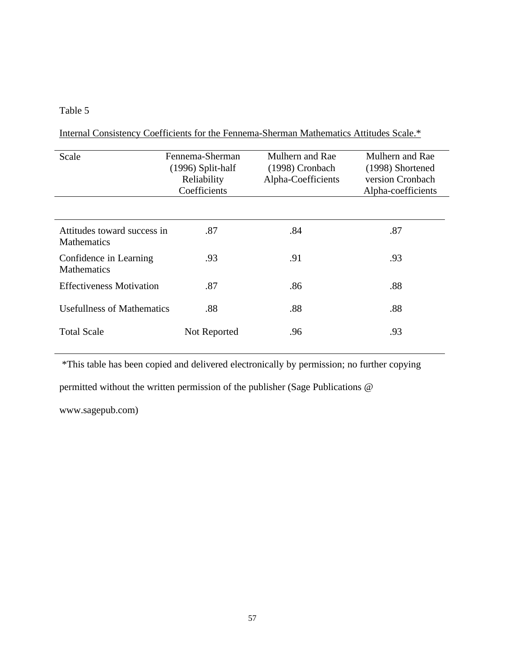# Table 5

Internal Consistency Coefficients for the Fennema-Sherman Mathematics Attitudes Scale.\*

| Scale                                             | Fennema-Sherman<br>$(1996)$ Split-half<br>Reliability<br>Coefficients | Mulhern and Rae<br>(1998) Cronbach<br>Alpha-Coefficients | Mulhern and Rae<br>(1998) Shortened<br>version Cronbach<br>Alpha-coefficients |
|---------------------------------------------------|-----------------------------------------------------------------------|----------------------------------------------------------|-------------------------------------------------------------------------------|
|                                                   |                                                                       |                                                          |                                                                               |
| Attitudes toward success in<br><b>Mathematics</b> | .87                                                                   | .84                                                      | .87                                                                           |
| Confidence in Learning<br><b>Mathematics</b>      | .93                                                                   | .91                                                      | .93                                                                           |
| <b>Effectiveness Motivation</b>                   | .87                                                                   | .86                                                      | .88                                                                           |
| <b>Usefullness of Mathematics</b>                 | .88                                                                   | .88                                                      | .88                                                                           |
| <b>Total Scale</b>                                | Not Reported                                                          | .96                                                      | .93                                                                           |

\*This table has been copied and delivered electronically by permission; no further copying

permitted without the written permission of the publisher (Sage Publications @

www.sagepub.com)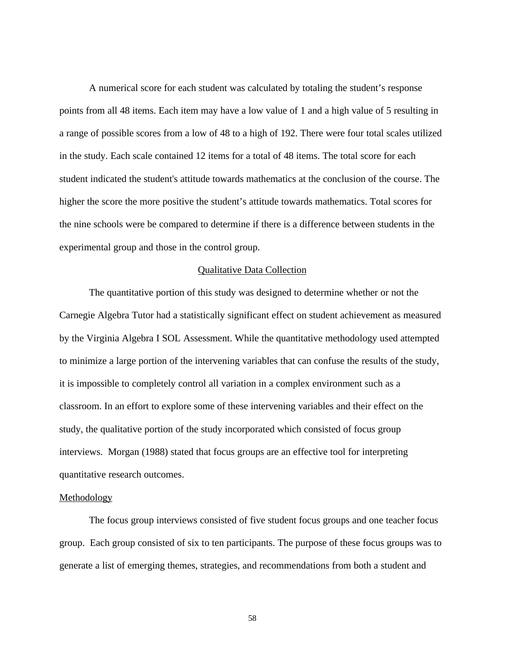A numerical score for each student was calculated by totaling the student's response points from all 48 items. Each item may have a low value of 1 and a high value of 5 resulting in a range of possible scores from a low of 48 to a high of 192. There were four total scales utilized in the study. Each scale contained 12 items for a total of 48 items. The total score for each student indicated the student's attitude towards mathematics at the conclusion of the course. The higher the score the more positive the student's attitude towards mathematics. Total scores for the nine schools were be compared to determine if there is a difference between students in the experimental group and those in the control group.

## Qualitative Data Collection

The quantitative portion of this study was designed to determine whether or not the Carnegie Algebra Tutor had a statistically significant effect on student achievement as measured by the Virginia Algebra I SOL Assessment. While the quantitative methodology used attempted to minimize a large portion of the intervening variables that can confuse the results of the study, it is impossible to completely control all variation in a complex environment such as a classroom. In an effort to explore some of these intervening variables and their effect on the study, the qualitative portion of the study incorporated which consisted of focus group interviews. Morgan (1988) stated that focus groups are an effective tool for interpreting quantitative research outcomes.

#### Methodology

The focus group interviews consisted of five student focus groups and one teacher focus group. Each group consisted of six to ten participants. The purpose of these focus groups was to generate a list of emerging themes, strategies, and recommendations from both a student and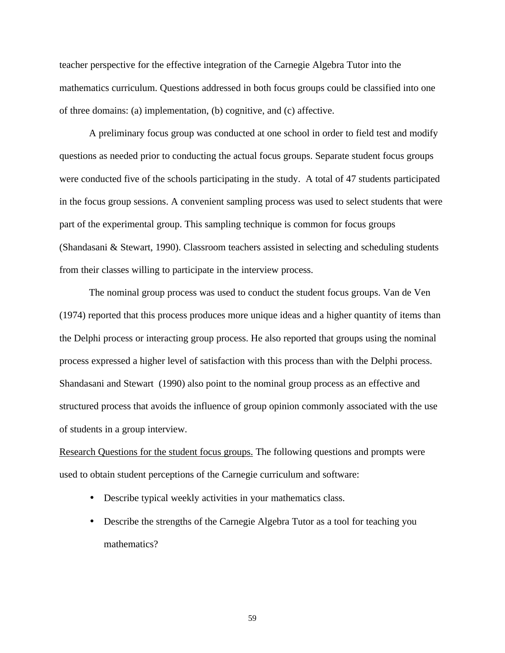teacher perspective for the effective integration of the Carnegie Algebra Tutor into the mathematics curriculum. Questions addressed in both focus groups could be classified into one of three domains: (a) implementation, (b) cognitive, and (c) affective.

A preliminary focus group was conducted at one school in order to field test and modify questions as needed prior to conducting the actual focus groups. Separate student focus groups were conducted five of the schools participating in the study. A total of 47 students participated in the focus group sessions. A convenient sampling process was used to select students that were part of the experimental group. This sampling technique is common for focus groups (Shandasani & Stewart, 1990). Classroom teachers assisted in selecting and scheduling students from their classes willing to participate in the interview process.

The nominal group process was used to conduct the student focus groups. Van de Ven (1974) reported that this process produces more unique ideas and a higher quantity of items than the Delphi process or interacting group process. He also reported that groups using the nominal process expressed a higher level of satisfaction with this process than with the Delphi process. Shandasani and Stewart (1990) also point to the nominal group process as an effective and structured process that avoids the influence of group opinion commonly associated with the use of students in a group interview.

Research Questions for the student focus groups. The following questions and prompts were used to obtain student perceptions of the Carnegie curriculum and software:

- Describe typical weekly activities in your mathematics class.
- Describe the strengths of the Carnegie Algebra Tutor as a tool for teaching you mathematics?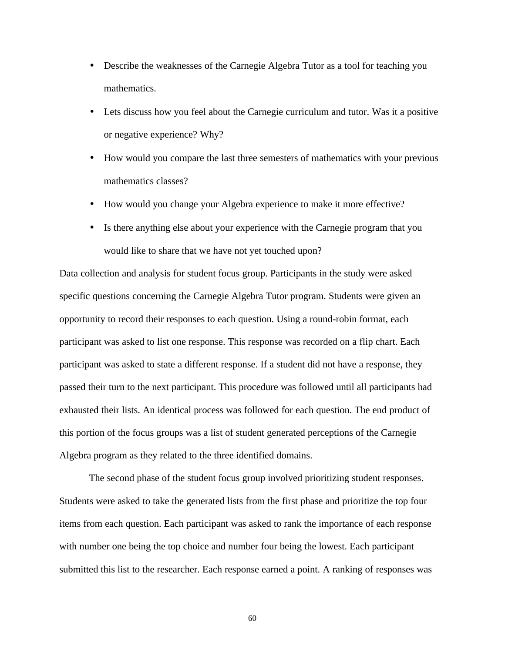- Describe the weaknesses of the Carnegie Algebra Tutor as a tool for teaching you mathematics.
- Lets discuss how you feel about the Carnegie curriculum and tutor. Was it a positive or negative experience? Why?
- How would you compare the last three semesters of mathematics with your previous mathematics classes?
- How would you change your Algebra experience to make it more effective?
- Is there anything else about your experience with the Carnegie program that you would like to share that we have not yet touched upon?

Data collection and analysis for student focus group. Participants in the study were asked specific questions concerning the Carnegie Algebra Tutor program. Students were given an opportunity to record their responses to each question. Using a round-robin format, each participant was asked to list one response. This response was recorded on a flip chart. Each participant was asked to state a different response. If a student did not have a response, they passed their turn to the next participant. This procedure was followed until all participants had exhausted their lists. An identical process was followed for each question. The end product of this portion of the focus groups was a list of student generated perceptions of the Carnegie Algebra program as they related to the three identified domains.

The second phase of the student focus group involved prioritizing student responses. Students were asked to take the generated lists from the first phase and prioritize the top four items from each question. Each participant was asked to rank the importance of each response with number one being the top choice and number four being the lowest. Each participant submitted this list to the researcher. Each response earned a point. A ranking of responses was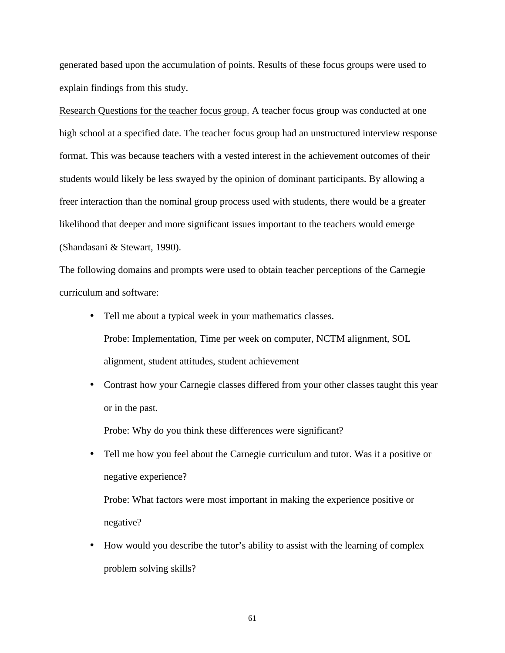generated based upon the accumulation of points. Results of these focus groups were used to explain findings from this study.

Research Questions for the teacher focus group. A teacher focus group was conducted at one high school at a specified date. The teacher focus group had an unstructured interview response format. This was because teachers with a vested interest in the achievement outcomes of their students would likely be less swayed by the opinion of dominant participants. By allowing a freer interaction than the nominal group process used with students, there would be a greater likelihood that deeper and more significant issues important to the teachers would emerge (Shandasani & Stewart, 1990).

The following domains and prompts were used to obtain teacher perceptions of the Carnegie curriculum and software:

- Tell me about a typical week in your mathematics classes. Probe: Implementation, Time per week on computer, NCTM alignment, SOL alignment, student attitudes, student achievement
- Contrast how your Carnegie classes differed from your other classes taught this year or in the past.

Probe: Why do you think these differences were significant?

• Tell me how you feel about the Carnegie curriculum and tutor. Was it a positive or negative experience?

Probe: What factors were most important in making the experience positive or negative?

• How would you describe the tutor's ability to assist with the learning of complex problem solving skills?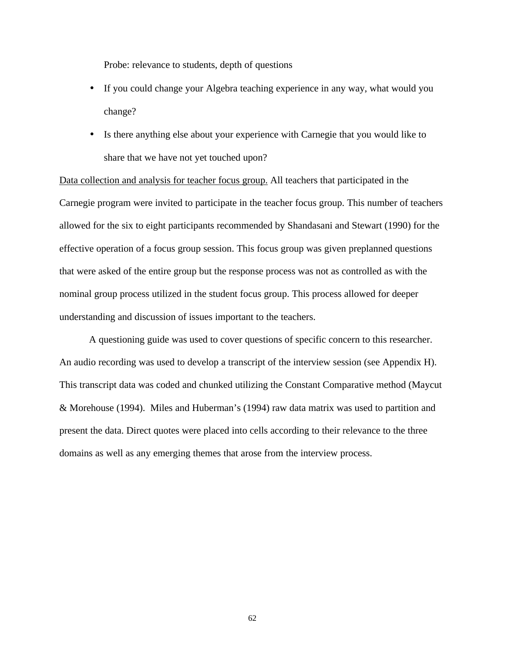Probe: relevance to students, depth of questions

- If you could change your Algebra teaching experience in any way, what would you change?
- Is there anything else about your experience with Carnegie that you would like to share that we have not yet touched upon?

Data collection and analysis for teacher focus group. All teachers that participated in the Carnegie program were invited to participate in the teacher focus group. This number of teachers allowed for the six to eight participants recommended by Shandasani and Stewart (1990) for the effective operation of a focus group session. This focus group was given preplanned questions that were asked of the entire group but the response process was not as controlled as with the nominal group process utilized in the student focus group. This process allowed for deeper understanding and discussion of issues important to the teachers.

A questioning guide was used to cover questions of specific concern to this researcher. An audio recording was used to develop a transcript of the interview session (see Appendix H). This transcript data was coded and chunked utilizing the Constant Comparative method (Maycut & Morehouse (1994). Miles and Huberman's (1994) raw data matrix was used to partition and present the data. Direct quotes were placed into cells according to their relevance to the three domains as well as any emerging themes that arose from the interview process.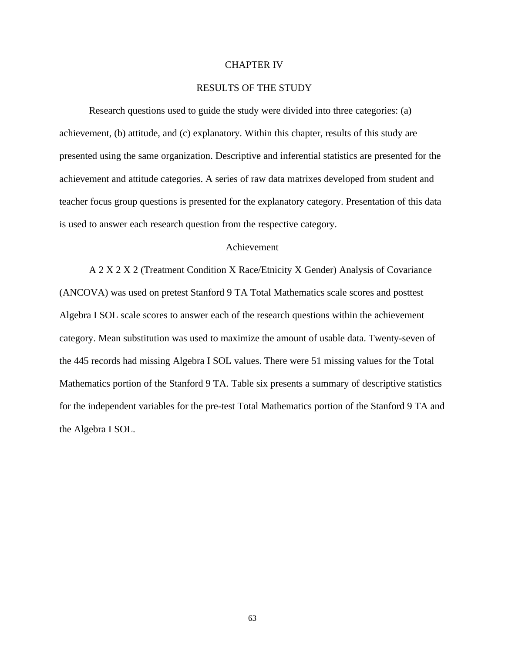### CHAPTER IV

### RESULTS OF THE STUDY

Research questions used to guide the study were divided into three categories: (a) achievement, (b) attitude, and (c) explanatory. Within this chapter, results of this study are presented using the same organization. Descriptive and inferential statistics are presented for the achievement and attitude categories. A series of raw data matrixes developed from student and teacher focus group questions is presented for the explanatory category. Presentation of this data is used to answer each research question from the respective category.

### Achievement

A 2 X 2 X 2 (Treatment Condition X Race/Etnicity X Gender) Analysis of Covariance (ANCOVA) was used on pretest Stanford 9 TA Total Mathematics scale scores and posttest Algebra I SOL scale scores to answer each of the research questions within the achievement category. Mean substitution was used to maximize the amount of usable data. Twenty-seven of the 445 records had missing Algebra I SOL values. There were 51 missing values for the Total Mathematics portion of the Stanford 9 TA. Table six presents a summary of descriptive statistics for the independent variables for the pre-test Total Mathematics portion of the Stanford 9 TA and the Algebra I SOL.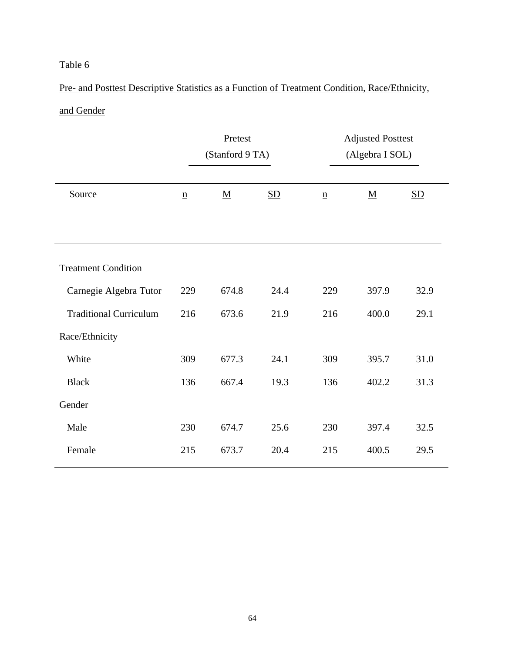# Pre- and Posttest Descriptive Statistics as a Function of Treatment Condition, Race/Ethnicity,

# and Gender

|                               | Pretest<br>(Stanford 9 TA) |                          | <b>Adjusted Posttest</b><br>(Algebra I SOL) |                          |                          |                           |
|-------------------------------|----------------------------|--------------------------|---------------------------------------------|--------------------------|--------------------------|---------------------------|
| Source                        | $\underline{\mathbf{n}}$   | $\underline{\mathbf{M}}$ | $\underline{\mathrm{SD}}$                   | $\underline{\mathbf{n}}$ | $\underline{\mathbf{M}}$ | $\underline{\mathrm{SD}}$ |
|                               |                            |                          |                                             |                          |                          |                           |
| <b>Treatment Condition</b>    |                            |                          |                                             |                          |                          |                           |
| Carnegie Algebra Tutor        | 229                        | 674.8                    | 24.4                                        | 229                      | 397.9                    | 32.9                      |
| <b>Traditional Curriculum</b> | 216                        | 673.6                    | 21.9                                        | 216                      | 400.0                    | 29.1                      |
| Race/Ethnicity                |                            |                          |                                             |                          |                          |                           |
| White                         | 309                        | 677.3                    | 24.1                                        | 309                      | 395.7                    | 31.0                      |
| <b>Black</b>                  | 136                        | 667.4                    | 19.3                                        | 136                      | 402.2                    | 31.3                      |
| Gender                        |                            |                          |                                             |                          |                          |                           |
| Male                          | 230                        | 674.7                    | 25.6                                        | 230                      | 397.4                    | 32.5                      |
| Female                        | 215                        | 673.7                    | 20.4                                        | 215                      | 400.5                    | 29.5                      |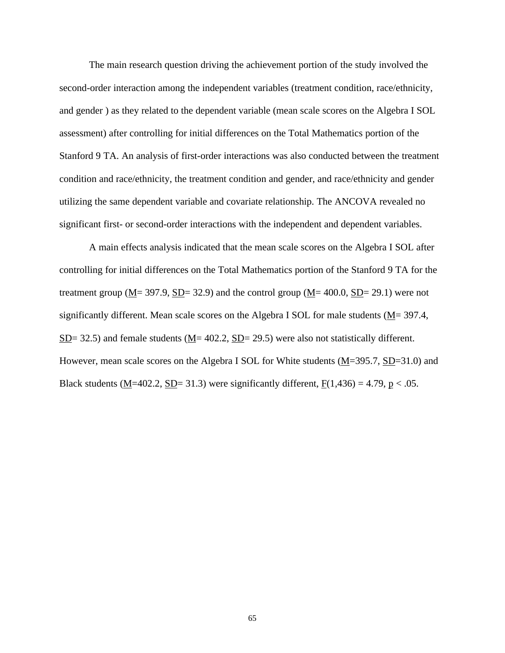The main research question driving the achievement portion of the study involved the second-order interaction among the independent variables (treatment condition, race/ethnicity, and gender ) as they related to the dependent variable (mean scale scores on the Algebra I SOL assessment) after controlling for initial differences on the Total Mathematics portion of the Stanford 9 TA. An analysis of first-order interactions was also conducted between the treatment condition and race/ethnicity, the treatment condition and gender, and race/ethnicity and gender utilizing the same dependent variable and covariate relationship. The ANCOVA revealed no significant first- or second-order interactions with the independent and dependent variables.

A main effects analysis indicated that the mean scale scores on the Algebra I SOL after controlling for initial differences on the Total Mathematics portion of the Stanford 9 TA for the treatment group ( $M = 397.9$ ,  $SD = 32.9$ ) and the control group ( $M = 400.0$ ,  $SD = 29.1$ ) were not significantly different. Mean scale scores on the Algebra I SOL for male students ( $M$ = 397.4,  $SD= 32.5$ ) and female students ( $M= 402.2$ ,  $SD= 29.5$ ) were also not statistically different. However, mean scale scores on the Algebra I SOL for White students  $(\underline{M} = 395.7, \underline{SD} = 31.0)$  and Black students ( $\underline{M}$ =402.2,  $\underline{SD}$ = 31.3) were significantly different,  $\underline{F}(1,436)$  = 4.79,  $\underline{p}$  < .05.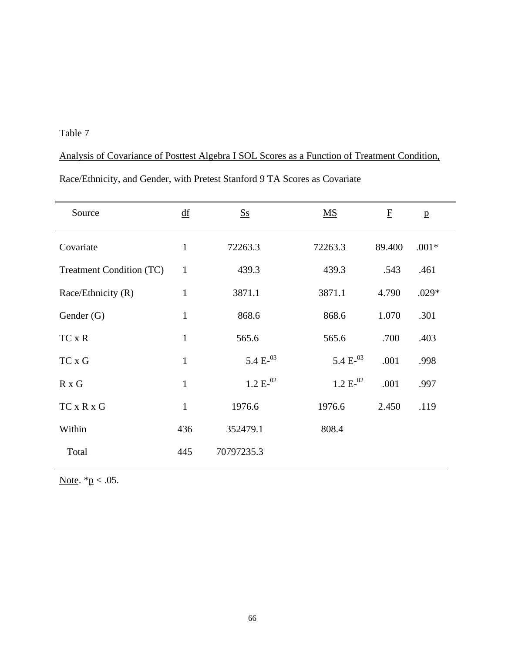Analysis of Covariance of Posttest Algebra I SOL Scores as a Function of Treatment Condition, Race/Ethnicity, and Gender, with Pretest Stanford 9 TA Scores as Covariate

| Source                   | df           | <b>Ss</b>     | $\overline{\text{MS}}$ | $\mathbf{F}$ | $\mathbf{p}$ |  |
|--------------------------|--------------|---------------|------------------------|--------------|--------------|--|
| Covariate                | $\mathbf{1}$ | 72263.3       | 72263.3                | 89.400       | $.001*$      |  |
| Treatment Condition (TC) | $\mathbf{1}$ | 439.3         | 439.3                  | .543         | .461         |  |
| Race/Ethnicity (R)       | $\mathbf{1}$ | 3871.1        | 3871.1                 | 4.790        | $.029*$      |  |
| Gender $(G)$             | $\mathbf{1}$ | 868.6         | 868.6                  | 1.070        | .301         |  |
| TC x R                   | $\mathbf{1}$ | 565.6         | 565.6                  | .700         | .403         |  |
| TC x G                   | $\mathbf{1}$ | 5.4 $E^{-03}$ | 5.4 $E^{-03}$          | .001         | .998         |  |
| $R \times G$             | $\mathbf{1}$ | $1.2 E^{-02}$ | $1.2 E^{-02}$          | .001         | .997         |  |
| $TC \times R \times G$   | $\mathbf{1}$ | 1976.6        | 1976.6                 | 2.450        | .119         |  |
| Within                   | 436          | 352479.1      | 808.4                  |              |              |  |
| Total                    | 445          | 70797235.3    |                        |              |              |  |

Note.  $*p < .05$ .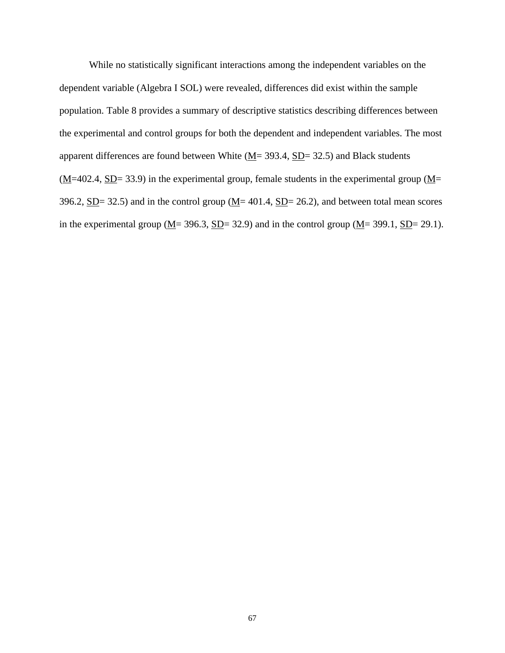While no statistically significant interactions among the independent variables on the dependent variable (Algebra I SOL) were revealed, differences did exist within the sample population. Table 8 provides a summary of descriptive statistics describing differences between the experimental and control groups for both the dependent and independent variables. The most apparent differences are found between White  $(\underline{M} = 393.4, \underline{SD} = 32.5)$  and Black students  $(\underline{M}$ =402.4, <u>SD</u>= 33.9) in the experimental group, female students in the experimental group ( $\underline{M}$ = 396.2,  $SD = 32.5$ ) and in the control group ( $M = 401.4$ ,  $SD = 26.2$ ), and between total mean scores in the experimental group ( $M$  = 396.3,  $SD$  = 32.9) and in the control group ( $M$  = 399.1,  $SD$  = 29.1).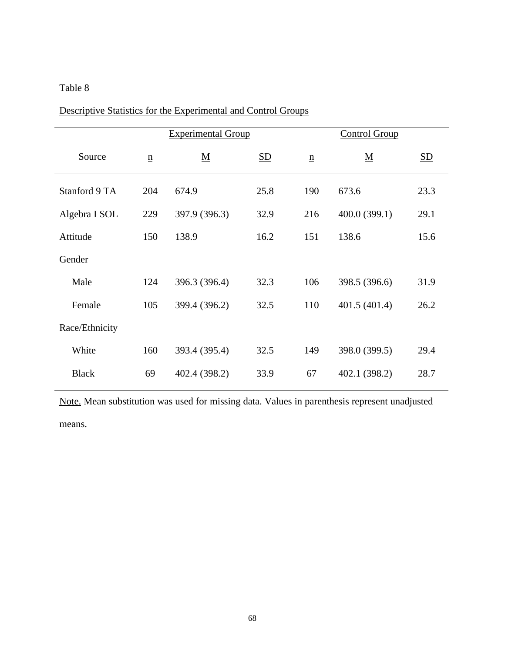|                |                          | <b>Experimental Group</b> |                           |                 | <b>Control Group</b>     |                           |  |
|----------------|--------------------------|---------------------------|---------------------------|-----------------|--------------------------|---------------------------|--|
| Source         | $\underline{\mathbf{n}}$ | $\underline{\mathbf{M}}$  | $\underline{\mathrm{SD}}$ | $\underline{n}$ | $\underline{\mathbf{M}}$ | $\underline{\mathrm{SD}}$ |  |
| Stanford 9 TA  | 204                      | 674.9                     | 25.8                      | 190             | 673.6                    | 23.3                      |  |
| Algebra I SOL  | 229                      | 397.9 (396.3)             | 32.9                      | 216             | 400.0 (399.1)            | 29.1                      |  |
| Attitude       | 150                      | 138.9                     | 16.2                      | 151             | 138.6                    | 15.6                      |  |
| Gender         |                          |                           |                           |                 |                          |                           |  |
| Male           | 124                      | 396.3 (396.4)             | 32.3                      | 106             | 398.5 (396.6)            | 31.9                      |  |
| Female         | 105                      | 399.4 (396.2)             | 32.5                      | 110             | 401.5 (401.4)            | 26.2                      |  |
| Race/Ethnicity |                          |                           |                           |                 |                          |                           |  |
| White          | 160                      | 393.4 (395.4)             | 32.5                      | 149             | 398.0 (399.5)            | 29.4                      |  |
| <b>Black</b>   | 69                       | 402.4 (398.2)             | 33.9                      | 67              | 402.1 (398.2)            | 28.7                      |  |

Descriptive Statistics for the Experimental and Control Groups

Note. Mean substitution was used for missing data. Values in parenthesis represent unadjusted means.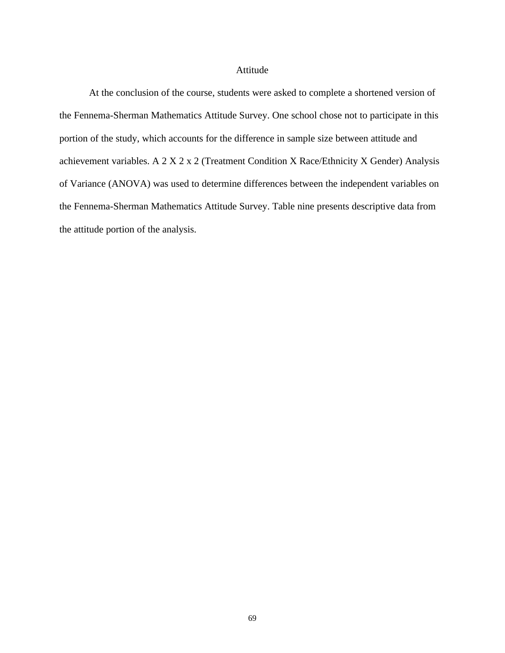### Attitude

At the conclusion of the course, students were asked to complete a shortened version of the Fennema-Sherman Mathematics Attitude Survey. One school chose not to participate in this portion of the study, which accounts for the difference in sample size between attitude and achievement variables. A 2 X 2 x 2 (Treatment Condition X Race/Ethnicity X Gender) Analysis of Variance (ANOVA) was used to determine differences between the independent variables on the Fennema-Sherman Mathematics Attitude Survey. Table nine presents descriptive data from the attitude portion of the analysis.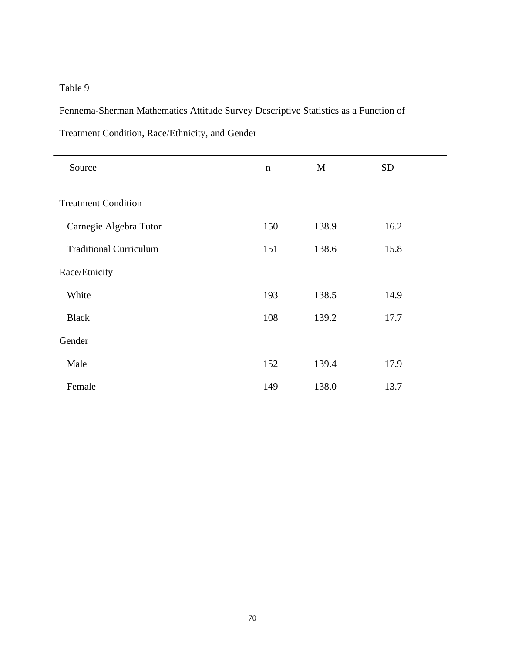# Fennema-Sherman Mathematics Attitude Survey Descriptive Statistics as a Function of

| $\underline{\mathbf{n}}$ | $\underline{\mathbf{M}}$ | $\underline{\mathrm{SD}}$ |
|--------------------------|--------------------------|---------------------------|
|                          |                          |                           |
| 150                      | 138.9                    | 16.2                      |
| 151                      | 138.6                    | 15.8                      |
|                          |                          |                           |
| 193                      | 138.5                    | 14.9                      |
| 108                      | 139.2                    | 17.7                      |
|                          |                          |                           |
| 152                      | 139.4                    | 17.9                      |
| 149                      | 138.0                    | 13.7                      |
|                          |                          |                           |

Treatment Condition, Race/Ethnicity, and Gender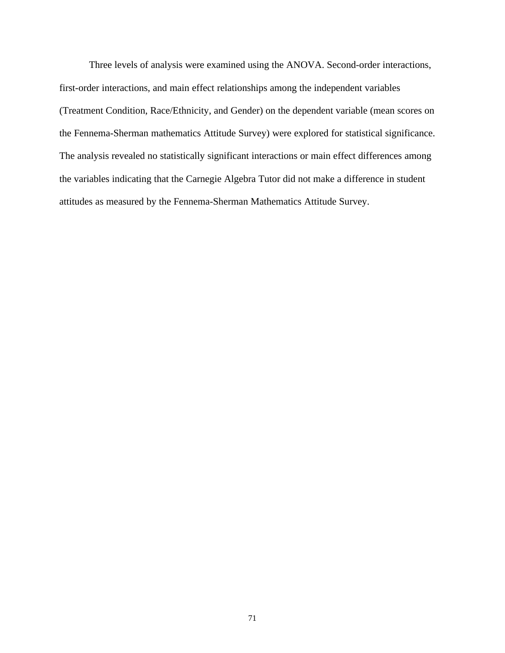Three levels of analysis were examined using the ANOVA. Second-order interactions, first-order interactions, and main effect relationships among the independent variables (Treatment Condition, Race/Ethnicity, and Gender) on the dependent variable (mean scores on the Fennema-Sherman mathematics Attitude Survey) were explored for statistical significance. The analysis revealed no statistically significant interactions or main effect differences among the variables indicating that the Carnegie Algebra Tutor did not make a difference in student attitudes as measured by the Fennema-Sherman Mathematics Attitude Survey.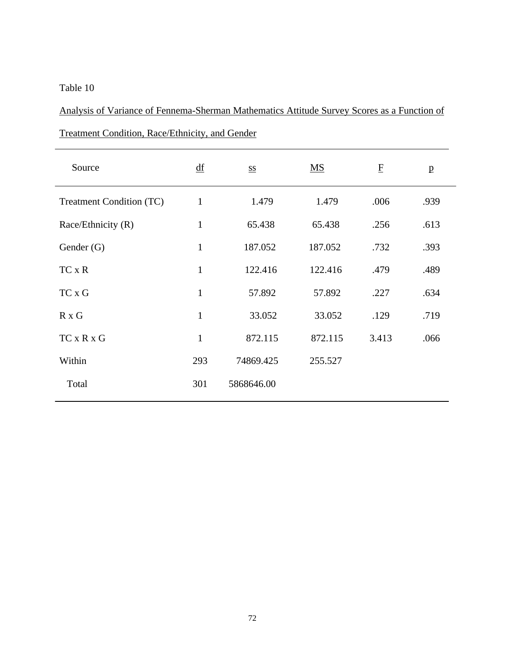Analysis of Variance of Fennema-Sherman Mathematics Attitude Survey Scores as a Function of Treatment Condition, Race/Ethnicity, and Gender

| Source                   | $\underline{\mathrm{df}}$ | <b>SS</b>  | $\underline{\mathbf{M}}\underline{\mathbf{S}}$ | $\overline{\mathrm{E}}$ | $\mathbf{p}$ |
|--------------------------|---------------------------|------------|------------------------------------------------|-------------------------|--------------|
| Treatment Condition (TC) | $\mathbf{1}$              | 1.479      | 1.479                                          | .006                    | .939         |
| Race/Ethnicity (R)       | $\mathbf{1}$              | 65.438     | 65.438                                         | .256                    | .613         |
| Gender (G)               | $\mathbf{1}$              | 187.052    | 187.052                                        | .732                    | .393         |
| $TC \times R$            | $\mathbf{1}$              | 122.416    | 122.416                                        | .479                    | .489         |
| TC x G                   | $\mathbf{1}$              | 57.892     | 57.892                                         | .227                    | .634         |
| $R \times G$             | $\mathbf{1}$              | 33.052     | 33.052                                         | .129                    | .719         |
| $TC \times R \times G$   | $\mathbf{1}$              | 872.115    | 872.115                                        | 3.413                   | .066         |
| Within                   | 293                       | 74869.425  | 255.527                                        |                         |              |
| Total                    | 301                       | 5868646.00 |                                                |                         |              |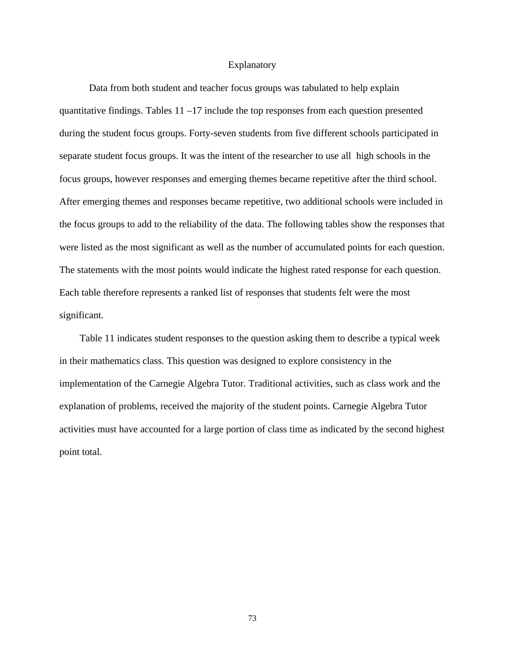### Explanatory

Data from both student and teacher focus groups was tabulated to help explain quantitative findings. Tables  $11 - 17$  include the top responses from each question presented during the student focus groups. Forty-seven students from five different schools participated in separate student focus groups. It was the intent of the researcher to use all high schools in the focus groups, however responses and emerging themes became repetitive after the third school. After emerging themes and responses became repetitive, two additional schools were included in the focus groups to add to the reliability of the data. The following tables show the responses that were listed as the most significant as well as the number of accumulated points for each question. The statements with the most points would indicate the highest rated response for each question. Each table therefore represents a ranked list of responses that students felt were the most significant.

 Table 11 indicates student responses to the question asking them to describe a typical week in their mathematics class. This question was designed to explore consistency in the implementation of the Carnegie Algebra Tutor. Traditional activities, such as class work and the explanation of problems, received the majority of the student points. Carnegie Algebra Tutor activities must have accounted for a large portion of class time as indicated by the second highest point total.

73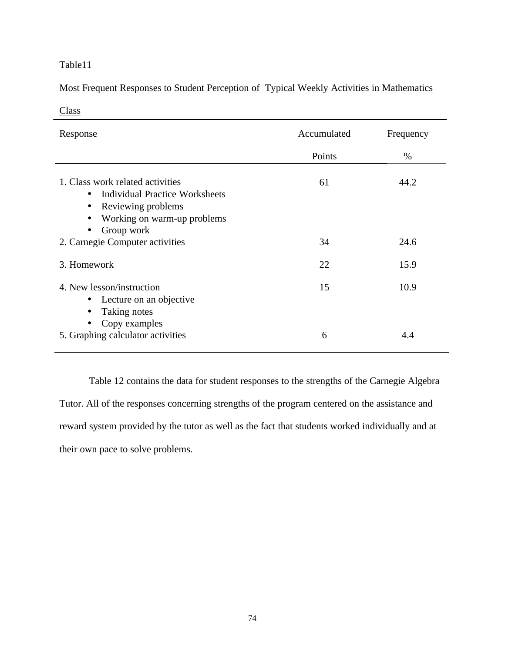## Most Frequent Responses to Student Perception of Typical Weekly Activities in Mathematics

| Response                                                                                                                       | Accumulated | Frequency |
|--------------------------------------------------------------------------------------------------------------------------------|-------------|-----------|
|                                                                                                                                | Points      | %         |
| 1. Class work related activities<br><b>Individual Practice Worksheets</b><br>Reviewing problems<br>Working on warm-up problems | 61          | 44.2      |
| Group work<br>2. Carnegie Computer activities                                                                                  | 34          | 24.6      |
| 3. Homework                                                                                                                    | 22          | 15.9      |
| 4. New lesson/instruction<br>Lecture on an objective<br>Taking notes<br>Copy examples                                          | 15          | 10.9      |
| 5. Graphing calculator activities                                                                                              | 6           | 4.4       |

Table 12 contains the data for student responses to the strengths of the Carnegie Algebra Tutor. All of the responses concerning strengths of the program centered on the assistance and reward system provided by the tutor as well as the fact that students worked individually and at their own pace to solve problems.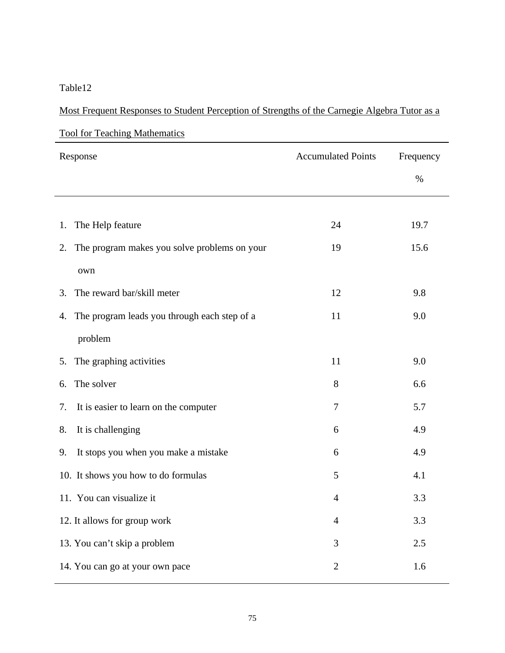| Most Frequent Responses to Student Perception of Strengths of the Carnegie Algebra Tutor as a |  |  |
|-----------------------------------------------------------------------------------------------|--|--|
|                                                                                               |  |  |

| <u>Tool for Teaching Mathematics</u>               |                           |           |
|----------------------------------------------------|---------------------------|-----------|
| Response                                           | <b>Accumulated Points</b> | Frequency |
|                                                    |                           | $\%$      |
|                                                    |                           |           |
| The Help feature<br>1.                             | 24                        | 19.7      |
| The program makes you solve problems on your<br>2. | 19                        | 15.6      |
| own                                                |                           |           |
| The reward bar/skill meter<br>3.                   | 12                        | 9.8       |
| The program leads you through each step of a<br>4. | 11                        | 9.0       |
| problem                                            |                           |           |
| The graphing activities<br>5.                      | 11                        | 9.0       |
| The solver<br>6.                                   | 8                         | 6.6       |
| It is easier to learn on the computer<br>7.        | 7                         | 5.7       |
| It is challenging<br>8.                            | 6                         | 4.9       |
| It stops you when you make a mistake<br>9.         | 6                         | 4.9       |
| 10. It shows you how to do formulas                | 5                         | 4.1       |
| 11. You can visualize it                           | $\overline{4}$            | 3.3       |
| 12. It allows for group work                       | 4                         | 3.3       |
| 13. You can't skip a problem                       | 3                         | 2.5       |
| 14. You can go at your own pace                    | $\mathbf{2}$              | 1.6       |

Tool for Teaching Mathematics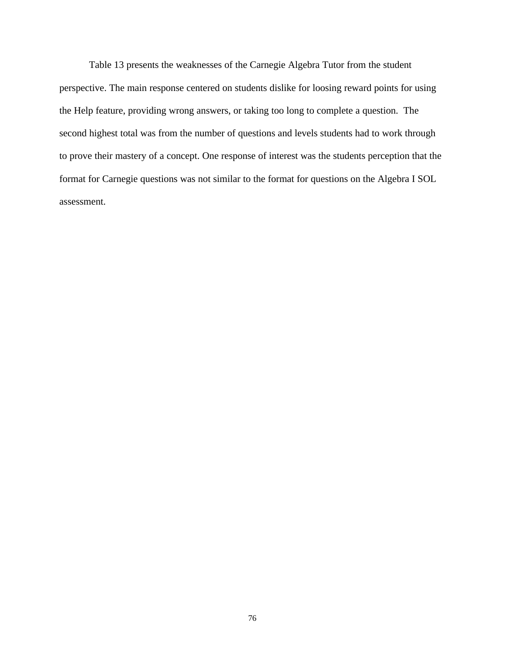Table 13 presents the weaknesses of the Carnegie Algebra Tutor from the student perspective. The main response centered on students dislike for loosing reward points for using the Help feature, providing wrong answers, or taking too long to complete a question. The second highest total was from the number of questions and levels students had to work through to prove their mastery of a concept. One response of interest was the students perception that the format for Carnegie questions was not similar to the format for questions on the Algebra I SOL assessment.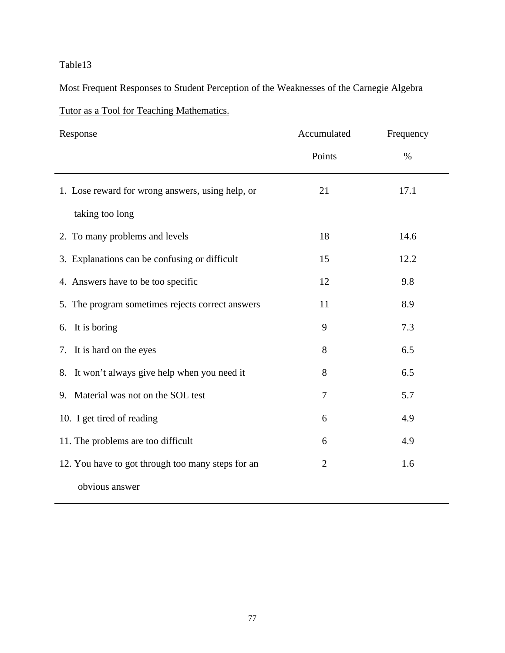# Most Frequent Responses to Student Perception of the Weaknesses of the Carnegie Algebra

# Tutor as a Tool for Teaching Mathematics.

| Response                                          | Accumulated    | Frequency |
|---------------------------------------------------|----------------|-----------|
|                                                   | Points         | $\%$      |
| 1. Lose reward for wrong answers, using help, or  | 21             | 17.1      |
| taking too long                                   |                |           |
| 2. To many problems and levels                    | 18             | 14.6      |
| 3. Explanations can be confusing or difficult     | 15             | 12.2      |
| 4. Answers have to be too specific                | 12             | 9.8       |
| 5. The program sometimes rejects correct answers  | 11             | 8.9       |
| It is boring<br>6.                                | 9              | 7.3       |
| It is hard on the eyes<br>7.                      | 8              | 6.5       |
| 8. It won't always give help when you need it     | 8              | 6.5       |
| Material was not on the SOL test<br>9.            | 7              | 5.7       |
| 10. I get tired of reading                        | 6              | 4.9       |
| 11. The problems are too difficult                | 6              | 4.9       |
| 12. You have to got through too many steps for an | $\overline{2}$ | 1.6       |
| obvious answer                                    |                |           |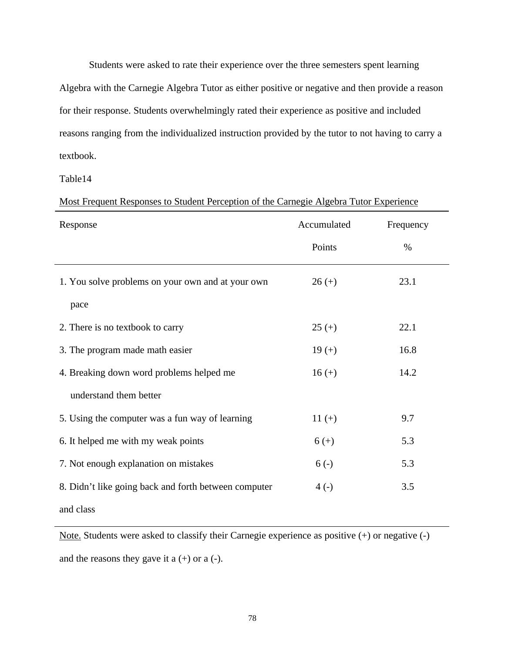Students were asked to rate their experience over the three semesters spent learning

Algebra with the Carnegie Algebra Tutor as either positive or negative and then provide a reason for their response. Students overwhelmingly rated their experience as positive and included reasons ranging from the individualized instruction provided by the tutor to not having to carry a textbook.

Table14

|  | Most Frequent Responses to Student Perception of the Carnegie Algebra Tutor Experience |  |
|--|----------------------------------------------------------------------------------------|--|
|  |                                                                                        |  |
|  |                                                                                        |  |

| Response                                             | Accumulated | Frequency |
|------------------------------------------------------|-------------|-----------|
|                                                      | Points      | $\%$      |
| 1. You solve problems on your own and at your own    | $26 (+)$    | 23.1      |
| pace                                                 |             |           |
| 2. There is no textbook to carry                     | $25 (+)$    | 22.1      |
| 3. The program made math easier                      | $19 (+)$    | 16.8      |
| 4. Breaking down word problems helped me             | $16 (+)$    | 14.2      |
| understand them better                               |             |           |
| 5. Using the computer was a fun way of learning      | $11 (+)$    | 9.7       |
| 6. It helped me with my weak points                  | $6 (+)$     | 5.3       |
| 7. Not enough explanation on mistakes                | $6(-)$      | 5.3       |
| 8. Didn't like going back and forth between computer | $4( - )$    | 3.5       |
| and class                                            |             |           |

Note. Students were asked to classify their Carnegie experience as positive (+) or negative (-) and the reasons they gave it  $a (+)$  or  $a (-)$ .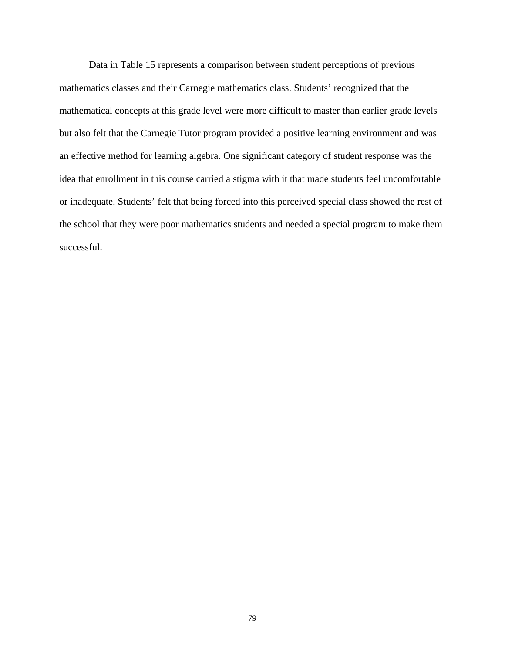Data in Table 15 represents a comparison between student perceptions of previous mathematics classes and their Carnegie mathematics class. Students' recognized that the mathematical concepts at this grade level were more difficult to master than earlier grade levels but also felt that the Carnegie Tutor program provided a positive learning environment and was an effective method for learning algebra. One significant category of student response was the idea that enrollment in this course carried a stigma with it that made students feel uncomfortable or inadequate. Students' felt that being forced into this perceived special class showed the rest of the school that they were poor mathematics students and needed a special program to make them successful.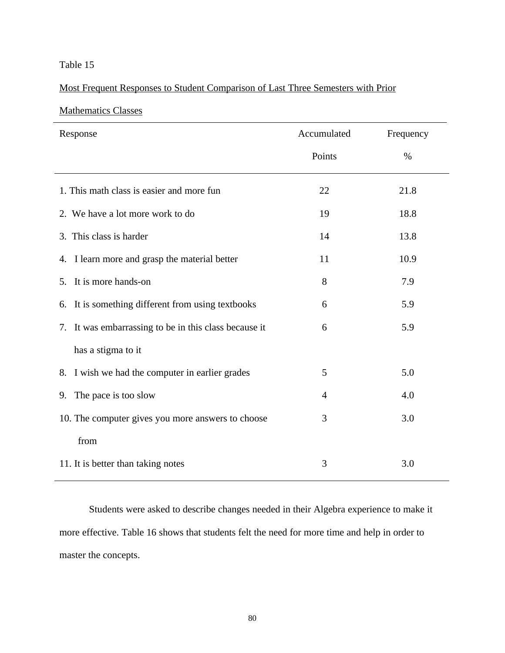## Most Frequent Responses to Student Comparison of Last Three Semesters with Prior

## Mathematics Classes

| Response                                              | Accumulated | Frequency |
|-------------------------------------------------------|-------------|-----------|
|                                                       | Points      | $\%$      |
| 1. This math class is easier and more fun             | 22          | 21.8      |
| 2. We have a lot more work to do                      | 19          | 18.8      |
| 3. This class is harder                               | 14          | 13.8      |
| I learn more and grasp the material better<br>4.      | 11          | 10.9      |
| It is more hands-on<br>5.                             | 8           | 7.9       |
| It is something different from using textbooks<br>6.  | 6           | 5.9       |
| 7. It was embarrassing to be in this class because it | 6           | 5.9       |
| has a stigma to it                                    |             |           |
| I wish we had the computer in earlier grades<br>8.    | 5           | 5.0       |
| The pace is too slow<br>4.0<br>$\overline{4}$<br>9.   |             |           |
| 10. The computer gives you more answers to choose     | 3           | 3.0       |
| from                                                  |             |           |
| 11. It is better than taking notes                    | 3           | 3.0       |

Students were asked to describe changes needed in their Algebra experience to make it more effective. Table 16 shows that students felt the need for more time and help in order to master the concepts.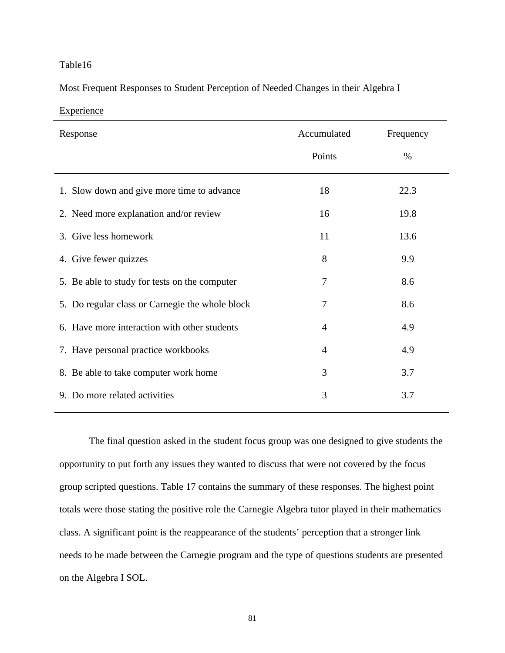### Most Frequent Responses to Student Perception of Needed Changes in their Algebra I

**Experience** 

| Response                                        | Accumulated    | Frequency |
|-------------------------------------------------|----------------|-----------|
|                                                 | Points         | %         |
| 1. Slow down and give more time to advance      | 18             | 22.3      |
| 2. Need more explanation and/or review          | 16             | 19.8      |
| 3. Give less homework                           | 11             | 13.6      |
| 4. Give fewer quizzes                           | 8              | 9.9       |
| 5. Be able to study for tests on the computer   | 7              | 8.6       |
| 5. Do regular class or Carnegie the whole block | 7              | 8.6       |
| 6. Have more interaction with other students    | $\overline{4}$ | 4.9       |
| 7. Have personal practice workbooks             | $\overline{4}$ | 4.9       |
| 8. Be able to take computer work home           | 3              | 3.7       |
| 9. Do more related activities                   | 3              | 3.7       |

The final question asked in the student focus group was one designed to give students the opportunity to put forth any issues they wanted to discuss that were not covered by the focus group scripted questions. Table 17 contains the summary of these responses. The highest point totals were those stating the positive role the Carnegie Algebra tutor played in their mathematics class. A significant point is the reappearance of the students' perception that a stronger link needs to be made between the Carnegie program and the type of questions students are presented on the Algebra I SOL.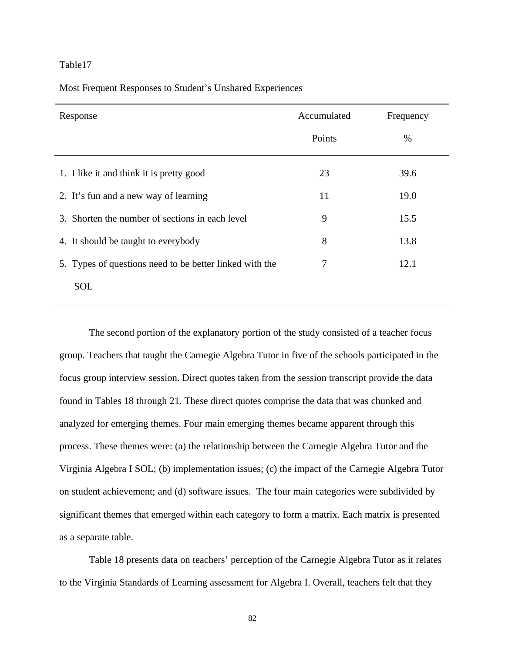Most Frequent Responses to Student's Unshared Experiences

| Response                                                | Accumulated | Frequency |
|---------------------------------------------------------|-------------|-----------|
|                                                         | Points      | $\%$      |
| 1. I like it and think it is pretty good                | 23          | 39.6      |
| 2. It's fun and a new way of learning                   | 11          | 19.0      |
| 3. Shorten the number of sections in each level         | 9           | 15.5      |
| 4. It should be taught to everybody                     | 8           | 13.8      |
| 5. Types of questions need to be better linked with the | 7           | 12.1      |
| <b>SOL</b>                                              |             |           |

The second portion of the explanatory portion of the study consisted of a teacher focus group. Teachers that taught the Carnegie Algebra Tutor in five of the schools participated in the focus group interview session. Direct quotes taken from the session transcript provide the data found in Tables 18 through 21. These direct quotes comprise the data that was chunked and analyzed for emerging themes. Four main emerging themes became apparent through this process. These themes were: (a) the relationship between the Carnegie Algebra Tutor and the Virginia Algebra I SOL; (b) implementation issues; (c) the impact of the Carnegie Algebra Tutor on student achievement; and (d) software issues. The four main categories were subdivided by significant themes that emerged within each category to form a matrix. Each matrix is presented as a separate table.

Table 18 presents data on teachers' perception of the Carnegie Algebra Tutor as it relates to the Virginia Standards of Learning assessment for Algebra I. Overall, teachers felt that they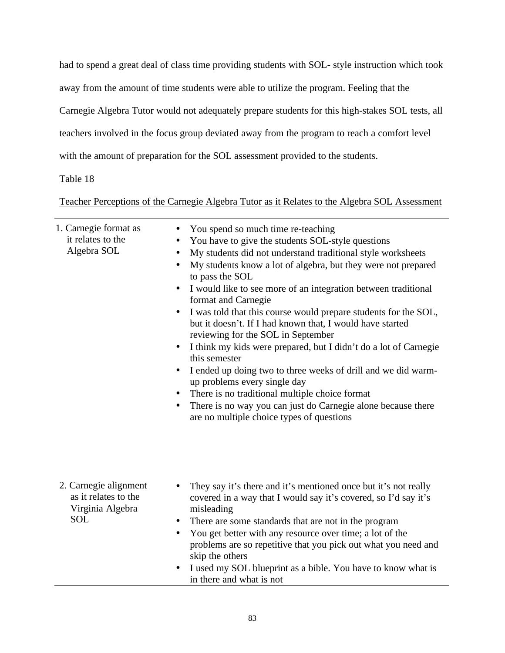had to spend a great deal of class time providing students with SOL- style instruction which took away from the amount of time students were able to utilize the program. Feeling that the Carnegie Algebra Tutor would not adequately prepare students for this high-stakes SOL tests, all teachers involved in the focus group deviated away from the program to reach a comfort level with the amount of preparation for the SOL assessment provided to the students.

Table 18

Teacher Perceptions of the Carnegie Algebra Tutor as it Relates to the Algebra SOL Assessment

| 1. Carnegie format as<br>it relates to the<br>Algebra SOL                       | You spend so much time re-teaching<br>You have to give the students SOL-style questions<br>My students did not understand traditional style worksheets<br>$\bullet$<br>My students know a lot of algebra, but they were not prepared<br>to pass the SOL<br>I would like to see more of an integration between traditional<br>format and Carnegie<br>I was told that this course would prepare students for the SOL,<br>$\bullet$<br>but it doesn't. If I had known that, I would have started<br>reviewing for the SOL in September<br>I think my kids were prepared, but I didn't do a lot of Carnegie<br>$\bullet$<br>this semester<br>I ended up doing two to three weeks of drill and we did warm-<br>$\bullet$<br>up problems every single day<br>There is no traditional multiple choice format<br>$\bullet$<br>There is no way you can just do Carnegie alone because there<br>$\bullet$<br>are no multiple choice types of questions |
|---------------------------------------------------------------------------------|----------------------------------------------------------------------------------------------------------------------------------------------------------------------------------------------------------------------------------------------------------------------------------------------------------------------------------------------------------------------------------------------------------------------------------------------------------------------------------------------------------------------------------------------------------------------------------------------------------------------------------------------------------------------------------------------------------------------------------------------------------------------------------------------------------------------------------------------------------------------------------------------------------------------------------------------|
| 2. Carnegie alignment<br>as it relates to the<br>Virginia Algebra<br><b>SOL</b> | They say it's there and it's mentioned once but it's not really<br>covered in a way that I would say it's covered, so I'd say it's<br>misleading<br>There are some standards that are not in the program<br>$\bullet$<br>You get better with any resource over time; a lot of the<br>$\bullet$<br>problems are so repetitive that you pick out what you need and<br>skip the others<br>I used my SOL blueprint as a bible. You have to know what is<br>in there and what is not                                                                                                                                                                                                                                                                                                                                                                                                                                                              |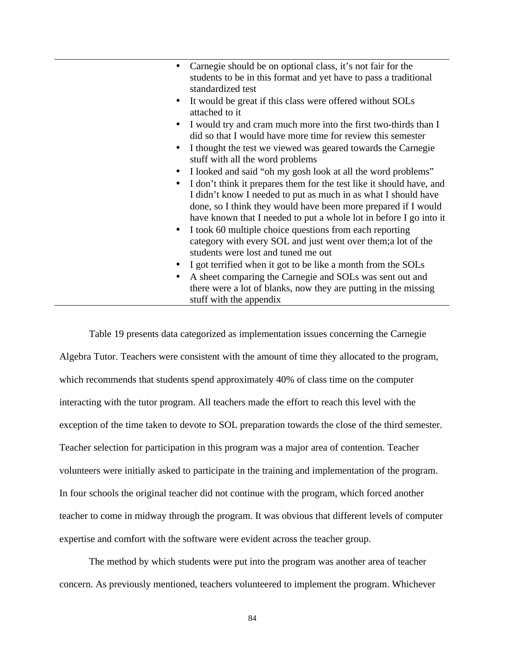| $\bullet$ | Carnegie should be on optional class, it's not fair for the<br>students to be in this format and yet have to pass a traditional<br>standardized test                                                                                                                           |
|-----------|--------------------------------------------------------------------------------------------------------------------------------------------------------------------------------------------------------------------------------------------------------------------------------|
| $\bullet$ | It would be great if this class were offered without SOLs<br>attached to it                                                                                                                                                                                                    |
| $\bullet$ | I would try and cram much more into the first two-thirds than I<br>did so that I would have more time for review this semester                                                                                                                                                 |
| $\bullet$ | I thought the test we viewed was geared towards the Carnegie<br>stuff with all the word problems                                                                                                                                                                               |
| $\bullet$ | I looked and said "oh my gosh look at all the word problems"                                                                                                                                                                                                                   |
| $\bullet$ | I don't think it prepares them for the test like it should have, and<br>I didn't know I needed to put as much in as what I should have<br>done, so I think they would have been more prepared if I would<br>have known that I needed to put a whole lot in before I go into it |
| $\bullet$ | I took 60 multiple choice questions from each reporting<br>category with every SOL and just went over them; a lot of the<br>students were lost and tuned me out                                                                                                                |
| $\bullet$ | I got terrified when it got to be like a month from the SOLs                                                                                                                                                                                                                   |
| $\bullet$ | A sheet comparing the Carnegie and SOLs was sent out and                                                                                                                                                                                                                       |
|           | there were a lot of blanks, now they are putting in the missing<br>stuff with the appendix                                                                                                                                                                                     |

Table 19 presents data categorized as implementation issues concerning the Carnegie Algebra Tutor. Teachers were consistent with the amount of time they allocated to the program, which recommends that students spend approximately 40% of class time on the computer interacting with the tutor program. All teachers made the effort to reach this level with the exception of the time taken to devote to SOL preparation towards the close of the third semester. Teacher selection for participation in this program was a major area of contention. Teacher volunteers were initially asked to participate in the training and implementation of the program. In four schools the original teacher did not continue with the program, which forced another teacher to come in midway through the program. It was obvious that different levels of computer expertise and comfort with the software were evident across the teacher group.

The method by which students were put into the program was another area of teacher concern. As previously mentioned, teachers volunteered to implement the program. Whichever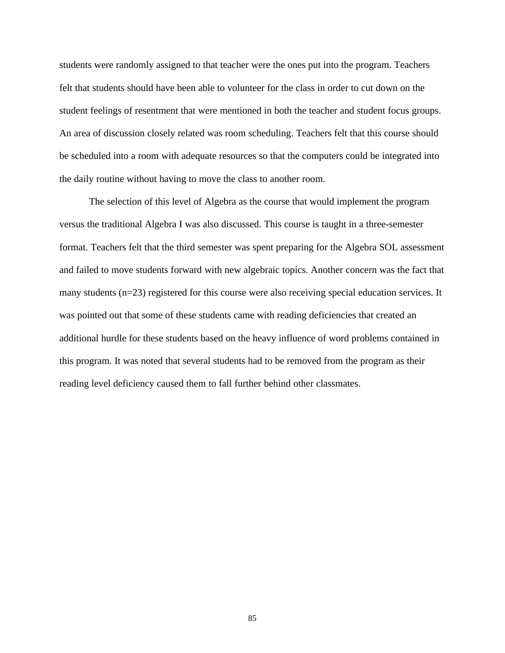students were randomly assigned to that teacher were the ones put into the program. Teachers felt that students should have been able to volunteer for the class in order to cut down on the student feelings of resentment that were mentioned in both the teacher and student focus groups. An area of discussion closely related was room scheduling. Teachers felt that this course should be scheduled into a room with adequate resources so that the computers could be integrated into the daily routine without having to move the class to another room.

The selection of this level of Algebra as the course that would implement the program versus the traditional Algebra I was also discussed. This course is taught in a three-semester format. Teachers felt that the third semester was spent preparing for the Algebra SOL assessment and failed to move students forward with new algebraic topics. Another concern was the fact that many students (n=23) registered for this course were also receiving special education services. It was pointed out that some of these students came with reading deficiencies that created an additional hurdle for these students based on the heavy influence of word problems contained in this program. It was noted that several students had to be removed from the program as their reading level deficiency caused them to fall further behind other classmates.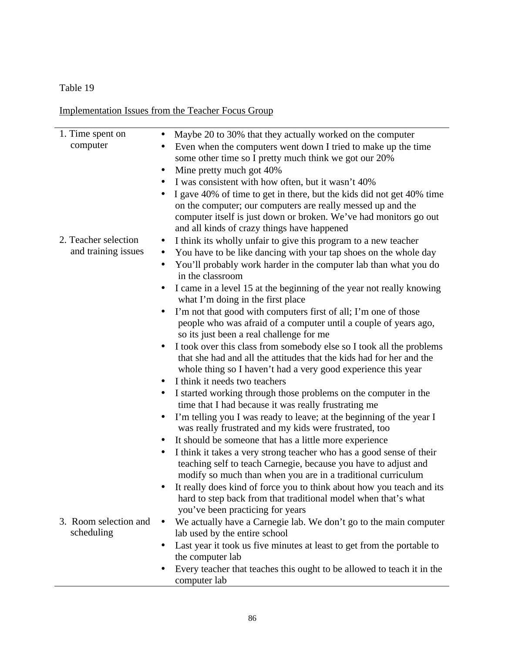Implementation Issues from the Teacher Focus Group

| 1. Time spent on<br>Maybe 20 to 30% that they actually worked on the computer<br>$\bullet$          |  |
|-----------------------------------------------------------------------------------------------------|--|
|                                                                                                     |  |
| computer<br>Even when the computers went down I tried to make up the time<br>$\bullet$              |  |
| some other time so I pretty much think we got our 20%                                               |  |
| Mine pretty much got 40%<br>$\bullet$                                                               |  |
| I was consistent with how often, but it wasn't 40%                                                  |  |
| I gave 40% of time to get in there, but the kids did not get 40% time                               |  |
| on the computer; our computers are really messed up and the                                         |  |
| computer itself is just down or broken. We've had monitors go out                                   |  |
| and all kinds of crazy things have happened<br>2. Teacher selection                                 |  |
| I think its wholly unfair to give this program to a new teacher<br>$\bullet$<br>and training issues |  |
| You have to be like dancing with your tap shoes on the whole day<br>$\bullet$                       |  |
| You'll probably work harder in the computer lab than what you do<br>$\bullet$<br>in the classroom   |  |
| I came in a level 15 at the beginning of the year not really knowing<br>$\bullet$                   |  |
| what I'm doing in the first place                                                                   |  |
| I'm not that good with computers first of all; I'm one of those                                     |  |
| people who was afraid of a computer until a couple of years ago,                                    |  |
| so its just been a real challenge for me                                                            |  |
| I took over this class from somebody else so I took all the problems<br>$\bullet$                   |  |
| that she had and all the attitudes that the kids had for her and the                                |  |
| whole thing so I haven't had a very good experience this year                                       |  |
| I think it needs two teachers<br>$\bullet$                                                          |  |
| I started working through those problems on the computer in the<br>$\bullet$                        |  |
| time that I had because it was really frustrating me                                                |  |
| I'm telling you I was ready to leave; at the beginning of the year I<br>$\bullet$                   |  |
| was really frustrated and my kids were frustrated, too                                              |  |
| It should be someone that has a little more experience                                              |  |
| I think it takes a very strong teacher who has a good sense of their<br>$\bullet$                   |  |
| teaching self to teach Carnegie, because you have to adjust and                                     |  |
| modify so much than when you are in a traditional curriculum                                        |  |
| It really does kind of force you to think about how you teach and its                               |  |
| hard to step back from that traditional model when that's what                                      |  |
| you've been practicing for years                                                                    |  |
| 3. Room selection and<br>We actually have a Carnegie lab. We don't go to the main computer          |  |
| scheduling<br>lab used by the entire school                                                         |  |
| Last year it took us five minutes at least to get from the portable to<br>$\bullet$                 |  |
| the computer lab<br>Every teacher that teaches this ought to be allowed to teach it in the          |  |
| computer lab                                                                                        |  |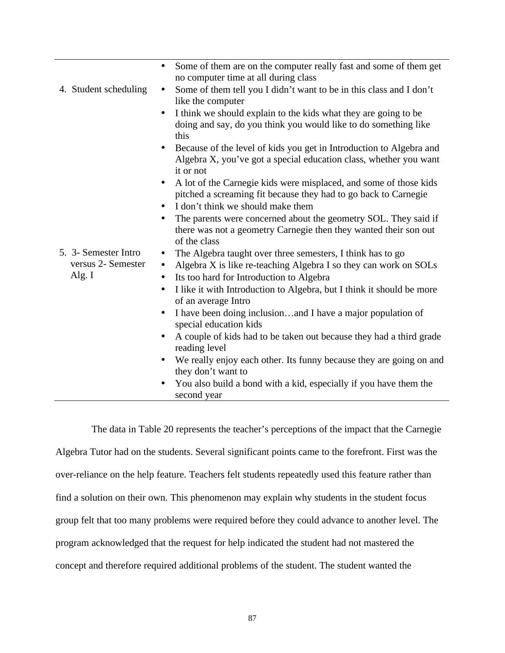| 4. Student scheduling                                  | Some of them are on the computer really fast and some of them get<br>$\bullet$<br>no computer time at all during class<br>Some of them tell you I didn't want to be in this class and I don't<br>$\bullet$<br>like the computer<br>I think we should explain to the kids what they are going to be<br>$\bullet$<br>doing and say, do you think you would like to do something like<br>this<br>Because of the level of kids you get in Introduction to Algebra and<br>$\bullet$<br>Algebra X, you've got a special education class, whether you want |
|--------------------------------------------------------|-----------------------------------------------------------------------------------------------------------------------------------------------------------------------------------------------------------------------------------------------------------------------------------------------------------------------------------------------------------------------------------------------------------------------------------------------------------------------------------------------------------------------------------------------------|
|                                                        | it or not<br>A lot of the Carnegie kids were misplaced, and some of those kids<br>$\bullet$<br>pitched a screaming fit because they had to go back to Carnegie<br>I don't think we should make them<br>$\bullet$<br>The parents were concerned about the geometry SOL. They said if<br>there was not a geometry Carnegie then they wanted their son out<br>of the class                                                                                                                                                                             |
| 5. 3- Semester Intro<br>versus 2- Semester<br>Alg. $I$ | The Algebra taught over three semesters, I think has to go<br>$\bullet$<br>Algebra X is like re-teaching Algebra I so they can work on SOLs<br>$\bullet$<br>Its too hard for Introduction to Algebra<br>$\bullet$<br>I like it with Introduction to Algebra, but I think it should be more<br>$\bullet$<br>of an average Intro<br>I have been doing inclusionand I have a major population of<br>$\bullet$<br>special education kids                                                                                                                |
|                                                        | A couple of kids had to be taken out because they had a third grade<br>$\bullet$<br>reading level<br>We really enjoy each other. Its funny because they are going on and<br>$\bullet$<br>they don't want to<br>You also build a bond with a kid, especially if you have them the<br>$\bullet$<br>second year                                                                                                                                                                                                                                        |

 The data in Table 20 represents the teacher's perceptions of the impact that the Carnegie Algebra Tutor had on the students. Several significant points came to the forefront. First was the over-reliance on the help feature. Teachers felt students repeatedly used this feature rather than find a solution on their own. This phenomenon may explain why students in the student focus group felt that too many problems were required before they could advance to another level. The program acknowledged that the request for help indicated the student had not mastered the concept and therefore required additional problems of the student. The student wanted the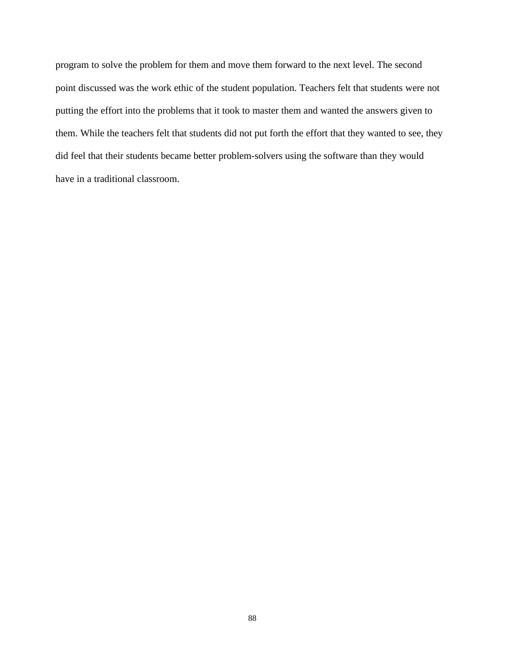program to solve the problem for them and move them forward to the next level. The second point discussed was the work ethic of the student population. Teachers felt that students were not putting the effort into the problems that it took to master them and wanted the answers given to them. While the teachers felt that students did not put forth the effort that they wanted to see, they did feel that their students became better problem-solvers using the software than they would have in a traditional classroom.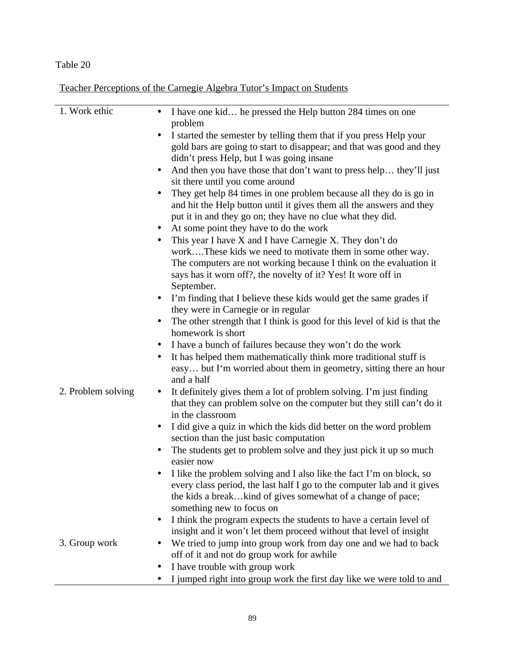Teacher Perceptions of the Carnegie Algebra Tutor's Impact on Students

| 1. Work ethic      | I have one kid he pressed the Help button 284 times on one                             |
|--------------------|----------------------------------------------------------------------------------------|
|                    | problem                                                                                |
|                    |                                                                                        |
|                    | I started the semester by telling them that if you press Help your                     |
|                    | gold bars are going to start to disappear; and that was good and they                  |
|                    | didn't press Help, but I was going insane                                              |
|                    | And then you have those that don't want to press help they'll just                     |
|                    | sit there until you come around                                                        |
|                    | They get help 84 times in one problem because all they do is go in                     |
|                    | and hit the Help button until it gives them all the answers and they                   |
|                    | put it in and they go on; they have no clue what they did.                             |
|                    |                                                                                        |
|                    | At some point they have to do the work                                                 |
|                    | This year I have X and I have Carnegie X. They don't do                                |
|                    | workThese kids we need to motivate them in some other way.                             |
|                    | The computers are not working because I think on the evaluation it                     |
|                    | says has it worn off?, the novelty of it? Yes! It wore off in                          |
|                    | September.                                                                             |
|                    | I'm finding that I believe these kids would get the same grades if<br>$\bullet$        |
|                    | they were in Carnegie or in regular                                                    |
|                    | The other strength that I think is good for this level of kid is that the<br>$\bullet$ |
|                    | homework is short                                                                      |
|                    | I have a bunch of failures because they won't do the work<br>$\bullet$                 |
|                    |                                                                                        |
|                    | It has helped them mathematically think more traditional stuff is                      |
|                    | easy but I'm worried about them in geometry, sitting there an hour                     |
|                    | and a half                                                                             |
| 2. Problem solving | It definitely gives them a lot of problem solving. I'm just finding                    |
|                    | that they can problem solve on the computer but they still can't do it                 |
|                    | in the classroom                                                                       |
|                    | I did give a quiz in which the kids did better on the word problem<br>$\bullet$        |
|                    | section than the just basic computation                                                |
|                    | The students get to problem solve and they just pick it up so much                     |
|                    | easier now                                                                             |
|                    | I like the problem solving and I also like the fact I'm on block, so                   |
|                    | every class period, the last half I go to the computer lab and it gives                |
|                    | the kids a breakkind of gives somewhat of a change of pace;                            |
|                    |                                                                                        |
|                    | something new to focus on                                                              |
|                    | I think the program expects the students to have a certain level of<br>$\bullet$       |
|                    | insight and it won't let them proceed without that level of insight                    |
| 3. Group work      | We tried to jump into group work from day one and we had to back                       |
|                    | off of it and not do group work for awhile                                             |
|                    | I have trouble with group work                                                         |
|                    | I jumped right into group work the first day like we were told to and                  |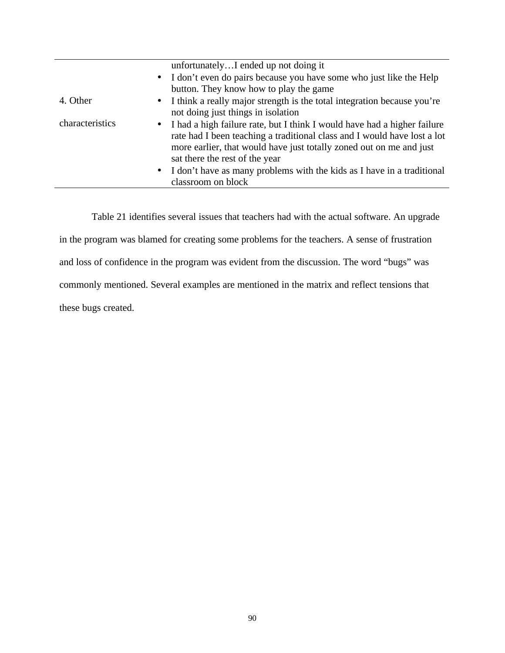|                 | unfortunatelyI ended up not doing it                                                                                                                                                                                                                            |
|-----------------|-----------------------------------------------------------------------------------------------------------------------------------------------------------------------------------------------------------------------------------------------------------------|
|                 | • I don't even do pairs because you have some who just like the Help                                                                                                                                                                                            |
|                 | button. They know how to play the game                                                                                                                                                                                                                          |
| 4. Other        | • I think a really major strength is the total integration because you're<br>not doing just things in isolation                                                                                                                                                 |
| characteristics | • I had a high failure rate, but I think I would have had a higher failure<br>rate had I been teaching a traditional class and I would have lost a lot<br>more earlier, that would have just totally zoned out on me and just<br>sat there the rest of the year |
|                 | • I don't have as many problems with the kids as I have in a traditional<br>classroom on block                                                                                                                                                                  |

 Table 21 identifies several issues that teachers had with the actual software. An upgrade in the program was blamed for creating some problems for the teachers. A sense of frustration and loss of confidence in the program was evident from the discussion. The word "bugs" was commonly mentioned. Several examples are mentioned in the matrix and reflect tensions that these bugs created.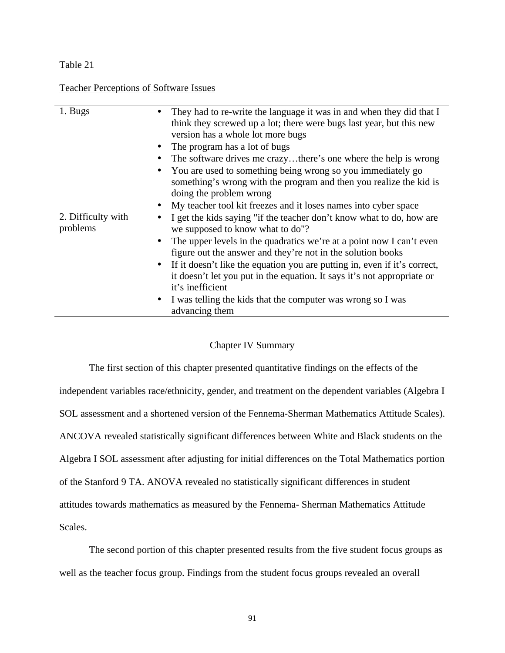Teacher Perceptions of Software Issues

| 1. Bugs                        | They had to re-write the language it was in and when they did that I<br>think they screwed up a lot; there were bugs last year, but this new<br>version has a whole lot more bugs<br>The program has a lot of bugs<br>$\bullet$<br>The software drives me crazythere's one where the help is wrong<br>$\bullet$<br>You are used to something being wrong so you immediately go<br>$\bullet$<br>something's wrong with the program and then you realize the kid is<br>doing the problem wrong |
|--------------------------------|----------------------------------------------------------------------------------------------------------------------------------------------------------------------------------------------------------------------------------------------------------------------------------------------------------------------------------------------------------------------------------------------------------------------------------------------------------------------------------------------|
|                                | My teacher tool kit freezes and it loses names into cyber space<br>$\bullet$                                                                                                                                                                                                                                                                                                                                                                                                                 |
| 2. Difficulty with<br>problems | I get the kids saying "if the teacher don't know what to do, how are<br>$\bullet$<br>we supposed to know what to do"?                                                                                                                                                                                                                                                                                                                                                                        |
|                                | The upper levels in the quadratics we're at a point now I can't even<br>$\bullet$<br>figure out the answer and they're not in the solution books                                                                                                                                                                                                                                                                                                                                             |
|                                | If it doesn't like the equation you are putting in, even if it's correct,<br>$\bullet$<br>it doesn't let you put in the equation. It says it's not appropriate or<br>it's inefficient                                                                                                                                                                                                                                                                                                        |
|                                | I was telling the kids that the computer was wrong so I was<br>$\bullet$<br>advancing them                                                                                                                                                                                                                                                                                                                                                                                                   |

### Chapter IV Summary

The first section of this chapter presented quantitative findings on the effects of the independent variables race/ethnicity, gender, and treatment on the dependent variables (Algebra I SOL assessment and a shortened version of the Fennema-Sherman Mathematics Attitude Scales). ANCOVA revealed statistically significant differences between White and Black students on the Algebra I SOL assessment after adjusting for initial differences on the Total Mathematics portion of the Stanford 9 TA. ANOVA revealed no statistically significant differences in student attitudes towards mathematics as measured by the Fennema- Sherman Mathematics Attitude Scales.

The second portion of this chapter presented results from the five student focus groups as well as the teacher focus group. Findings from the student focus groups revealed an overall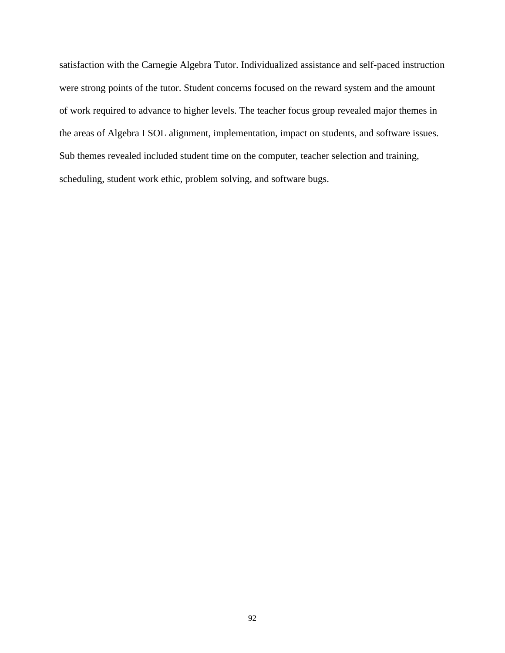satisfaction with the Carnegie Algebra Tutor. Individualized assistance and self-paced instruction were strong points of the tutor. Student concerns focused on the reward system and the amount of work required to advance to higher levels. The teacher focus group revealed major themes in the areas of Algebra I SOL alignment, implementation, impact on students, and software issues. Sub themes revealed included student time on the computer, teacher selection and training, scheduling, student work ethic, problem solving, and software bugs.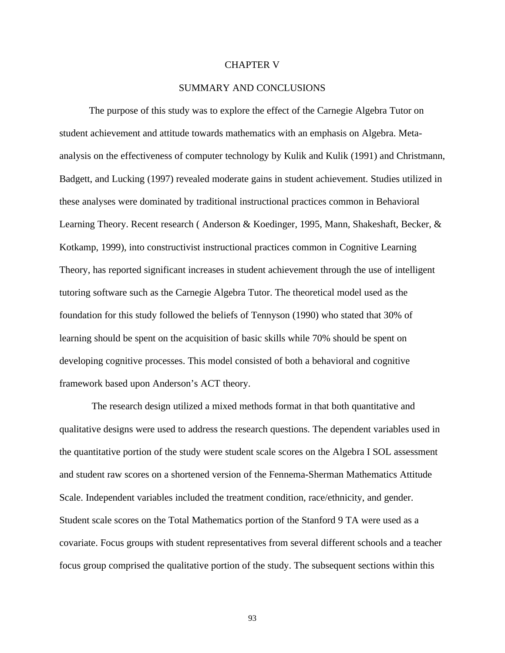### CHAPTER V

### SUMMARY AND CONCLUSIONS

The purpose of this study was to explore the effect of the Carnegie Algebra Tutor on student achievement and attitude towards mathematics with an emphasis on Algebra. Metaanalysis on the effectiveness of computer technology by Kulik and Kulik (1991) and Christmann, Badgett, and Lucking (1997) revealed moderate gains in student achievement. Studies utilized in these analyses were dominated by traditional instructional practices common in Behavioral Learning Theory. Recent research ( Anderson & Koedinger, 1995, Mann, Shakeshaft, Becker, & Kotkamp, 1999), into constructivist instructional practices common in Cognitive Learning Theory, has reported significant increases in student achievement through the use of intelligent tutoring software such as the Carnegie Algebra Tutor. The theoretical model used as the foundation for this study followed the beliefs of Tennyson (1990) who stated that 30% of learning should be spent on the acquisition of basic skills while 70% should be spent on developing cognitive processes. This model consisted of both a behavioral and cognitive framework based upon Anderson's ACT theory.

 The research design utilized a mixed methods format in that both quantitative and qualitative designs were used to address the research questions. The dependent variables used in the quantitative portion of the study were student scale scores on the Algebra I SOL assessment and student raw scores on a shortened version of the Fennema-Sherman Mathematics Attitude Scale. Independent variables included the treatment condition, race/ethnicity, and gender. Student scale scores on the Total Mathematics portion of the Stanford 9 TA were used as a covariate. Focus groups with student representatives from several different schools and a teacher focus group comprised the qualitative portion of the study. The subsequent sections within this

93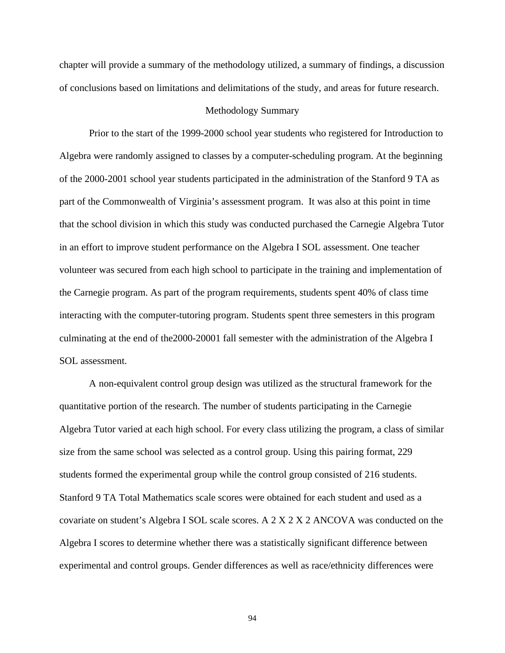chapter will provide a summary of the methodology utilized, a summary of findings, a discussion of conclusions based on limitations and delimitations of the study, and areas for future research.

#### Methodology Summary

Prior to the start of the 1999-2000 school year students who registered for Introduction to Algebra were randomly assigned to classes by a computer-scheduling program. At the beginning of the 2000-2001 school year students participated in the administration of the Stanford 9 TA as part of the Commonwealth of Virginia's assessment program. It was also at this point in time that the school division in which this study was conducted purchased the Carnegie Algebra Tutor in an effort to improve student performance on the Algebra I SOL assessment. One teacher volunteer was secured from each high school to participate in the training and implementation of the Carnegie program. As part of the program requirements, students spent 40% of class time interacting with the computer-tutoring program. Students spent three semesters in this program culminating at the end of the2000-20001 fall semester with the administration of the Algebra I SOL assessment.

A non-equivalent control group design was utilized as the structural framework for the quantitative portion of the research. The number of students participating in the Carnegie Algebra Tutor varied at each high school. For every class utilizing the program, a class of similar size from the same school was selected as a control group. Using this pairing format, 229 students formed the experimental group while the control group consisted of 216 students. Stanford 9 TA Total Mathematics scale scores were obtained for each student and used as a covariate on student's Algebra I SOL scale scores. A 2 X 2 X 2 ANCOVA was conducted on the Algebra I scores to determine whether there was a statistically significant difference between experimental and control groups. Gender differences as well as race/ethnicity differences were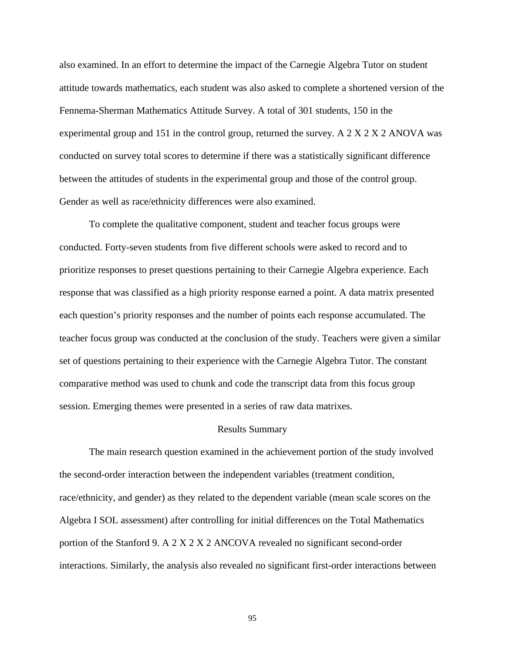also examined. In an effort to determine the impact of the Carnegie Algebra Tutor on student attitude towards mathematics, each student was also asked to complete a shortened version of the Fennema-Sherman Mathematics Attitude Survey. A total of 301 students, 150 in the experimental group and 151 in the control group, returned the survey. A 2 X 2 X 2 ANOVA was conducted on survey total scores to determine if there was a statistically significant difference between the attitudes of students in the experimental group and those of the control group. Gender as well as race/ethnicity differences were also examined.

To complete the qualitative component, student and teacher focus groups were conducted. Forty-seven students from five different schools were asked to record and to prioritize responses to preset questions pertaining to their Carnegie Algebra experience. Each response that was classified as a high priority response earned a point. A data matrix presented each question's priority responses and the number of points each response accumulated. The teacher focus group was conducted at the conclusion of the study. Teachers were given a similar set of questions pertaining to their experience with the Carnegie Algebra Tutor. The constant comparative method was used to chunk and code the transcript data from this focus group session. Emerging themes were presented in a series of raw data matrixes.

#### Results Summary

The main research question examined in the achievement portion of the study involved the second-order interaction between the independent variables (treatment condition, race/ethnicity, and gender) as they related to the dependent variable (mean scale scores on the Algebra I SOL assessment) after controlling for initial differences on the Total Mathematics portion of the Stanford 9. A 2 X 2 X 2 ANCOVA revealed no significant second-order interactions. Similarly, the analysis also revealed no significant first-order interactions between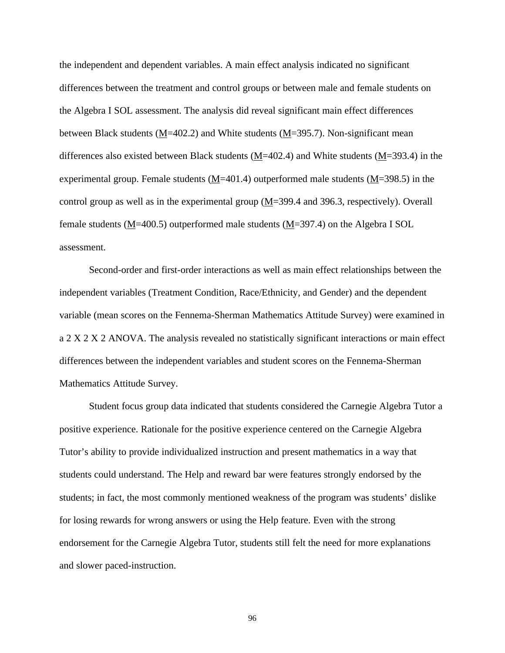the independent and dependent variables. A main effect analysis indicated no significant differences between the treatment and control groups or between male and female students on the Algebra I SOL assessment. The analysis did reveal significant main effect differences between Black students (M=402.2) and White students (M=395.7). Non-significant mean differences also existed between Black students (M=402.4) and White students (M=393.4) in the experimental group. Female students (M=401.4) outperformed male students (M=398.5) in the control group as well as in the experimental group  $(M=399.4$  and 396.3, respectively). Overall female students (M=400.5) outperformed male students (M=397.4) on the Algebra I SOL assessment.

Second-order and first-order interactions as well as main effect relationships between the independent variables (Treatment Condition, Race/Ethnicity, and Gender) and the dependent variable (mean scores on the Fennema-Sherman Mathematics Attitude Survey) were examined in a 2 X 2 X 2 ANOVA. The analysis revealed no statistically significant interactions or main effect differences between the independent variables and student scores on the Fennema-Sherman Mathematics Attitude Survey.

Student focus group data indicated that students considered the Carnegie Algebra Tutor a positive experience. Rationale for the positive experience centered on the Carnegie Algebra Tutor's ability to provide individualized instruction and present mathematics in a way that students could understand. The Help and reward bar were features strongly endorsed by the students; in fact, the most commonly mentioned weakness of the program was students' dislike for losing rewards for wrong answers or using the Help feature. Even with the strong endorsement for the Carnegie Algebra Tutor, students still felt the need for more explanations and slower paced-instruction.

96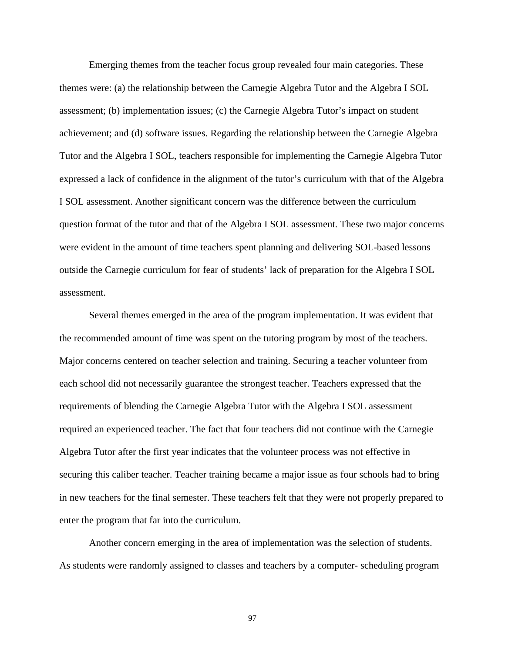Emerging themes from the teacher focus group revealed four main categories. These themes were: (a) the relationship between the Carnegie Algebra Tutor and the Algebra I SOL assessment; (b) implementation issues; (c) the Carnegie Algebra Tutor's impact on student achievement; and (d) software issues. Regarding the relationship between the Carnegie Algebra Tutor and the Algebra I SOL, teachers responsible for implementing the Carnegie Algebra Tutor expressed a lack of confidence in the alignment of the tutor's curriculum with that of the Algebra I SOL assessment. Another significant concern was the difference between the curriculum question format of the tutor and that of the Algebra I SOL assessment. These two major concerns were evident in the amount of time teachers spent planning and delivering SOL-based lessons outside the Carnegie curriculum for fear of students' lack of preparation for the Algebra I SOL assessment.

Several themes emerged in the area of the program implementation. It was evident that the recommended amount of time was spent on the tutoring program by most of the teachers. Major concerns centered on teacher selection and training. Securing a teacher volunteer from each school did not necessarily guarantee the strongest teacher. Teachers expressed that the requirements of blending the Carnegie Algebra Tutor with the Algebra I SOL assessment required an experienced teacher. The fact that four teachers did not continue with the Carnegie Algebra Tutor after the first year indicates that the volunteer process was not effective in securing this caliber teacher. Teacher training became a major issue as four schools had to bring in new teachers for the final semester. These teachers felt that they were not properly prepared to enter the program that far into the curriculum.

Another concern emerging in the area of implementation was the selection of students. As students were randomly assigned to classes and teachers by a computer- scheduling program

97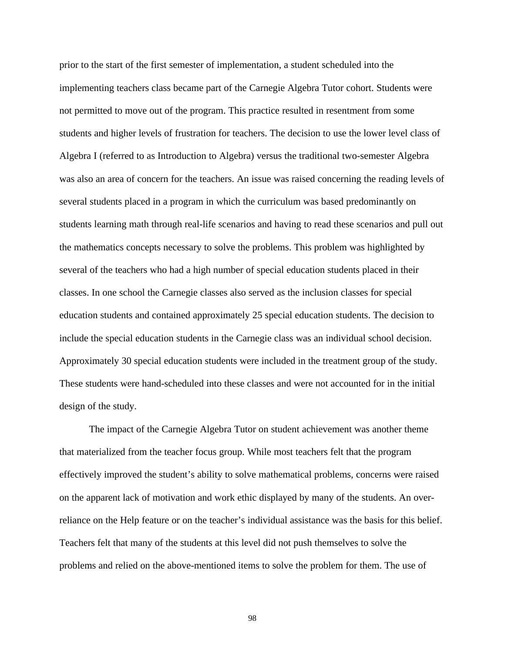prior to the start of the first semester of implementation, a student scheduled into the implementing teachers class became part of the Carnegie Algebra Tutor cohort. Students were not permitted to move out of the program. This practice resulted in resentment from some students and higher levels of frustration for teachers. The decision to use the lower level class of Algebra I (referred to as Introduction to Algebra) versus the traditional two-semester Algebra was also an area of concern for the teachers. An issue was raised concerning the reading levels of several students placed in a program in which the curriculum was based predominantly on students learning math through real-life scenarios and having to read these scenarios and pull out the mathematics concepts necessary to solve the problems. This problem was highlighted by several of the teachers who had a high number of special education students placed in their classes. In one school the Carnegie classes also served as the inclusion classes for special education students and contained approximately 25 special education students. The decision to include the special education students in the Carnegie class was an individual school decision. Approximately 30 special education students were included in the treatment group of the study. These students were hand-scheduled into these classes and were not accounted for in the initial design of the study.

The impact of the Carnegie Algebra Tutor on student achievement was another theme that materialized from the teacher focus group. While most teachers felt that the program effectively improved the student's ability to solve mathematical problems, concerns were raised on the apparent lack of motivation and work ethic displayed by many of the students. An overreliance on the Help feature or on the teacher's individual assistance was the basis for this belief. Teachers felt that many of the students at this level did not push themselves to solve the problems and relied on the above-mentioned items to solve the problem for them. The use of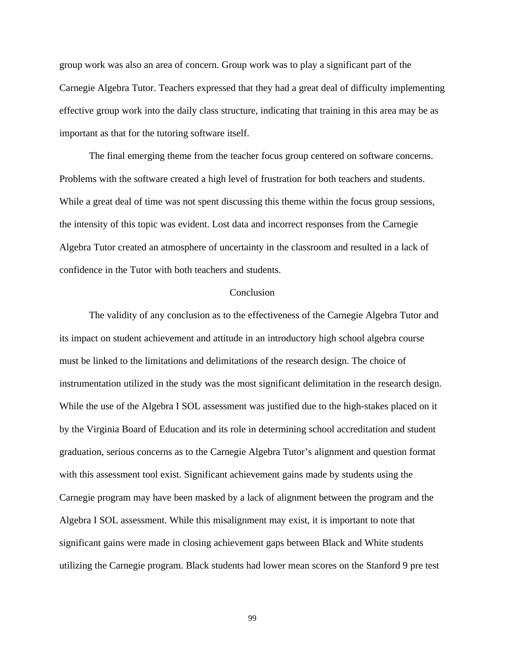group work was also an area of concern. Group work was to play a significant part of the Carnegie Algebra Tutor. Teachers expressed that they had a great deal of difficulty implementing effective group work into the daily class structure, indicating that training in this area may be as important as that for the tutoring software itself.

The final emerging theme from the teacher focus group centered on software concerns. Problems with the software created a high level of frustration for both teachers and students. While a great deal of time was not spent discussing this theme within the focus group sessions, the intensity of this topic was evident. Lost data and incorrect responses from the Carnegie Algebra Tutor created an atmosphere of uncertainty in the classroom and resulted in a lack of confidence in the Tutor with both teachers and students.

#### **Conclusion**

The validity of any conclusion as to the effectiveness of the Carnegie Algebra Tutor and its impact on student achievement and attitude in an introductory high school algebra course must be linked to the limitations and delimitations of the research design. The choice of instrumentation utilized in the study was the most significant delimitation in the research design. While the use of the Algebra I SOL assessment was justified due to the high-stakes placed on it by the Virginia Board of Education and its role in determining school accreditation and student graduation, serious concerns as to the Carnegie Algebra Tutor's alignment and question format with this assessment tool exist. Significant achievement gains made by students using the Carnegie program may have been masked by a lack of alignment between the program and the Algebra I SOL assessment. While this misalignment may exist, it is important to note that significant gains were made in closing achievement gaps between Black and White students utilizing the Carnegie program. Black students had lower mean scores on the Stanford 9 pre test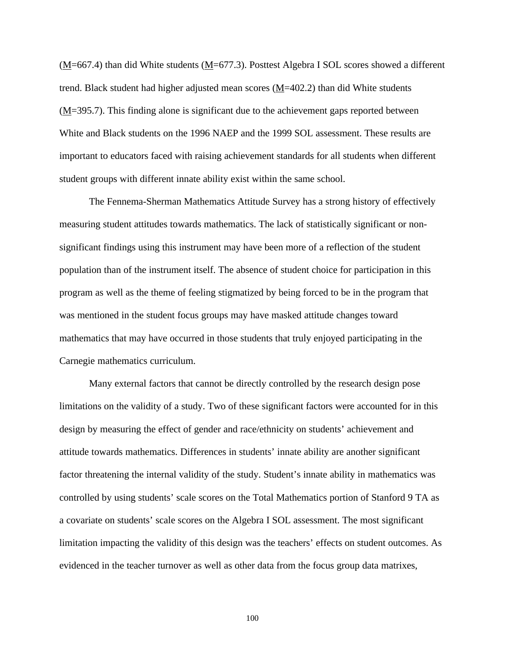(M=667.4) than did White students ( $M$ =677.3). Posttest Algebra I SOL scores showed a different trend. Black student had higher adjusted mean scores  $(M=402.2)$  than did White students (M=395.7). This finding alone is significant due to the achievement gaps reported between White and Black students on the 1996 NAEP and the 1999 SOL assessment. These results are important to educators faced with raising achievement standards for all students when different student groups with different innate ability exist within the same school.

The Fennema-Sherman Mathematics Attitude Survey has a strong history of effectively measuring student attitudes towards mathematics. The lack of statistically significant or nonsignificant findings using this instrument may have been more of a reflection of the student population than of the instrument itself. The absence of student choice for participation in this program as well as the theme of feeling stigmatized by being forced to be in the program that was mentioned in the student focus groups may have masked attitude changes toward mathematics that may have occurred in those students that truly enjoyed participating in the Carnegie mathematics curriculum.

Many external factors that cannot be directly controlled by the research design pose limitations on the validity of a study. Two of these significant factors were accounted for in this design by measuring the effect of gender and race/ethnicity on students' achievement and attitude towards mathematics. Differences in students' innate ability are another significant factor threatening the internal validity of the study. Student's innate ability in mathematics was controlled by using students' scale scores on the Total Mathematics portion of Stanford 9 TA as a covariate on students' scale scores on the Algebra I SOL assessment. The most significant limitation impacting the validity of this design was the teachers' effects on student outcomes. As evidenced in the teacher turnover as well as other data from the focus group data matrixes,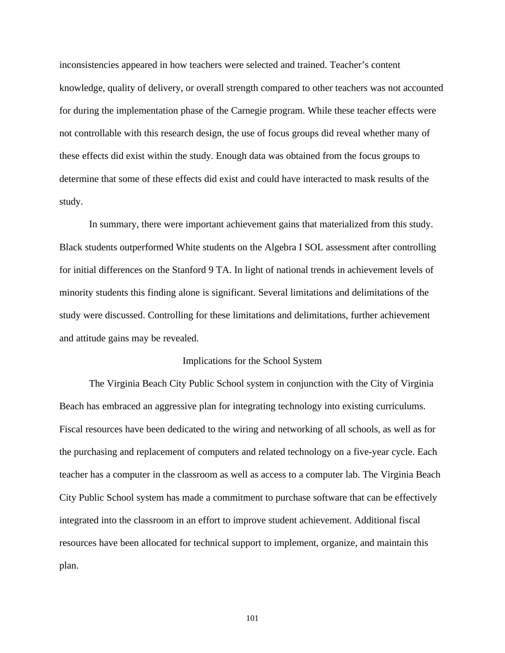inconsistencies appeared in how teachers were selected and trained. Teacher's content knowledge, quality of delivery, or overall strength compared to other teachers was not accounted for during the implementation phase of the Carnegie program. While these teacher effects were not controllable with this research design, the use of focus groups did reveal whether many of these effects did exist within the study. Enough data was obtained from the focus groups to determine that some of these effects did exist and could have interacted to mask results of the study.

In summary, there were important achievement gains that materialized from this study. Black students outperformed White students on the Algebra I SOL assessment after controlling for initial differences on the Stanford 9 TA. In light of national trends in achievement levels of minority students this finding alone is significant. Several limitations and delimitations of the study were discussed. Controlling for these limitations and delimitations, further achievement and attitude gains may be revealed.

#### Implications for the School System

The Virginia Beach City Public School system in conjunction with the City of Virginia Beach has embraced an aggressive plan for integrating technology into existing curriculums. Fiscal resources have been dedicated to the wiring and networking of all schools, as well as for the purchasing and replacement of computers and related technology on a five-year cycle. Each teacher has a computer in the classroom as well as access to a computer lab. The Virginia Beach City Public School system has made a commitment to purchase software that can be effectively integrated into the classroom in an effort to improve student achievement. Additional fiscal resources have been allocated for technical support to implement, organize, and maintain this plan.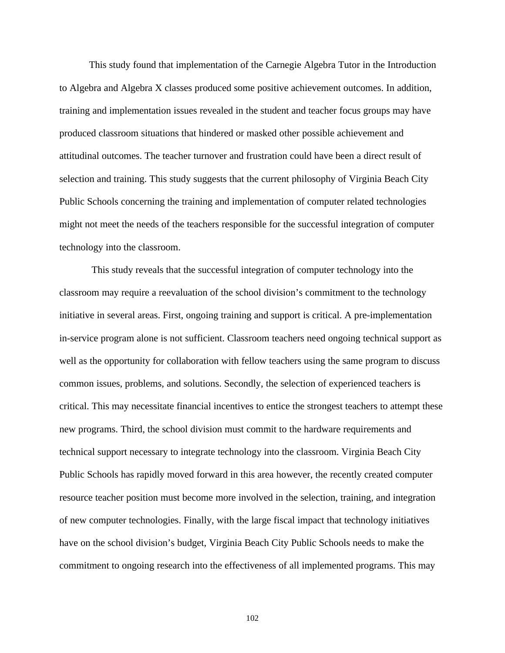This study found that implementation of the Carnegie Algebra Tutor in the Introduction to Algebra and Algebra X classes produced some positive achievement outcomes. In addition, training and implementation issues revealed in the student and teacher focus groups may have produced classroom situations that hindered or masked other possible achievement and attitudinal outcomes. The teacher turnover and frustration could have been a direct result of selection and training. This study suggests that the current philosophy of Virginia Beach City Public Schools concerning the training and implementation of computer related technologies might not meet the needs of the teachers responsible for the successful integration of computer technology into the classroom.

 This study reveals that the successful integration of computer technology into the classroom may require a reevaluation of the school division's commitment to the technology initiative in several areas. First, ongoing training and support is critical. A pre-implementation in-service program alone is not sufficient. Classroom teachers need ongoing technical support as well as the opportunity for collaboration with fellow teachers using the same program to discuss common issues, problems, and solutions. Secondly, the selection of experienced teachers is critical. This may necessitate financial incentives to entice the strongest teachers to attempt these new programs. Third, the school division must commit to the hardware requirements and technical support necessary to integrate technology into the classroom. Virginia Beach City Public Schools has rapidly moved forward in this area however, the recently created computer resource teacher position must become more involved in the selection, training, and integration of new computer technologies. Finally, with the large fiscal impact that technology initiatives have on the school division's budget, Virginia Beach City Public Schools needs to make the commitment to ongoing research into the effectiveness of all implemented programs. This may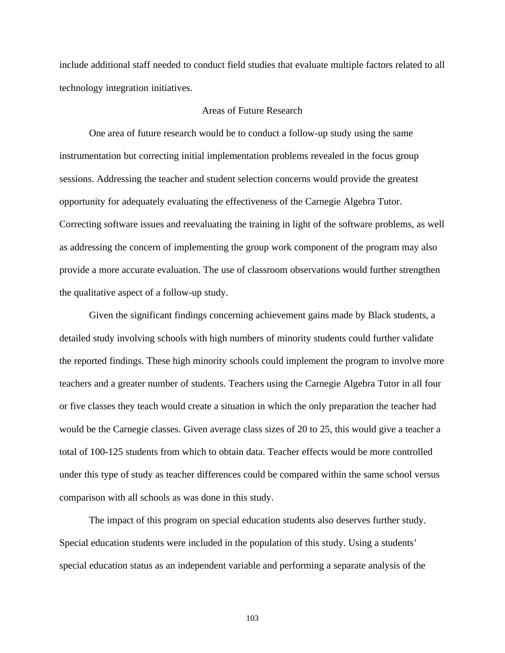include additional staff needed to conduct field studies that evaluate multiple factors related to all technology integration initiatives.

### Areas of Future Research

One area of future research would be to conduct a follow-up study using the same instrumentation but correcting initial implementation problems revealed in the focus group sessions. Addressing the teacher and student selection concerns would provide the greatest opportunity for adequately evaluating the effectiveness of the Carnegie Algebra Tutor. Correcting software issues and reevaluating the training in light of the software problems, as well as addressing the concern of implementing the group work component of the program may also provide a more accurate evaluation. The use of classroom observations would further strengthen the qualitative aspect of a follow-up study.

Given the significant findings concerning achievement gains made by Black students, a detailed study involving schools with high numbers of minority students could further validate the reported findings. These high minority schools could implement the program to involve more teachers and a greater number of students. Teachers using the Carnegie Algebra Tutor in all four or five classes they teach would create a situation in which the only preparation the teacher had would be the Carnegie classes. Given average class sizes of 20 to 25, this would give a teacher a total of 100-125 students from which to obtain data. Teacher effects would be more controlled under this type of study as teacher differences could be compared within the same school versus comparison with all schools as was done in this study.

The impact of this program on special education students also deserves further study. Special education students were included in the population of this study. Using a students' special education status as an independent variable and performing a separate analysis of the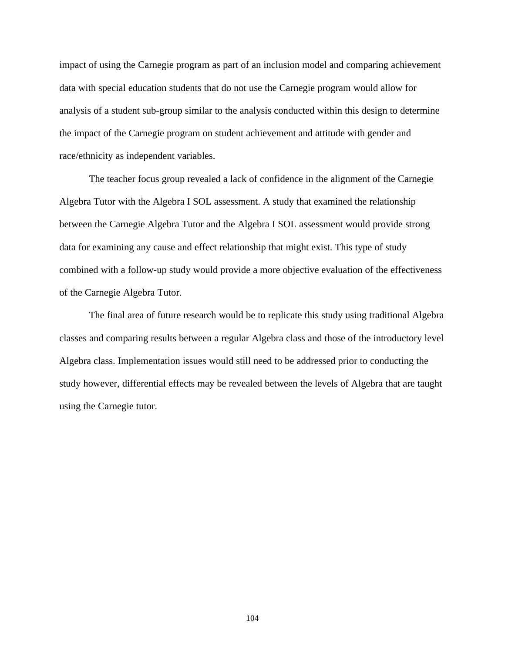impact of using the Carnegie program as part of an inclusion model and comparing achievement data with special education students that do not use the Carnegie program would allow for analysis of a student sub-group similar to the analysis conducted within this design to determine the impact of the Carnegie program on student achievement and attitude with gender and race/ethnicity as independent variables.

The teacher focus group revealed a lack of confidence in the alignment of the Carnegie Algebra Tutor with the Algebra I SOL assessment. A study that examined the relationship between the Carnegie Algebra Tutor and the Algebra I SOL assessment would provide strong data for examining any cause and effect relationship that might exist. This type of study combined with a follow-up study would provide a more objective evaluation of the effectiveness of the Carnegie Algebra Tutor.

The final area of future research would be to replicate this study using traditional Algebra classes and comparing results between a regular Algebra class and those of the introductory level Algebra class. Implementation issues would still need to be addressed prior to conducting the study however, differential effects may be revealed between the levels of Algebra that are taught using the Carnegie tutor.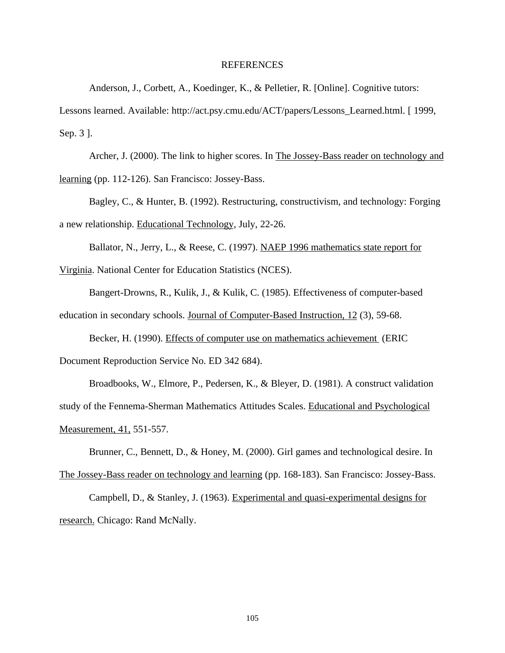#### REFERENCES

Anderson, J., Corbett, A., Koedinger, K., & Pelletier, R. [Online]. Cognitive tutors:

Lessons learned. Available: http://act.psy.cmu.edu/ACT/papers/Lessons\_Learned.html. [ 1999, Sep. 3 ].

Archer, J. (2000). The link to higher scores. In The Jossey-Bass reader on technology and learning (pp. 112-126). San Francisco: Jossey-Bass.

Bagley, C., & Hunter, B. (1992). Restructuring, constructivism, and technology: Forging a new relationship. Educational Technology, July, 22-26.

Ballator, N., Jerry, L., & Reese, C. (1997). NAEP 1996 mathematics state report for

Virginia. National Center for Education Statistics (NCES).

Bangert-Drowns, R., Kulik, J., & Kulik, C. (1985). Effectiveness of computer-based education in secondary schools. Journal of Computer-Based Instruction, 12 (3), 59-68.

Becker, H. (1990). Effects of computer use on mathematics achievement (ERIC Document Reproduction Service No. ED 342 684).

Broadbooks, W., Elmore, P., Pedersen, K., & Bleyer, D. (1981). A construct validation study of the Fennema-Sherman Mathematics Attitudes Scales. Educational and Psychological Measurement, 41, 551-557.

Brunner, C., Bennett, D., & Honey, M. (2000). Girl games and technological desire. In The Jossey-Bass reader on technology and learning (pp. 168-183). San Francisco: Jossey-Bass.

Campbell, D., & Stanley, J. (1963). Experimental and quasi-experimental designs for research. Chicago: Rand McNally.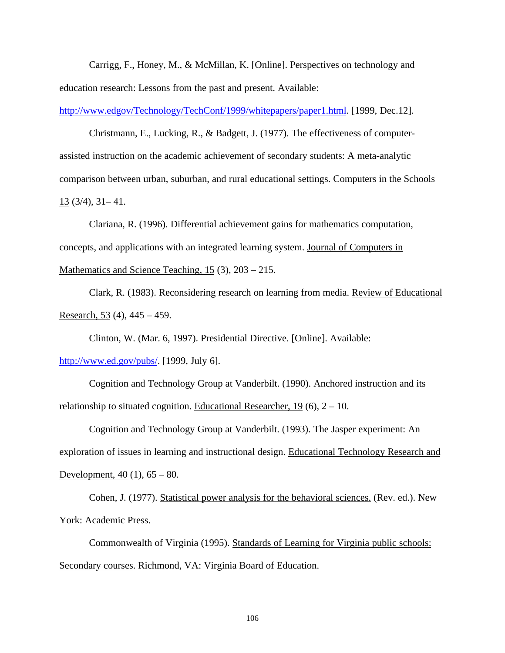Carrigg, F., Honey, M., & McMillan, K. [Online]. Perspectives on technology and education research: Lessons from the past and present. Available:

http://www.edgov/Technology/TechConf/1999/whitepapers/paper1.html. [1999, Dec.12].

Christmann, E., Lucking, R., & Badgett, J. (1977). The effectiveness of computerassisted instruction on the academic achievement of secondary students: A meta-analytic comparison between urban, suburban, and rural educational settings. Computers in the Schools 13 (3/4), 31– 41.

Clariana, R. (1996). Differential achievement gains for mathematics computation, concepts, and applications with an integrated learning system. Journal of Computers in Mathematics and Science Teaching, 15 (3), 203 – 215.

Clark, R. (1983). Reconsidering research on learning from media. Review of Educational Research,  $53(4)$ ,  $445 - 459$ .

Clinton, W. (Mar. 6, 1997). Presidential Directive. [Online]. Available: http://www.ed.gov/pubs/. [1999, July 6].

Cognition and Technology Group at Vanderbilt. (1990). Anchored instruction and its relationship to situated cognition. Educational Researcher,  $19(6)$ ,  $2 - 10$ .

Cognition and Technology Group at Vanderbilt. (1993). The Jasper experiment: An exploration of issues in learning and instructional design. Educational Technology Research and Development,  $40(1)$ ,  $65 - 80$ .

Cohen, J. (1977). Statistical power analysis for the behavioral sciences. (Rev. ed.). New York: Academic Press.

Commonwealth of Virginia (1995). Standards of Learning for Virginia public schools: Secondary courses. Richmond, VA: Virginia Board of Education.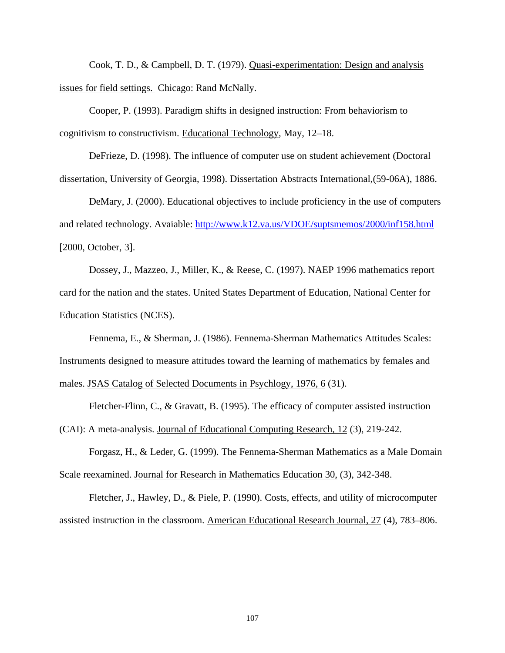Cook, T. D., & Campbell, D. T. (1979). Quasi-experimentation: Design and analysis issues for field settings. Chicago: Rand McNally.

Cooper, P. (1993). Paradigm shifts in designed instruction: From behaviorism to cognitivism to constructivism. Educational Technology, May, 12–18.

DeFrieze, D. (1998). The influence of computer use on student achievement (Doctoral dissertation, University of Georgia, 1998). Dissertation Abstracts International,(59-06A), 1886.

DeMary, J. (2000). Educational objectives to include proficiency in the use of computers and related technology. Avaiable: http://www.k12.va.us/VDOE/suptsmemos/2000/inf158.html [2000, October, 3].

Dossey, J., Mazzeo, J., Miller, K., & Reese, C. (1997). NAEP 1996 mathematics report card for the nation and the states. United States Department of Education, National Center for Education Statistics (NCES).

Fennema, E., & Sherman, J. (1986). Fennema-Sherman Mathematics Attitudes Scales: Instruments designed to measure attitudes toward the learning of mathematics by females and males. JSAS Catalog of Selected Documents in Psychlogy, 1976, 6 (31).

Fletcher-Flinn, C., & Gravatt, B. (1995). The efficacy of computer assisted instruction (CAI): A meta-analysis. Journal of Educational Computing Research, 12 (3), 219-242.

Forgasz, H., & Leder, G. (1999). The Fennema-Sherman Mathematics as a Male Domain Scale reexamined. Journal for Research in Mathematics Education 30, (3), 342-348.

Fletcher, J., Hawley, D., & Piele, P. (1990). Costs, effects, and utility of microcomputer assisted instruction in the classroom. American Educational Research Journal, 27 (4), 783–806.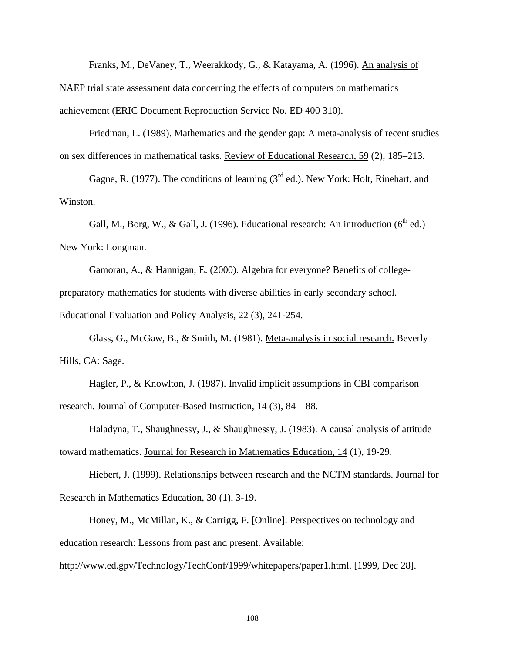Franks, M., DeVaney, T., Weerakkody, G., & Katayama, A. (1996). An analysis of

NAEP trial state assessment data concerning the effects of computers on mathematics achievement (ERIC Document Reproduction Service No. ED 400 310).

Friedman, L. (1989). Mathematics and the gender gap: A meta-analysis of recent studies on sex differences in mathematical tasks. Review of Educational Research, 59 (2), 185–213.

Gagne, R. (1977). The conditions of learning  $3<sup>rd</sup>$  ed.). New York: Holt, Rinehart, and Winston.

Gall, M., Borg, W., & Gall, J. (1996). Educational research: An introduction  $(6^{th}$  ed.) New York: Longman.

Gamoran, A., & Hannigan, E. (2000). Algebra for everyone? Benefits of collegepreparatory mathematics for students with diverse abilities in early secondary school.

Educational Evaluation and Policy Analysis, 22 (3), 241-254.

Glass, G., McGaw, B., & Smith, M. (1981). Meta-analysis in social research. Beverly Hills, CA: Sage.

Hagler, P., & Knowlton, J. (1987). Invalid implicit assumptions in CBI comparison research. Journal of Computer-Based Instruction, 14 (3), 84 – 88.

Haladyna, T., Shaughnessy, J., & Shaughnessy, J. (1983). A causal analysis of attitude toward mathematics. Journal for Research in Mathematics Education, 14 (1), 19-29.

Hiebert, J. (1999). Relationships between research and the NCTM standards. Journal for Research in Mathematics Education, 30 (1), 3-19.

Honey, M., McMillan, K., & Carrigg, F. [Online]. Perspectives on technology and education research: Lessons from past and present. Available:

http://www.ed.gpv/Technology/TechConf/1999/whitepapers/paper1.html. [1999, Dec 28].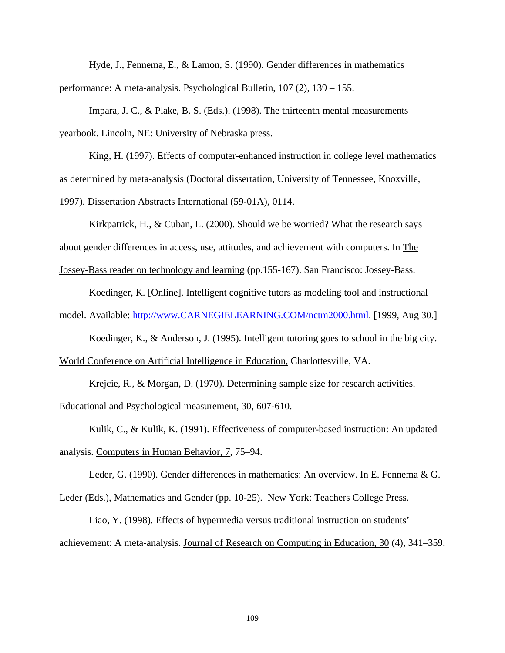Hyde, J., Fennema, E., & Lamon, S. (1990). Gender differences in mathematics performance: A meta-analysis. Psychological Bulletin, 107 (2), 139 – 155.

Impara, J. C., & Plake, B. S. (Eds.). (1998). The thirteenth mental measurements yearbook. Lincoln, NE: University of Nebraska press.

King, H. (1997). Effects of computer-enhanced instruction in college level mathematics as determined by meta-analysis (Doctoral dissertation, University of Tennessee, Knoxville, 1997). Dissertation Abstracts International (59-01A), 0114.

Kirkpatrick, H., & Cuban, L. (2000). Should we be worried? What the research says about gender differences in access, use, attitudes, and achievement with computers. In The Jossey-Bass reader on technology and learning (pp.155-167). San Francisco: Jossey-Bass.

Koedinger, K. [Online]. Intelligent cognitive tutors as modeling tool and instructional model. Available: http://www.CARNEGIELEARNING.COM/nctm2000.html. [1999, Aug 30.]

Koedinger, K., & Anderson, J. (1995). Intelligent tutoring goes to school in the big city.

World Conference on Artificial Intelligence in Education, Charlottesville, VA.

Krejcie, R., & Morgan, D. (1970). Determining sample size for research activities.

Educational and Psychological measurement, 30, 607-610.

Kulik, C., & Kulik, K. (1991). Effectiveness of computer-based instruction: An updated analysis. Computers in Human Behavior, 7, 75–94.

Leder, G. (1990). Gender differences in mathematics: An overview. In E. Fennema & G.

Leder (Eds.), Mathematics and Gender (pp. 10-25). New York: Teachers College Press.

Liao, Y. (1998). Effects of hypermedia versus traditional instruction on students' achievement: A meta-analysis. Journal of Research on Computing in Education, 30 (4), 341–359.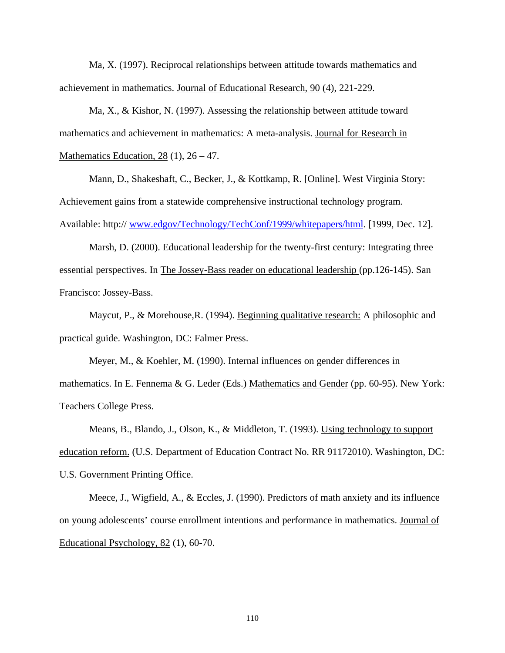Ma, X. (1997). Reciprocal relationships between attitude towards mathematics and achievement in mathematics. Journal of Educational Research, 90 (4), 221-229.

Ma, X., & Kishor, N. (1997). Assessing the relationship between attitude toward mathematics and achievement in mathematics: A meta-analysis. Journal for Research in Mathematics Education,  $28(1)$ ,  $26 - 47$ .

Mann, D., Shakeshaft, C., Becker, J., & Kottkamp, R. [Online]. West Virginia Story: Achievement gains from a statewide comprehensive instructional technology program. Available: http:// www.edgov/Technology/TechConf/1999/whitepapers/html. [1999, Dec. 12].

Marsh, D. (2000). Educational leadership for the twenty-first century: Integrating three essential perspectives. In The Jossey-Bass reader on educational leadership (pp.126-145). San Francisco: Jossey-Bass.

Maycut, P., & Morehouse, R. (1994). Beginning qualitative research: A philosophic and practical guide. Washington, DC: Falmer Press.

Meyer, M., & Koehler, M. (1990). Internal influences on gender differences in mathematics. In E. Fennema & G. Leder (Eds.) Mathematics and Gender (pp. 60-95). New York: Teachers College Press.

Means, B., Blando, J., Olson, K., & Middleton, T. (1993). Using technology to support education reform. (U.S. Department of Education Contract No. RR 91172010). Washington, DC: U.S. Government Printing Office.

Meece, J., Wigfield, A., & Eccles, J. (1990). Predictors of math anxiety and its influence on young adolescents' course enrollment intentions and performance in mathematics. Journal of Educational Psychology, 82 (1), 60-70.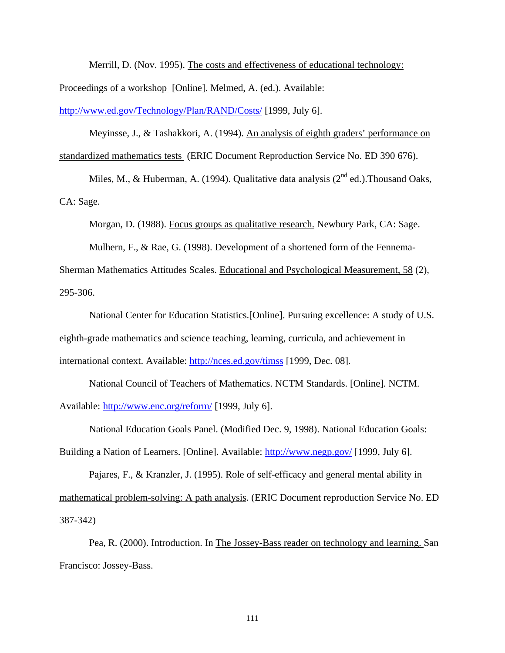Merrill, D. (Nov. 1995). The costs and effectiveness of educational technology: Proceedings of a workshop [Online]. Melmed, A. (ed.). Available:

http://www.ed.gov/Technology/Plan/RAND/Costs/ [1999, July 6].

Meyinsse, J., & Tashakkori, A. (1994). An analysis of eighth graders' performance on standardized mathematics tests (ERIC Document Reproduction Service No. ED 390 676).

Miles, M., & Huberman, A. (1994). Qualitative data analysis ( $2<sup>nd</sup>$  ed.). Thousand Oaks, CA: Sage.

Morgan, D. (1988). Focus groups as qualitative research. Newbury Park, CA: Sage.

Mulhern, F., & Rae, G. (1998). Development of a shortened form of the Fennema-

Sherman Mathematics Attitudes Scales. Educational and Psychological Measurement, 58 (2), 295-306.

National Center for Education Statistics.[Online]. Pursuing excellence: A study of U.S. eighth-grade mathematics and science teaching, learning, curricula, and achievement in international context. Available: http://nces.ed.gov/timss [1999, Dec. 08].

National Council of Teachers of Mathematics. NCTM Standards. [Online]. NCTM. Available: http://www.enc.org/reform/ [1999, July 6].

National Education Goals Panel. (Modified Dec. 9, 1998). National Education Goals:

Building a Nation of Learners. [Online]. Available: http://www.negp.gov/ [1999, July 6].

Pajares, F., & Kranzler, J. (1995). Role of self-efficacy and general mental ability in mathematical problem-solving: A path analysis. (ERIC Document reproduction Service No. ED 387-342)

Pea, R. (2000). Introduction. In The Jossey-Bass reader on technology and learning. San Francisco: Jossey-Bass.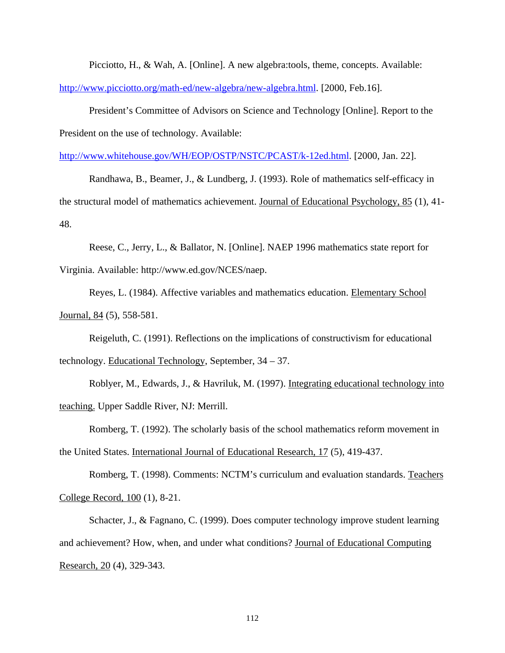Picciotto, H., & Wah, A. [Online]. A new algebra:tools, theme, concepts. Available: http://www.picciotto.org/math-ed/new-algebra/new-algebra.html. [2000, Feb.16].

President's Committee of Advisors on Science and Technology [Online]. Report to the President on the use of technology. Available:

http://www.whitehouse.gov/WH/EOP/OSTP/NSTC/PCAST/k-12ed.html. [2000, Jan. 22].

Randhawa, B., Beamer, J., & Lundberg, J. (1993). Role of mathematics self-efficacy in the structural model of mathematics achievement. Journal of Educational Psychology, 85 (1), 41- 48.

Reese, C., Jerry, L., & Ballator, N. [Online]. NAEP 1996 mathematics state report for Virginia. Available: http://www.ed.gov/NCES/naep.

Reyes, L. (1984). Affective variables and mathematics education. Elementary School Journal, 84 (5), 558-581.

Reigeluth, C. (1991). Reflections on the implications of constructivism for educational technology. Educational Technology, September, 34 – 37.

Roblyer, M., Edwards, J., & Havriluk, M. (1997). Integrating educational technology into teaching. Upper Saddle River, NJ: Merrill.

Romberg, T. (1992). The scholarly basis of the school mathematics reform movement in the United States. International Journal of Educational Research, 17 (5), 419-437.

Romberg, T. (1998). Comments: NCTM's curriculum and evaluation standards. Teachers College Record, 100 (1), 8-21.

Schacter, J., & Fagnano, C. (1999). Does computer technology improve student learning and achievement? How, when, and under what conditions? Journal of Educational Computing Research, 20 (4), 329-343.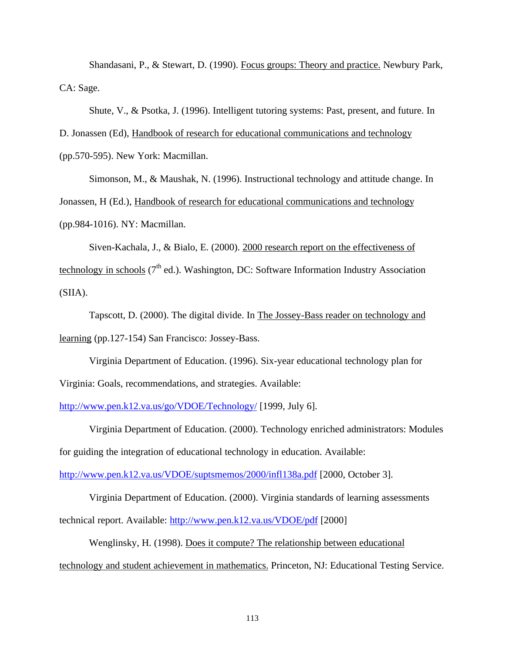Shandasani, P., & Stewart, D. (1990). Focus groups: Theory and practice. Newbury Park, CA: Sage.

Shute, V., & Psotka, J. (1996). Intelligent tutoring systems: Past, present, and future. In

D. Jonassen (Ed), Handbook of research for educational communications and technology

(pp.570-595). New York: Macmillan.

Simonson, M., & Maushak, N. (1996). Instructional technology and attitude change. In Jonassen, H (Ed.), Handbook of research for educational communications and technology (pp.984-1016). NY: Macmillan.

Siven-Kachala, J., & Bialo, E. (2000). 2000 research report on the effectiveness of technology in schools (7<sup>th</sup> ed.). Washington, DC: Software Information Industry Association (SIIA).

Tapscott, D. (2000). The digital divide. In The Jossey-Bass reader on technology and learning (pp.127-154) San Francisco: Jossey-Bass.

Virginia Department of Education. (1996). Six-year educational technology plan for Virginia: Goals, recommendations, and strategies. Available:

http://www.pen.k12.va.us/go/VDOE/Technology/ [1999, July 6].

Virginia Department of Education. (2000). Technology enriched administrators: Modules for guiding the integration of educational technology in education. Available:

http://www.pen.k12.va.us/VDOE/suptsmemos/2000/infl138a.pdf [2000, October 3].

Virginia Department of Education. (2000). Virginia standards of learning assessments technical report. Available: http://www.pen.k12.va.us/VDOE/pdf [2000]

Wenglinsky, H. (1998). Does it compute? The relationship between educational technology and student achievement in mathematics. Princeton, NJ: Educational Testing Service.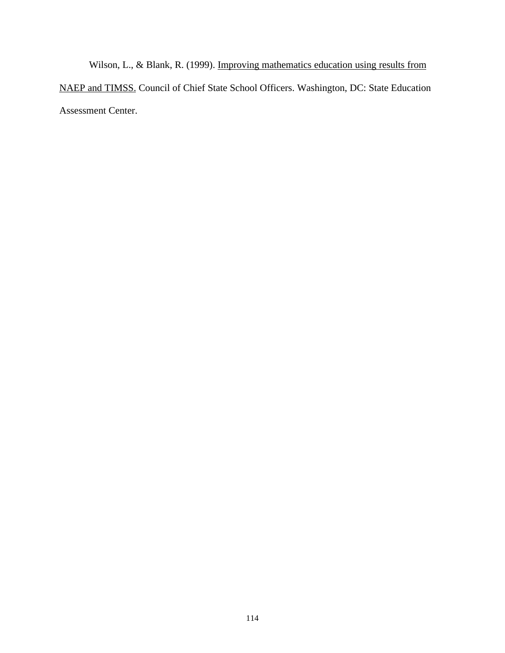Wilson, L., & Blank, R. (1999). Improving mathematics education using results from NAEP and TIMSS. Council of Chief State School Officers. Washington, DC: State Education Assessment Center.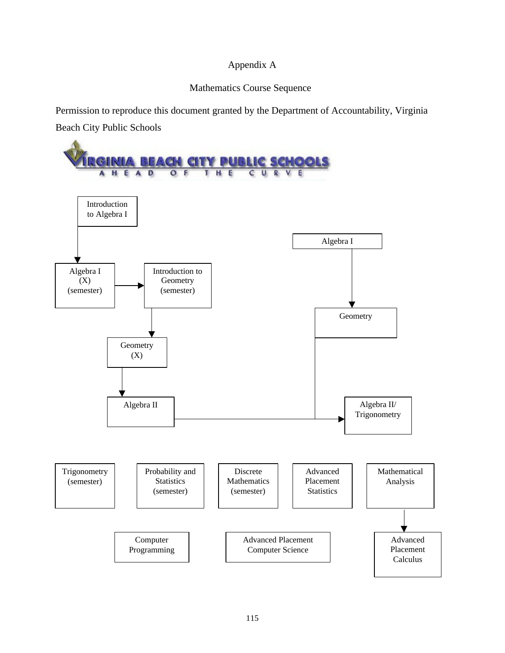## Appendix A

### Mathematics Course Sequence

Permission to reproduce this document granted by the Department of Accountability, Virginia

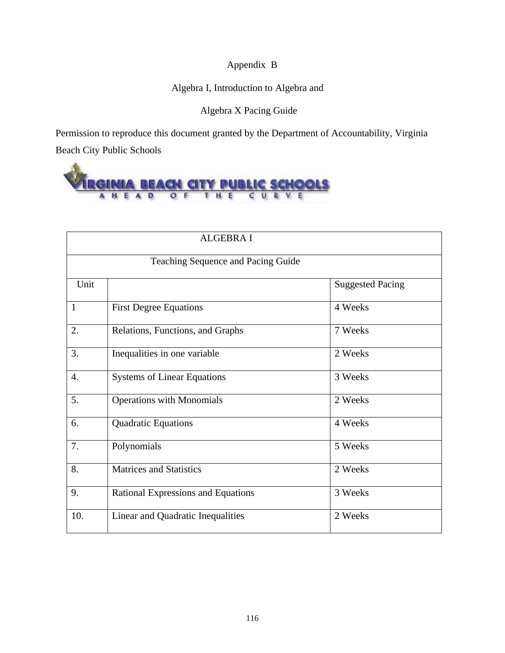## Appendix B

## Algebra I, Introduction to Algebra and

Algebra X Pacing Guide

Permission to reproduce this document granted by the Department of Accountability, Virginia Beach City Public Schools



|              | <b>ALGEBRA I</b>                   |                         |  |  |  |  |  |
|--------------|------------------------------------|-------------------------|--|--|--|--|--|
|              | Teaching Sequence and Pacing Guide |                         |  |  |  |  |  |
| Unit         |                                    | <b>Suggested Pacing</b> |  |  |  |  |  |
| $\mathbf{1}$ | <b>First Degree Equations</b>      | 4 Weeks                 |  |  |  |  |  |
| 2.           | Relations, Functions, and Graphs   | 7 Weeks                 |  |  |  |  |  |
| 3.           | Inequalities in one variable       | 2 Weeks                 |  |  |  |  |  |
| 4.           | <b>Systems of Linear Equations</b> | 3 Weeks                 |  |  |  |  |  |
| 5.           | <b>Operations with Monomials</b>   | 2 Weeks                 |  |  |  |  |  |
| 6.           | Quadratic Equations                | 4 Weeks                 |  |  |  |  |  |
| 7.           | Polynomials                        | 5 Weeks                 |  |  |  |  |  |
| 8.           | <b>Matrices and Statistics</b>     | 2 Weeks                 |  |  |  |  |  |
| 9.           | Rational Expressions and Equations | 3 Weeks                 |  |  |  |  |  |
| 10.          | Linear and Quadratic Inequalities  | 2 Weeks                 |  |  |  |  |  |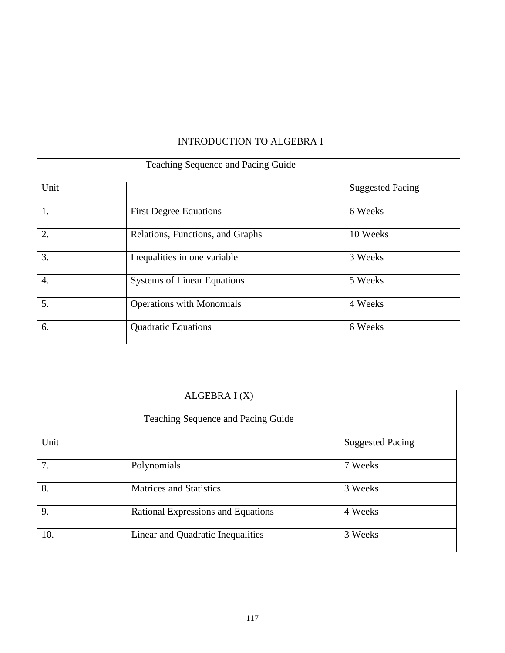|                                    | <b>INTRODUCTION TO ALGEBRA I</b>   |                         |  |  |  |  |
|------------------------------------|------------------------------------|-------------------------|--|--|--|--|
| Teaching Sequence and Pacing Guide |                                    |                         |  |  |  |  |
| Unit                               |                                    | <b>Suggested Pacing</b> |  |  |  |  |
| 1.                                 | <b>First Degree Equations</b>      | 6 Weeks                 |  |  |  |  |
| 2.                                 | Relations, Functions, and Graphs   | 10 Weeks                |  |  |  |  |
| 3.                                 | Inequalities in one variable       | 3 Weeks                 |  |  |  |  |
| 4.                                 | <b>Systems of Linear Equations</b> | 5 Weeks                 |  |  |  |  |
| 5.                                 | <b>Operations with Monomials</b>   | 4 Weeks                 |  |  |  |  |
| 6.                                 | <b>Quadratic Equations</b>         | 6 Weeks                 |  |  |  |  |

|                                    | ALGEBRA I (X)                      |                         |  |  |  |  |
|------------------------------------|------------------------------------|-------------------------|--|--|--|--|
| Teaching Sequence and Pacing Guide |                                    |                         |  |  |  |  |
| Unit                               |                                    | <b>Suggested Pacing</b> |  |  |  |  |
| 7.                                 | Polynomials                        | 7 Weeks                 |  |  |  |  |
| 8.                                 | <b>Matrices and Statistics</b>     | 3 Weeks                 |  |  |  |  |
| 9.                                 | Rational Expressions and Equations | 4 Weeks                 |  |  |  |  |
| 10.                                | Linear and Quadratic Inequalities  | 3 Weeks                 |  |  |  |  |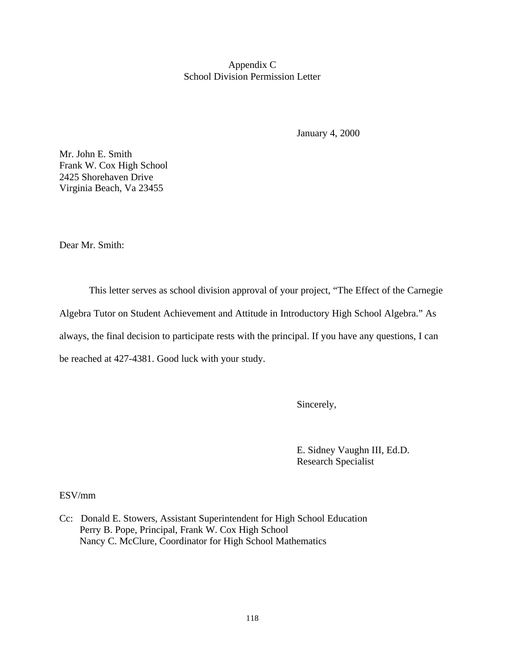Appendix C School Division Permission Letter

January 4, 2000

Mr. John E. Smith Frank W. Cox High School 2425 Shorehaven Drive Virginia Beach, Va 23455

Dear Mr. Smith:

This letter serves as school division approval of your project, "The Effect of the Carnegie Algebra Tutor on Student Achievement and Attitude in Introductory High School Algebra." As always, the final decision to participate rests with the principal. If you have any questions, I can be reached at 427-4381. Good luck with your study.

Sincerely,

E. Sidney Vaughn III, Ed.D. Research Specialist

ESV/mm

Cc: Donald E. Stowers, Assistant Superintendent for High School Education Perry B. Pope, Principal, Frank W. Cox High School Nancy C. McClure, Coordinator for High School Mathematics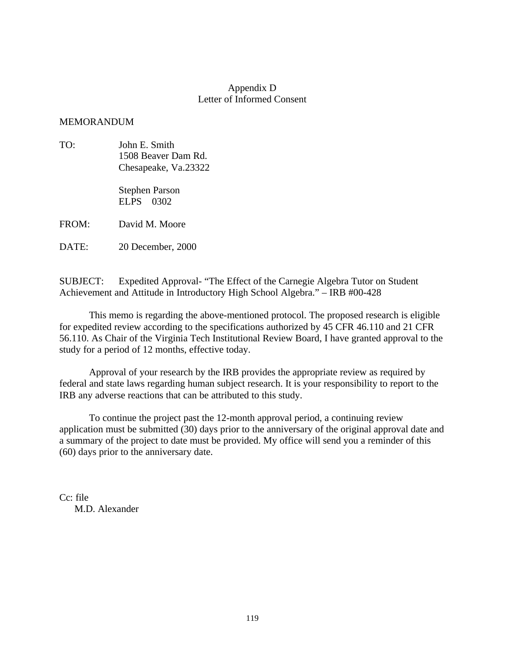### Appendix D Letter of Informed Consent

### MEMORANDUM

TO: John E. Smith 1508 Beaver Dam Rd. Chesapeake, Va.23322

> Stephen Parson ELPS 0302

FROM: David M. Moore

DATE: 20 December, 2000

SUBJECT: Expedited Approval- "The Effect of the Carnegie Algebra Tutor on Student Achievement and Attitude in Introductory High School Algebra." – IRB #00-428

This memo is regarding the above-mentioned protocol. The proposed research is eligible for expedited review according to the specifications authorized by 45 CFR 46.110 and 21 CFR 56.110. As Chair of the Virginia Tech Institutional Review Board, I have granted approval to the study for a period of 12 months, effective today.

Approval of your research by the IRB provides the appropriate review as required by federal and state laws regarding human subject research. It is your responsibility to report to the IRB any adverse reactions that can be attributed to this study.

To continue the project past the 12-month approval period, a continuing review application must be submitted (30) days prior to the anniversary of the original approval date and a summary of the project to date must be provided. My office will send you a reminder of this (60) days prior to the anniversary date.

Cc: file M.D. Alexander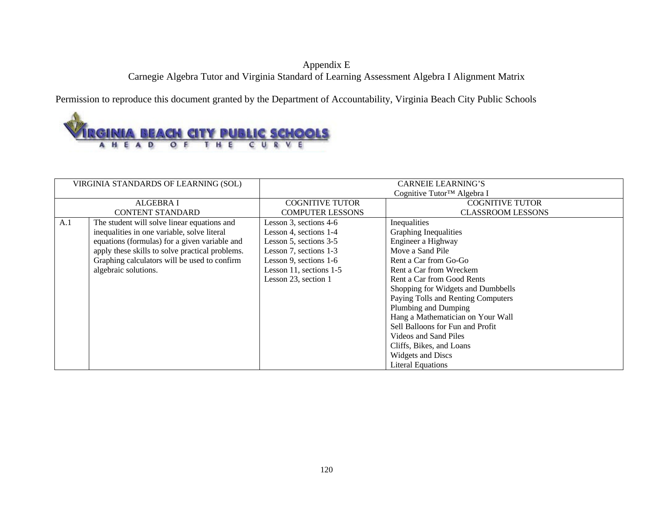## Appendix E Carnegie Algebra Tutor and Virginia Standard of Learning Assessment Algebra I Alignment Matrix

Permission to reproduce this document granted by the Department of Accountability, Virginia Beach City Public Schools



|     | VIRGINIA STANDARDS OF LEARNING (SOL)            | <b>CARNEIE LEARNING'S</b>          |                                   |  |  |  |
|-----|-------------------------------------------------|------------------------------------|-----------------------------------|--|--|--|
|     |                                                 | Cognitive Tutor™ Algebra I         |                                   |  |  |  |
|     | <b>ALGEBRA I</b>                                | <b>COGNITIVE TUTOR</b>             | <b>COGNITIVE TUTOR</b>            |  |  |  |
|     | <b>CONTENT STANDARD</b>                         | <b>COMPUTER LESSONS</b>            | <b>CLASSROOM LESSONS</b>          |  |  |  |
| A.1 | The student will solve linear equations and     | Lesson 3, sections 4-6             | Inequalities                      |  |  |  |
|     | inequalities in one variable, solve literal     | Lesson 4, sections 1-4             | Graphing Inequalities             |  |  |  |
|     | equations (formulas) for a given variable and   | Lesson 5, sections 3-5             | Engineer a Highway                |  |  |  |
|     | apply these skills to solve practical problems. | Lesson 7, sections 1-3             | Move a Sand Pile                  |  |  |  |
|     | Graphing calculators will be used to confirm    | Lesson 9, sections 1-6             | Rent a Car from Go-Go             |  |  |  |
|     | algebraic solutions.                            | Lesson 11, sections 1-5            | Rent a Car from Wreckem           |  |  |  |
|     |                                                 | Lesson 23, section 1               | Rent a Car from Good Rents        |  |  |  |
|     |                                                 | Shopping for Widgets and Dumbbells |                                   |  |  |  |
|     |                                                 | Paying Tolls and Renting Computers |                                   |  |  |  |
|     |                                                 | Plumbing and Dumping               |                                   |  |  |  |
|     |                                                 |                                    | Hang a Mathematician on Your Wall |  |  |  |
|     |                                                 |                                    | Sell Balloons for Fun and Profit  |  |  |  |
|     |                                                 |                                    | Videos and Sand Piles             |  |  |  |
|     |                                                 |                                    | Cliffs, Bikes, and Loans          |  |  |  |
|     |                                                 |                                    | <b>Widgets and Discs</b>          |  |  |  |
|     |                                                 |                                    | <b>Literal Equations</b>          |  |  |  |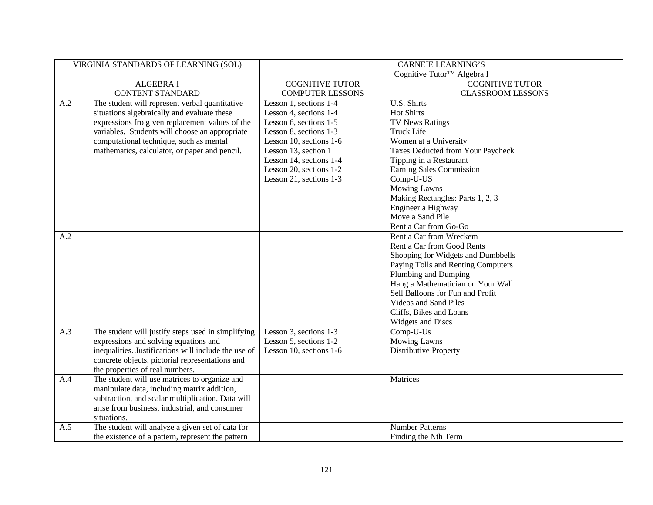| VIRGINIA STANDARDS OF LEARNING (SOL) |                                                      | <b>CARNEIE LEARNING'S</b>              |                                    |  |  |
|--------------------------------------|------------------------------------------------------|----------------------------------------|------------------------------------|--|--|
|                                      |                                                      | Cognitive Tutor <sup>™</sup> Algebra I |                                    |  |  |
|                                      | <b>ALGEBRA I</b>                                     | <b>COGNITIVE TUTOR</b>                 | <b>COGNITIVE TUTOR</b>             |  |  |
|                                      | <b>CONTENT STANDARD</b>                              | <b>COMPUTER LESSONS</b>                | <b>CLASSROOM LESSONS</b>           |  |  |
| A.2                                  | The student will represent verbal quantitative       | Lesson 1, sections 1-4                 | U.S. Shirts                        |  |  |
|                                      | situations algebraically and evaluate these          | Lesson 4, sections 1-4                 | <b>Hot Shirts</b>                  |  |  |
|                                      | expressions fro given replacement values of the      | Lesson 6, sections 1-5                 | TV News Ratings                    |  |  |
|                                      | variables. Students will choose an appropriate       | Lesson 8, sections 1-3                 | <b>Truck Life</b>                  |  |  |
|                                      | computational technique, such as mental              | Lesson 10, sections 1-6                | Women at a University              |  |  |
|                                      | mathematics, calculator, or paper and pencil.        | Lesson 13, section 1                   | Taxes Deducted from Your Paycheck  |  |  |
|                                      |                                                      | Lesson 14, sections 1-4                | Tipping in a Restaurant            |  |  |
|                                      |                                                      | Lesson 20, sections 1-2                | Earning Sales Commission           |  |  |
|                                      |                                                      | Lesson 21, sections 1-3                | Comp-U-US                          |  |  |
|                                      |                                                      |                                        | <b>Mowing Lawns</b>                |  |  |
|                                      |                                                      |                                        | Making Rectangles: Parts 1, 2, 3   |  |  |
|                                      |                                                      |                                        | Engineer a Highway                 |  |  |
|                                      |                                                      |                                        | Move a Sand Pile                   |  |  |
|                                      |                                                      |                                        | Rent a Car from Go-Go              |  |  |
| A.2                                  |                                                      |                                        | Rent a Car from Wreckem            |  |  |
|                                      |                                                      |                                        | Rent a Car from Good Rents         |  |  |
|                                      |                                                      |                                        | Shopping for Widgets and Dumbbells |  |  |
|                                      |                                                      |                                        | Paying Tolls and Renting Computers |  |  |
|                                      |                                                      |                                        | Plumbing and Dumping               |  |  |
|                                      |                                                      |                                        | Hang a Mathematician on Your Wall  |  |  |
|                                      |                                                      |                                        | Sell Balloons for Fun and Profit   |  |  |
|                                      |                                                      |                                        | Videos and Sand Piles              |  |  |
|                                      |                                                      |                                        | Cliffs, Bikes and Loans            |  |  |
|                                      |                                                      |                                        | <b>Widgets and Discs</b>           |  |  |
| A.3                                  | The student will justify steps used in simplifying   | Lesson 3, sections 1-3                 | Comp-U-Us                          |  |  |
|                                      | expressions and solving equations and                | Lesson 5, sections 1-2                 | <b>Mowing Lawns</b>                |  |  |
|                                      | inequalities. Justifications will include the use of | Lesson 10, sections 1-6                | <b>Distributive Property</b>       |  |  |
|                                      | concrete objects, pictorial representations and      |                                        |                                    |  |  |
|                                      | the properties of real numbers.                      |                                        |                                    |  |  |
| A.4                                  | The student will use matrices to organize and        |                                        | Matrices                           |  |  |
|                                      | manipulate data, including matrix addition,          |                                        |                                    |  |  |
|                                      | subtraction, and scalar multiplication. Data will    |                                        |                                    |  |  |
|                                      | arise from business, industrial, and consumer        |                                        |                                    |  |  |
|                                      | situations.                                          |                                        |                                    |  |  |
| A.5                                  | The student will analyze a given set of data for     |                                        | <b>Number Patterns</b>             |  |  |
|                                      | the existence of a pattern, represent the pattern    |                                        | Finding the Nth Term               |  |  |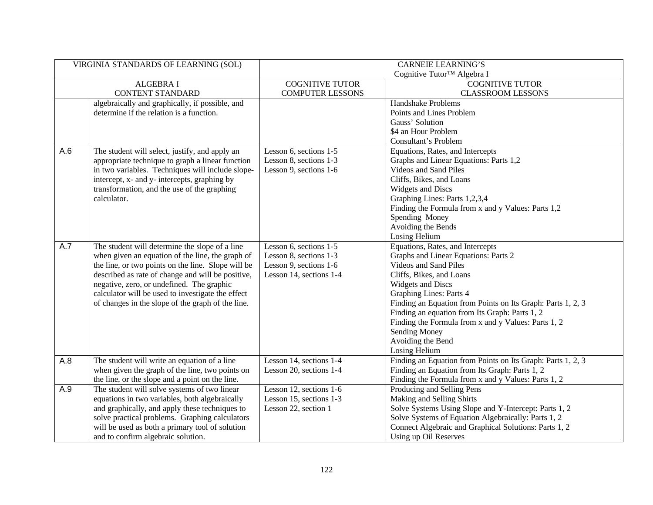| VIRGINIA STANDARDS OF LEARNING (SOL) |                                                    |                                        | <b>CARNEIE LEARNING'S</b>                                   |  |  |
|--------------------------------------|----------------------------------------------------|----------------------------------------|-------------------------------------------------------------|--|--|
|                                      |                                                    | Cognitive Tutor <sup>™</sup> Algebra I |                                                             |  |  |
|                                      | <b>ALGEBRA I</b>                                   | <b>COGNITIVE TUTOR</b>                 | <b>COGNITIVE TUTOR</b>                                      |  |  |
|                                      | <b>CONTENT STANDARD</b>                            | <b>COMPUTER LESSONS</b>                | <b>CLASSROOM LESSONS</b>                                    |  |  |
|                                      | algebraically and graphically, if possible, and    |                                        | Handshake Problems                                          |  |  |
|                                      | determine if the relation is a function.           |                                        | Points and Lines Problem                                    |  |  |
|                                      |                                                    |                                        | Gauss' Solution                                             |  |  |
|                                      |                                                    |                                        | \$4 an Hour Problem                                         |  |  |
|                                      |                                                    |                                        | Consultant's Problem                                        |  |  |
| A.6                                  | The student will select, justify, and apply an     | Lesson 6, sections 1-5                 | Equations, Rates, and Intercepts                            |  |  |
|                                      | appropriate technique to graph a linear function   | Lesson 8, sections 1-3                 | Graphs and Linear Equations: Parts 1,2                      |  |  |
|                                      | in two variables. Techniques will include slope-   | Lesson 9, sections 1-6                 | Videos and Sand Piles                                       |  |  |
|                                      | intercept, x- and y- intercepts, graphing by       |                                        | Cliffs, Bikes, and Loans                                    |  |  |
|                                      | transformation, and the use of the graphing        |                                        | <b>Widgets and Discs</b>                                    |  |  |
|                                      | calculator.                                        |                                        | Graphing Lines: Parts 1,2,3,4                               |  |  |
|                                      |                                                    |                                        | Finding the Formula from x and y Values: Parts 1,2          |  |  |
|                                      |                                                    |                                        | Spending Money                                              |  |  |
|                                      |                                                    |                                        | Avoiding the Bends                                          |  |  |
|                                      |                                                    |                                        | Losing Helium                                               |  |  |
| A.7                                  | The student will determine the slope of a line     | Lesson 6, sections 1-5                 | Equations, Rates, and Intercepts                            |  |  |
|                                      | when given an equation of the line, the graph of   | Lesson 8, sections 1-3                 | Graphs and Linear Equations: Parts 2                        |  |  |
|                                      | the line, or two points on the line. Slope will be | Lesson 9, sections 1-6                 | Videos and Sand Piles                                       |  |  |
|                                      | described as rate of change and will be positive,  | Lesson 14, sections 1-4                | Cliffs, Bikes, and Loans                                    |  |  |
|                                      | negative, zero, or undefined. The graphic          |                                        | <b>Widgets and Discs</b>                                    |  |  |
|                                      | calculator will be used to investigate the effect  |                                        | <b>Graphing Lines: Parts 4</b>                              |  |  |
|                                      | of changes in the slope of the graph of the line.  |                                        | Finding an Equation from Points on Its Graph: Parts 1, 2, 3 |  |  |
|                                      |                                                    |                                        | Finding an equation from Its Graph: Parts 1, 2              |  |  |
|                                      |                                                    |                                        | Finding the Formula from x and y Values: Parts 1, 2         |  |  |
|                                      |                                                    |                                        | Sending Money                                               |  |  |
|                                      |                                                    |                                        | Avoiding the Bend                                           |  |  |
|                                      |                                                    |                                        | Losing Helium                                               |  |  |
| A.8                                  | The student will write an equation of a line       | Lesson 14, sections 1-4                | Finding an Equation from Points on Its Graph: Parts 1, 2, 3 |  |  |
|                                      | when given the graph of the line, two points on    | Lesson 20, sections 1-4                | Finding an Equation from Its Graph: Parts 1, 2              |  |  |
|                                      | the line, or the slope and a point on the line.    |                                        | Finding the Formula from x and y Values: Parts 1, 2         |  |  |
| A.9                                  | The student will solve systems of two linear       | Lesson 12, sections 1-6                | Producing and Selling Pens                                  |  |  |
|                                      | equations in two variables, both algebraically     | Lesson 15, sections 1-3                | Making and Selling Shirts                                   |  |  |
|                                      | and graphically, and apply these techniques to     | Lesson 22, section 1                   | Solve Systems Using Slope and Y-Intercept: Parts 1, 2       |  |  |
|                                      | solve practical problems. Graphing calculators     |                                        | Solve Systems of Equation Algebraically: Parts 1, 2         |  |  |
|                                      | will be used as both a primary tool of solution    |                                        | Connect Algebraic and Graphical Solutions: Parts 1, 2       |  |  |
|                                      | and to confirm algebraic solution.                 |                                        | Using up Oil Reserves                                       |  |  |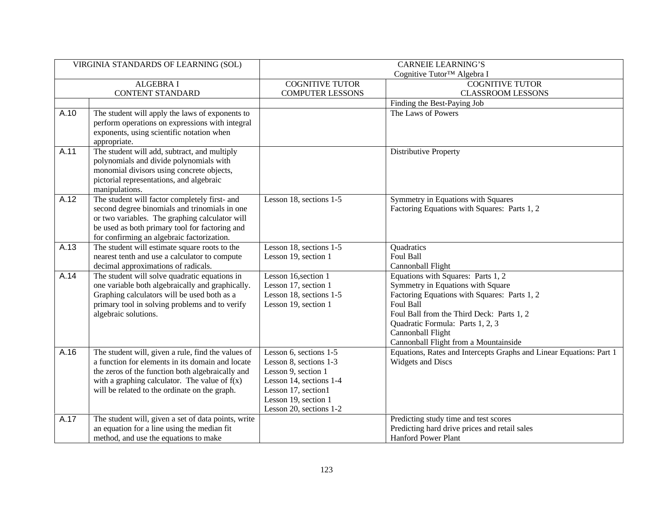| VIRGINIA STANDARDS OF LEARNING (SOL) |                                                                                                                                                                                                                                                                |                                                                                                                                                                              | <b>CARNEIE LEARNING'S</b>                                                                                                                                                                                                                                                           |  |  |
|--------------------------------------|----------------------------------------------------------------------------------------------------------------------------------------------------------------------------------------------------------------------------------------------------------------|------------------------------------------------------------------------------------------------------------------------------------------------------------------------------|-------------------------------------------------------------------------------------------------------------------------------------------------------------------------------------------------------------------------------------------------------------------------------------|--|--|
|                                      |                                                                                                                                                                                                                                                                |                                                                                                                                                                              | Cognitive Tutor <sup>™</sup> Algebra I                                                                                                                                                                                                                                              |  |  |
|                                      | <b>ALGEBRA I</b>                                                                                                                                                                                                                                               | <b>COGNITIVE TUTOR</b>                                                                                                                                                       | <b>COGNITIVE TUTOR</b>                                                                                                                                                                                                                                                              |  |  |
|                                      | <b>CONTENT STANDARD</b>                                                                                                                                                                                                                                        | <b>COMPUTER LESSONS</b>                                                                                                                                                      | <b>CLASSROOM LESSONS</b>                                                                                                                                                                                                                                                            |  |  |
|                                      |                                                                                                                                                                                                                                                                |                                                                                                                                                                              | Finding the Best-Paying Job                                                                                                                                                                                                                                                         |  |  |
| A.10                                 | The student will apply the laws of exponents to<br>perform operations on expressions with integral<br>exponents, using scientific notation when<br>appropriate.                                                                                                |                                                                                                                                                                              | The Laws of Powers                                                                                                                                                                                                                                                                  |  |  |
| A.11                                 | The student will add, subtract, and multiply<br>polynomials and divide polynomials with<br>monomial divisors using concrete objects,<br>pictorial representations, and algebraic<br>manipulations.                                                             |                                                                                                                                                                              | <b>Distributive Property</b>                                                                                                                                                                                                                                                        |  |  |
| A.12                                 | The student will factor completely first- and<br>second degree binomials and trinomials in one<br>or two variables. The graphing calculator will<br>be used as both primary tool for factoring and<br>for confirming an algebraic factorization.               | Lesson 18, sections 1-5                                                                                                                                                      | Symmetry in Equations with Squares<br>Factoring Equations with Squares: Parts 1, 2                                                                                                                                                                                                  |  |  |
| A.13                                 | The student will estimate square roots to the<br>nearest tenth and use a calculator to compute<br>decimal approximations of radicals.                                                                                                                          | Lesson 18, sections 1-5<br>Lesson 19, section 1                                                                                                                              | Quadratics<br>Foul Ball<br>Cannonball Flight                                                                                                                                                                                                                                        |  |  |
| A.14                                 | The student will solve quadratic equations in<br>one variable both algebraically and graphically.<br>Graphing calculators will be used both as a<br>primary tool in solving problems and to verify<br>algebraic solutions.                                     | Lesson 16, section 1<br>Lesson 17, section 1<br>Lesson 18, sections 1-5<br>Lesson 19, section 1                                                                              | Equations with Squares: Parts 1, 2<br>Symmetry in Equations with Square<br>Factoring Equations with Squares: Parts 1, 2<br>Foul Ball<br>Foul Ball from the Third Deck: Parts 1, 2<br>Quadratic Formula: Parts 1, 2, 3<br>Cannonball Flight<br>Cannonball Flight from a Mountainside |  |  |
| A.16                                 | The student will, given a rule, find the values of<br>a function for elements in its domain and locate<br>the zeros of the function both algebraically and<br>with a graphing calculator. The value of $f(x)$<br>will be related to the ordinate on the graph. | Lesson 6, sections 1-5<br>Lesson 8, sections 1-3<br>Lesson 9, section 1<br>Lesson 14, sections 1-4<br>Lesson 17, section1<br>Lesson 19, section 1<br>Lesson 20, sections 1-2 | Equations, Rates and Intercepts Graphs and Linear Equations: Part 1<br><b>Widgets and Discs</b>                                                                                                                                                                                     |  |  |
| A.17                                 | The student will, given a set of data points, write<br>an equation for a line using the median fit<br>method, and use the equations to make                                                                                                                    |                                                                                                                                                                              | Predicting study time and test scores<br>Predicting hard drive prices and retail sales<br><b>Hanford Power Plant</b>                                                                                                                                                                |  |  |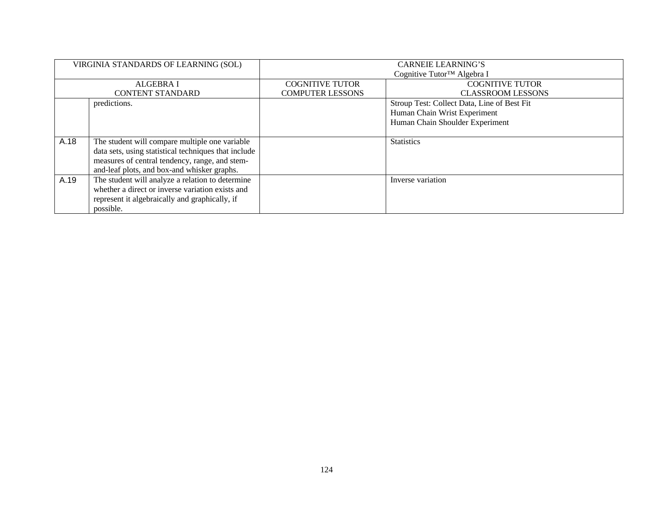| VIRGINIA STANDARDS OF LEARNING (SOL) |                                                      | <b>CARNEIE LEARNING'S</b><br>Cognitive Tutor <sup>™</sup> Algebra I |                                             |  |  |
|--------------------------------------|------------------------------------------------------|---------------------------------------------------------------------|---------------------------------------------|--|--|
|                                      |                                                      |                                                                     |                                             |  |  |
|                                      | <b>ALGEBRA I</b>                                     | <b>COGNITIVE TUTOR</b>                                              | <b>COGNITIVE TUTOR</b>                      |  |  |
|                                      | <b>CONTENT STANDARD</b>                              | <b>COMPUTER LESSONS</b>                                             | <b>CLASSROOM LESSONS</b>                    |  |  |
|                                      | predictions.                                         |                                                                     | Stroup Test: Collect Data, Line of Best Fit |  |  |
|                                      |                                                      |                                                                     | Human Chain Wrist Experiment                |  |  |
|                                      |                                                      |                                                                     | Human Chain Shoulder Experiment             |  |  |
|                                      |                                                      |                                                                     |                                             |  |  |
| A.18                                 | The student will compare multiple one variable       |                                                                     | <b>Statistics</b>                           |  |  |
|                                      | data sets, using statistical techniques that include |                                                                     |                                             |  |  |
|                                      | measures of central tendency, range, and stem-       |                                                                     |                                             |  |  |
|                                      | and-leaf plots, and box-and whisker graphs.          |                                                                     |                                             |  |  |
| A.19                                 | The student will analyze a relation to determine     |                                                                     | Inverse variation                           |  |  |
|                                      | whether a direct or inverse variation exists and     |                                                                     |                                             |  |  |
|                                      | represent it algebraically and graphically, if       |                                                                     |                                             |  |  |
|                                      | possible.                                            |                                                                     |                                             |  |  |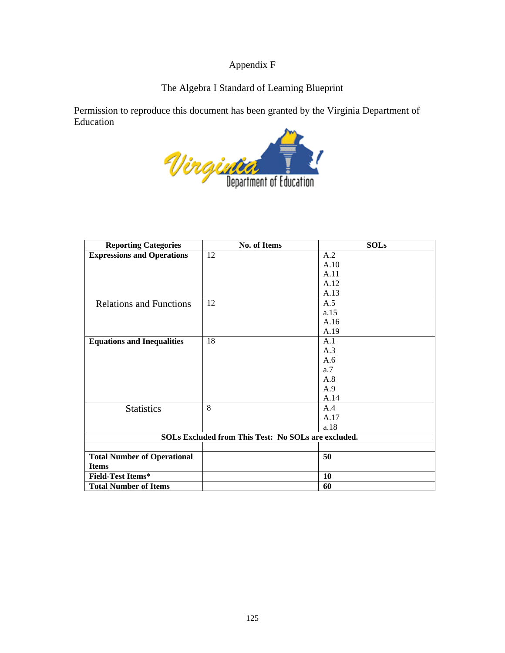## Appendix F

## The Algebra I Standard of Learning Blueprint

Permission to reproduce this document has been granted by the Virginia Department of Education

Winginger

| <b>Reporting Categories</b>        | No. of Items                                        | <b>SOLs</b> |
|------------------------------------|-----------------------------------------------------|-------------|
| <b>Expressions and Operations</b>  | 12                                                  | A.2         |
|                                    |                                                     | A.10        |
|                                    |                                                     | A.11        |
|                                    |                                                     | A.12        |
|                                    |                                                     | A.13        |
| <b>Relations and Functions</b>     | 12                                                  | A.5         |
|                                    |                                                     | a.15        |
|                                    |                                                     | A.16        |
|                                    |                                                     | A.19        |
| <b>Equations and Inequalities</b>  | 18                                                  | A.1         |
|                                    |                                                     | A.3         |
|                                    |                                                     | A.6         |
|                                    |                                                     | a.7         |
|                                    |                                                     | A.8         |
|                                    |                                                     | A.9         |
|                                    |                                                     | A.14        |
| <b>Statistics</b>                  | 8                                                   | A.4         |
|                                    |                                                     | A.17        |
|                                    |                                                     | a.18        |
|                                    | SOLs Excluded from This Test: No SOLs are excluded. |             |
|                                    |                                                     |             |
| <b>Total Number of Operational</b> |                                                     | 50          |
| <b>Items</b>                       |                                                     |             |
| <b>Field-Test Items*</b>           |                                                     | 10          |
| <b>Total Number of Items</b>       |                                                     | 60          |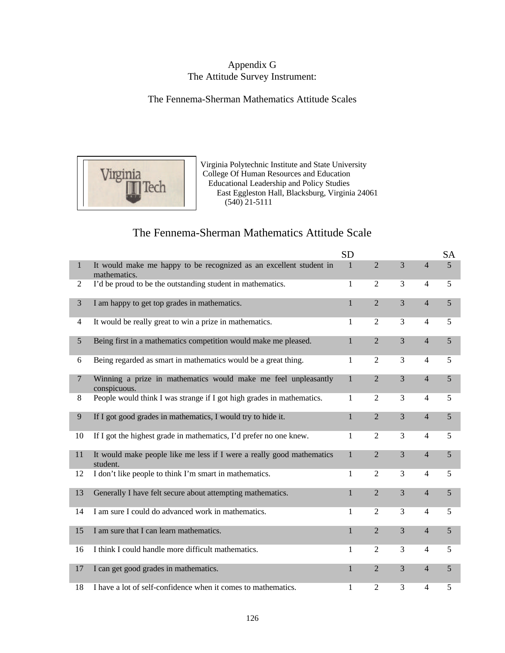## Appendix G The Attitude Survey Instrument:

## The Fennema-Sherman Mathematics Attitude Scales



Virginia Polytechnic Institute and State University<br>College Of Human Resources and Education **College Of Human Resources and Education Educational Leadership and Policy Studies Tech** Educational Leadership and Policy Studies<br>East Eggleston Hall, Blacksburg, Virginia 24061 (540) 21-5111

# The Fennema-Sherman Mathematics Attitude Scale

|                |                                                                                    | <b>SD</b>    |                |                |                | <b>SA</b>      |
|----------------|------------------------------------------------------------------------------------|--------------|----------------|----------------|----------------|----------------|
| $\mathbf{1}$   | It would make me happy to be recognized as an excellent student in<br>mathematics. | 1            | $\overline{2}$ | $\overline{3}$ | $\overline{4}$ | 5 <sup>5</sup> |
| 2              | I'd be proud to be the outstanding student in mathematics.                         | 1            | $\overline{2}$ | 3              | $\overline{4}$ | 5              |
| 3              | I am happy to get top grades in mathematics.                                       | 1            | $\overline{2}$ | $\overline{3}$ | $\overline{4}$ | 5              |
| $\overline{4}$ | It would be really great to win a prize in mathematics.                            | 1            | $\overline{2}$ | 3              | $\overline{4}$ | 5              |
| 5              | Being first in a mathematics competition would make me pleased.                    | $\mathbf{1}$ | $\overline{2}$ | 3              | $\overline{4}$ | 5              |
| 6              | Being regarded as smart in mathematics would be a great thing.                     | 1            | $\overline{2}$ | 3              | $\overline{4}$ | 5              |
| $\overline{7}$ | Winning a prize in mathematics would make me feel unpleasantly<br>conspicuous.     | $\mathbf{1}$ | $\overline{2}$ | $\overline{3}$ | $\overline{4}$ | 5              |
| 8              | People would think I was strange if I got high grades in mathematics.              | 1            | $\overline{2}$ | 3              | $\overline{4}$ | 5              |
| 9              | If I got good grades in mathematics, I would try to hide it.                       | 1            | $\overline{2}$ | 3              | $\overline{4}$ | 5              |
| 10             | If I got the highest grade in mathematics, I'd prefer no one knew.                 | 1            | 2              | 3              | $\overline{4}$ | 5              |
| 11             | It would make people like me less if I were a really good mathematics<br>student.  | $\mathbf{1}$ | $\overline{2}$ | $\overline{3}$ | $\overline{4}$ | 5              |
| 12             | I don't like people to think I'm smart in mathematics.                             | 1            | 2              | 3              | $\overline{4}$ | 5              |
| 13             | Generally I have felt secure about attempting mathematics.                         | $\mathbf{1}$ | $\overline{2}$ | $\overline{3}$ | $\overline{4}$ | 5              |
| 14             | I am sure I could do advanced work in mathematics.                                 | 1            | 2              | 3              | $\overline{4}$ | 5              |
| 15             | I am sure that I can learn mathematics.                                            | $\mathbf{1}$ | $\overline{2}$ | 3              | $\overline{4}$ | 5              |
| 16             | I think I could handle more difficult mathematics.                                 | 1            | $\overline{2}$ | 3              | $\overline{4}$ | 5              |
| 17             | I can get good grades in mathematics.                                              | $\mathbf{1}$ | $\overline{2}$ | $\overline{3}$ | $\overline{4}$ | 5              |
| 18             | I have a lot of self-confidence when it comes to mathematics.                      | 1            | $\overline{2}$ | 3              | $\overline{4}$ | 5              |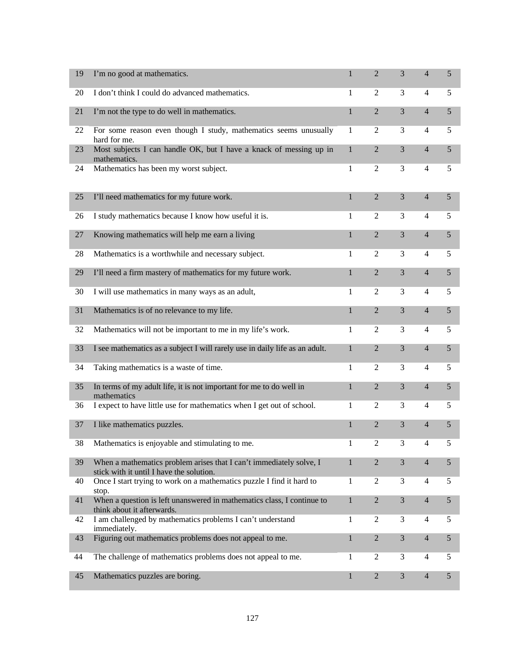| 19 | I'm no good at mathematics.                                                                                     | 1            | $\overline{2}$ | 3              | $\overline{4}$ | 5              |
|----|-----------------------------------------------------------------------------------------------------------------|--------------|----------------|----------------|----------------|----------------|
| 20 | I don't think I could do advanced mathematics.                                                                  | 1            | $\overline{2}$ | 3              | 4              | 5              |
| 21 | I'm not the type to do well in mathematics.                                                                     | $\mathbf{1}$ | $\overline{2}$ | 3              | $\overline{4}$ | 5              |
| 22 | For some reason even though I study, mathematics seems unusually<br>hard for me.                                | 1            | $\overline{2}$ | 3              | $\overline{4}$ | 5              |
| 23 | Most subjects I can handle OK, but I have a knack of messing up in<br>mathematics.                              | $\mathbf{1}$ | $\overline{2}$ | 3              | $\overline{4}$ | 5              |
| 24 | Mathematics has been my worst subject.                                                                          | $\mathbf{1}$ | $\overline{2}$ | 3              | $\overline{4}$ | 5              |
| 25 | I'll need mathematics for my future work.                                                                       | $\mathbf{1}$ | $\overline{2}$ | 3              | $\overline{4}$ | 5              |
| 26 | I study mathematics because I know how useful it is.                                                            | 1            | $\mathfrak{2}$ | 3              | $\overline{4}$ | 5              |
| 27 | Knowing mathematics will help me earn a living                                                                  | $\mathbf{1}$ | $\overline{2}$ | 3              | $\overline{4}$ | 5              |
| 28 | Mathematics is a worthwhile and necessary subject.                                                              | 1            | $\overline{2}$ | 3              | $\overline{4}$ | 5              |
| 29 | I'll need a firm mastery of mathematics for my future work.                                                     | $\mathbf{1}$ | $\overline{2}$ | 3              | $\overline{4}$ | 5              |
| 30 | I will use mathematics in many ways as an adult,                                                                | 1            | $\overline{2}$ | 3              | $\overline{4}$ | 5              |
| 31 | Mathematics is of no relevance to my life.                                                                      | $\mathbf{1}$ | $\overline{2}$ | 3              | $\overline{4}$ | 5              |
| 32 | Mathematics will not be important to me in my life's work.                                                      | 1            | $\overline{2}$ | 3              | $\overline{4}$ | 5              |
| 33 | I see mathematics as a subject I will rarely use in daily life as an adult.                                     | $\mathbf{1}$ | $\overline{2}$ | 3              | $\overline{4}$ | 5              |
| 34 | Taking mathematics is a waste of time.                                                                          | 1            | $\overline{2}$ | 3              | $\overline{4}$ | 5              |
| 35 | In terms of my adult life, it is not important for me to do well in<br>mathematics                              | $\mathbf{1}$ | $\overline{2}$ | 3              | $\overline{4}$ | 5              |
| 36 | I expect to have little use for mathematics when I get out of school.                                           | 1            | $\overline{2}$ | 3              | $\overline{4}$ | 5              |
| 37 | I like mathematics puzzles.                                                                                     | $\mathbf{1}$ | $\overline{2}$ | 3              | $\overline{4}$ | 5              |
| 38 | Mathematics is enjoyable and stimulating to me.                                                                 | 1            | 2              | 3              | $\overline{4}$ | 5              |
| 39 | When a mathematics problem arises that I can't immediately solve, I<br>stick with it until I have the solution. | 1            | $\overline{2}$ | 3              | $\overline{4}$ | 5              |
| 40 | Once I start trying to work on a mathematics puzzle I find it hard to<br>stop.                                  | 1            | $\overline{2}$ | 3              | $\overline{4}$ | 5              |
| 41 | When a question is left unanswered in mathematics class, I continue to<br>think about it afterwards.            | $\mathbf{1}$ | $\overline{2}$ | 3              | $\overline{4}$ | 5              |
| 42 | I am challenged by mathematics problems I can't understand<br>immediately.                                      | 1            | $\overline{2}$ | 3              | 4              | 5              |
| 43 | Figuring out mathematics problems does not appeal to me.                                                        | $\mathbf{1}$ | $\sqrt{2}$     | $\mathfrak{Z}$ | $\overline{4}$ | $\sqrt{5}$     |
| 44 | The challenge of mathematics problems does not appeal to me.                                                    | 1            | 2              | 3              | 4              | 5              |
| 45 | Mathematics puzzles are boring.                                                                                 | $\mathbf{1}$ | $\overline{2}$ | $\mathfrak{Z}$ | $\overline{4}$ | $\mathfrak{S}$ |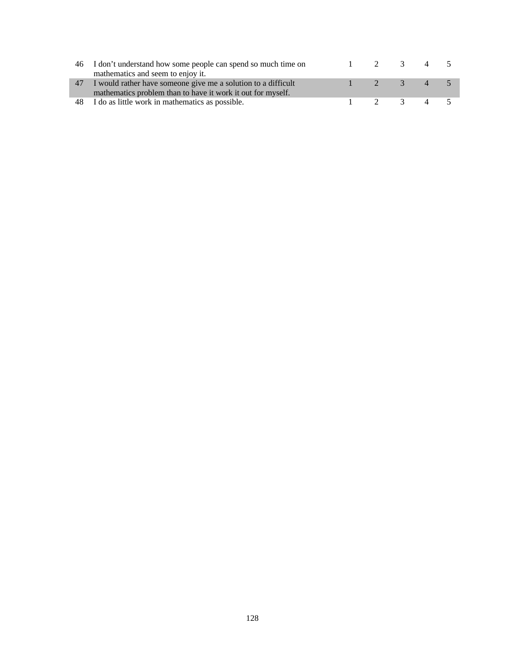| 46 | I don't understand how some people can spend so much time on  |                       |          | $\overline{4}$ |  |
|----|---------------------------------------------------------------|-----------------------|----------|----------------|--|
|    | mathematics and seem to enjoy it.                             |                       |          |                |  |
| 47 | I would rather have someone give me a solution to a difficult | $\gamma$              | $\sim$ 3 | 45             |  |
|    | mathematics problem than to have it work it out for myself.   |                       |          |                |  |
| 48 | I do as little work in mathematics as possible.               | $\overline{\partial}$ | 3 4 5    |                |  |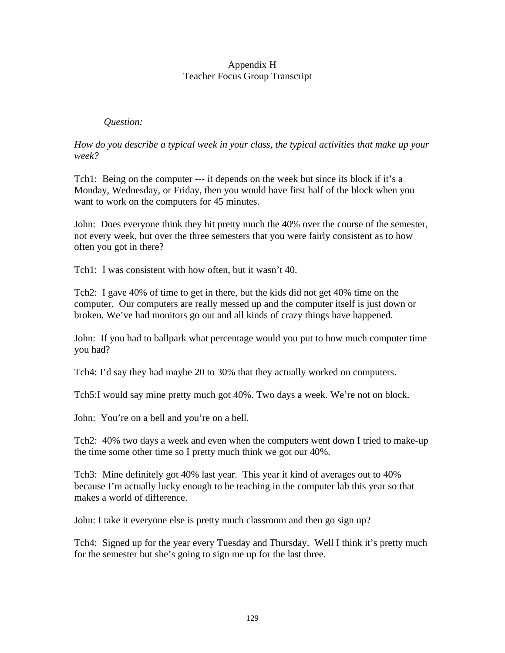### Appendix H Teacher Focus Group Transcript

## *Question:*

*How do you describe a typical week in your class, the typical activities that make up your week?*

Tch1: Being on the computer --- it depends on the week but since its block if it's a Monday, Wednesday, or Friday, then you would have first half of the block when you want to work on the computers for 45 minutes.

John: Does everyone think they hit pretty much the 40% over the course of the semester, not every week, but over the three semesters that you were fairly consistent as to how often you got in there?

Tch1: I was consistent with how often, but it wasn't 40.

Tch2: I gave 40% of time to get in there, but the kids did not get 40% time on the computer. Our computers are really messed up and the computer itself is just down or broken. We've had monitors go out and all kinds of crazy things have happened.

John: If you had to ballpark what percentage would you put to how much computer time you had?

Tch4: I'd say they had maybe 20 to 30% that they actually worked on computers.

Tch5:I would say mine pretty much got 40%. Two days a week. We're not on block.

John: You're on a bell and you're on a bell.

Tch2: 40% two days a week and even when the computers went down I tried to make-up the time some other time so I pretty much think we got our 40%.

Tch3: Mine definitely got 40% last year. This year it kind of averages out to 40% because I'm actually lucky enough to be teaching in the computer lab this year so that makes a world of difference.

John: I take it everyone else is pretty much classroom and then go sign up?

Tch4: Signed up for the year every Tuesday and Thursday. Well I think it's pretty much for the semester but she's going to sign me up for the last three.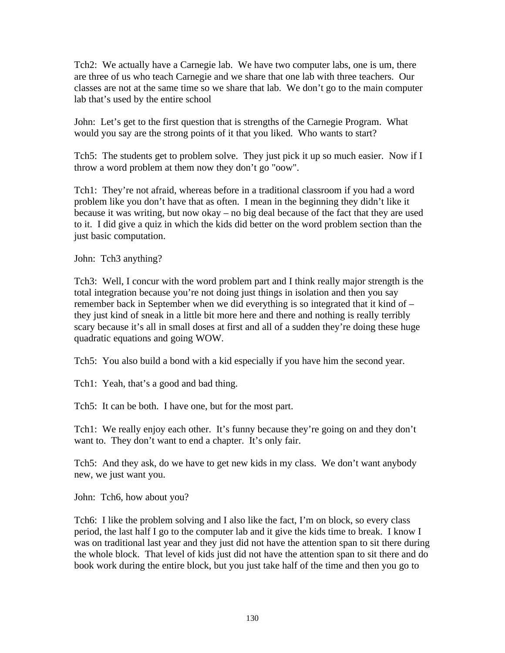Tch2: We actually have a Carnegie lab. We have two computer labs, one is um, there are three of us who teach Carnegie and we share that one lab with three teachers. Our classes are not at the same time so we share that lab. We don't go to the main computer lab that's used by the entire school

John: Let's get to the first question that is strengths of the Carnegie Program. What would you say are the strong points of it that you liked. Who wants to start?

Tch5: The students get to problem solve. They just pick it up so much easier. Now if I throw a word problem at them now they don't go "oow".

Tch1: They're not afraid, whereas before in a traditional classroom if you had a word problem like you don't have that as often. I mean in the beginning they didn't like it because it was writing, but now okay – no big deal because of the fact that they are used to it. I did give a quiz in which the kids did better on the word problem section than the just basic computation.

John: Tch3 anything?

Tch3: Well, I concur with the word problem part and I think really major strength is the total integration because you're not doing just things in isolation and then you say remember back in September when we did everything is so integrated that it kind of – they just kind of sneak in a little bit more here and there and nothing is really terribly scary because it's all in small doses at first and all of a sudden they're doing these huge quadratic equations and going WOW.

Tch5: You also build a bond with a kid especially if you have him the second year.

Tch1: Yeah, that's a good and bad thing.

Tch5: It can be both. I have one, but for the most part.

Tch1: We really enjoy each other. It's funny because they're going on and they don't want to. They don't want to end a chapter. It's only fair.

Tch5: And they ask, do we have to get new kids in my class. We don't want anybody new, we just want you.

John: Tch6, how about you?

Tch6: I like the problem solving and I also like the fact, I'm on block, so every class period, the last half I go to the computer lab and it give the kids time to break. I know I was on traditional last year and they just did not have the attention span to sit there during the whole block. That level of kids just did not have the attention span to sit there and do book work during the entire block, but you just take half of the time and then you go to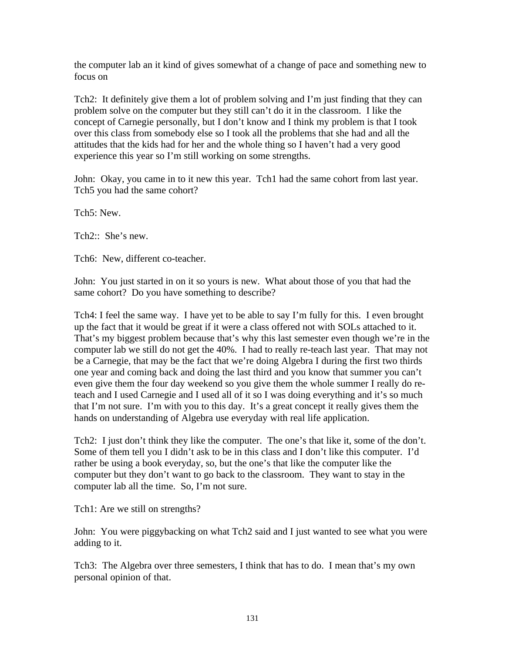the computer lab an it kind of gives somewhat of a change of pace and something new to focus on

Tch2: It definitely give them a lot of problem solving and I'm just finding that they can problem solve on the computer but they still can't do it in the classroom. I like the concept of Carnegie personally, but I don't know and I think my problem is that I took over this class from somebody else so I took all the problems that she had and all the attitudes that the kids had for her and the whole thing so I haven't had a very good experience this year so I'm still working on some strengths.

John: Okay, you came in to it new this year. Tch1 had the same cohort from last year. Tch5 you had the same cohort?

Tch5: New.

Tch2:: She's new.

Tch6: New, different co-teacher.

John: You just started in on it so yours is new. What about those of you that had the same cohort? Do you have something to describe?

Tch4: I feel the same way. I have yet to be able to say I'm fully for this. I even brought up the fact that it would be great if it were a class offered not with SOLs attached to it. That's my biggest problem because that's why this last semester even though we're in the computer lab we still do not get the 40%. I had to really re-teach last year. That may not be a Carnegie, that may be the fact that we're doing Algebra I during the first two thirds one year and coming back and doing the last third and you know that summer you can't even give them the four day weekend so you give them the whole summer I really do reteach and I used Carnegie and I used all of it so I was doing everything and it's so much that I'm not sure. I'm with you to this day. It's a great concept it really gives them the hands on understanding of Algebra use everyday with real life application.

Tch2: I just don't think they like the computer. The one's that like it, some of the don't. Some of them tell you I didn't ask to be in this class and I don't like this computer. I'd rather be using a book everyday, so, but the one's that like the computer like the computer but they don't want to go back to the classroom. They want to stay in the computer lab all the time. So, I'm not sure.

Tch1: Are we still on strengths?

John: You were piggybacking on what Tch2 said and I just wanted to see what you were adding to it.

Tch3: The Algebra over three semesters, I think that has to do. I mean that's my own personal opinion of that.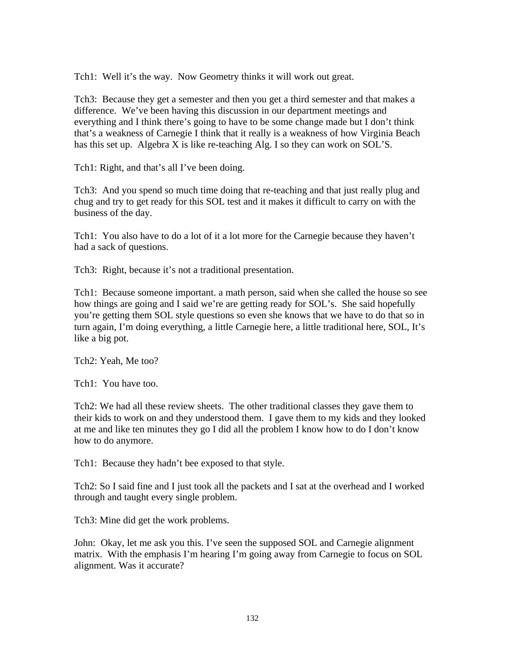Tch1: Well it's the way. Now Geometry thinks it will work out great.

Tch3: Because they get a semester and then you get a third semester and that makes a difference. We've been having this discussion in our department meetings and everything and I think there's going to have to be some change made but I don't think that's a weakness of Carnegie I think that it really is a weakness of how Virginia Beach has this set up. Algebra X is like re-teaching Alg. I so they can work on SOL'S.

Tch1: Right, and that's all I've been doing.

Tch3: And you spend so much time doing that re-teaching and that just really plug and chug and try to get ready for this SOL test and it makes it difficult to carry on with the business of the day.

Tch1: You also have to do a lot of it a lot more for the Carnegie because they haven't had a sack of questions.

Tch3: Right, because it's not a traditional presentation.

Tch1: Because someone important. a math person, said when she called the house so see how things are going and I said we're are getting ready for SOL's. She said hopefully you're getting them SOL style questions so even she knows that we have to do that so in turn again, I'm doing everything, a little Carnegie here, a little traditional here, SOL, It's like a big pot.

Tch2: Yeah, Me too?

Tch1: You have too.

Tch2: We had all these review sheets. The other traditional classes they gave them to their kids to work on and they understood them. I gave them to my kids and they looked at me and like ten minutes they go I did all the problem I know how to do I don't know how to do anymore.

Tch1: Because they hadn't bee exposed to that style.

Tch2: So I said fine and I just took all the packets and I sat at the overhead and I worked through and taught every single problem.

Tch3: Mine did get the work problems.

John: Okay, let me ask you this. I've seen the supposed SOL and Carnegie alignment matrix. With the emphasis I'm hearing I'm going away from Carnegie to focus on SOL alignment. Was it accurate?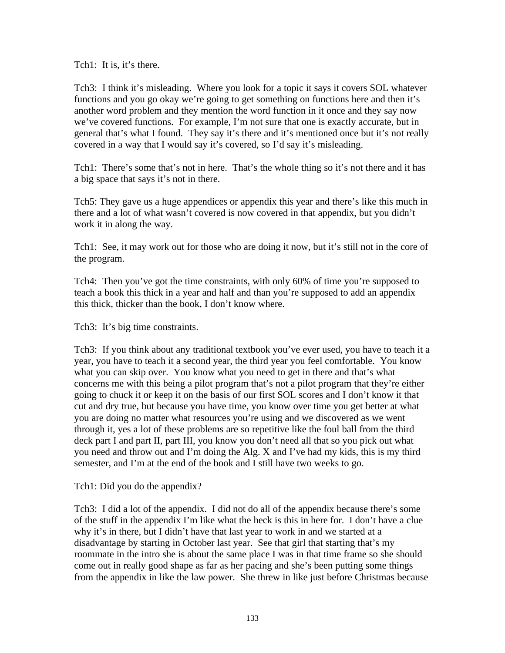Tch1: It is, it's there.

Tch3: I think it's misleading. Where you look for a topic it says it covers SOL whatever functions and you go okay we're going to get something on functions here and then it's another word problem and they mention the word function in it once and they say now we've covered functions. For example, I'm not sure that one is exactly accurate, but in general that's what I found. They say it's there and it's mentioned once but it's not really covered in a way that I would say it's covered, so I'd say it's misleading.

Tch1: There's some that's not in here. That's the whole thing so it's not there and it has a big space that says it's not in there.

Tch5: They gave us a huge appendices or appendix this year and there's like this much in there and a lot of what wasn't covered is now covered in that appendix, but you didn't work it in along the way.

Tch1: See, it may work out for those who are doing it now, but it's still not in the core of the program.

Tch4: Then you've got the time constraints, with only 60% of time you're supposed to teach a book this thick in a year and half and than you're supposed to add an appendix this thick, thicker than the book, I don't know where.

Tch3: It's big time constraints.

Tch3: If you think about any traditional textbook you've ever used, you have to teach it a year, you have to teach it a second year, the third year you feel comfortable. You know what you can skip over. You know what you need to get in there and that's what concerns me with this being a pilot program that's not a pilot program that they're either going to chuck it or keep it on the basis of our first SOL scores and I don't know it that cut and dry true, but because you have time, you know over time you get better at what you are doing no matter what resources you're using and we discovered as we went through it, yes a lot of these problems are so repetitive like the foul ball from the third deck part I and part II, part III, you know you don't need all that so you pick out what you need and throw out and I'm doing the Alg. X and I've had my kids, this is my third semester, and I'm at the end of the book and I still have two weeks to go.

Tch1: Did you do the appendix?

Tch3: I did a lot of the appendix. I did not do all of the appendix because there's some of the stuff in the appendix I'm like what the heck is this in here for. I don't have a clue why it's in there, but I didn't have that last year to work in and we started at a disadvantage by starting in October last year. See that girl that starting that's my roommate in the intro she is about the same place I was in that time frame so she should come out in really good shape as far as her pacing and she's been putting some things from the appendix in like the law power. She threw in like just before Christmas because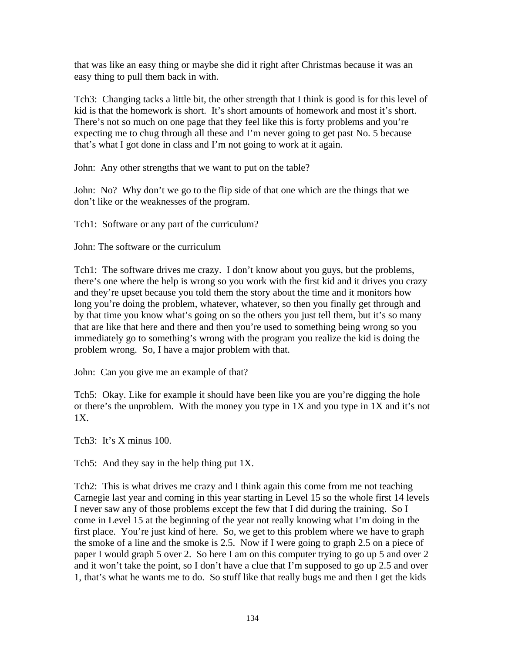that was like an easy thing or maybe she did it right after Christmas because it was an easy thing to pull them back in with.

Tch3: Changing tacks a little bit, the other strength that I think is good is for this level of kid is that the homework is short. It's short amounts of homework and most it's short. There's not so much on one page that they feel like this is forty problems and you're expecting me to chug through all these and I'm never going to get past No. 5 because that's what I got done in class and I'm not going to work at it again.

John: Any other strengths that we want to put on the table?

John: No? Why don't we go to the flip side of that one which are the things that we don't like or the weaknesses of the program.

Tch1: Software or any part of the curriculum?

John: The software or the curriculum

Tch1: The software drives me crazy. I don't know about you guys, but the problems, there's one where the help is wrong so you work with the first kid and it drives you crazy and they're upset because you told them the story about the time and it monitors how long you're doing the problem, whatever, whatever, so then you finally get through and by that time you know what's going on so the others you just tell them, but it's so many that are like that here and there and then you're used to something being wrong so you immediately go to something's wrong with the program you realize the kid is doing the problem wrong. So, I have a major problem with that.

John: Can you give me an example of that?

Tch5: Okay. Like for example it should have been like you are you're digging the hole or there's the unproblem. With the money you type in 1X and you type in 1X and it's not 1X.

Tch3: It's X minus 100.

Tch5: And they say in the help thing put 1X.

Tch2: This is what drives me crazy and I think again this come from me not teaching Carnegie last year and coming in this year starting in Level 15 so the whole first 14 levels I never saw any of those problems except the few that I did during the training. So I come in Level 15 at the beginning of the year not really knowing what I'm doing in the first place. You're just kind of here. So, we get to this problem where we have to graph the smoke of a line and the smoke is 2.5. Now if I were going to graph 2.5 on a piece of paper I would graph 5 over 2. So here I am on this computer trying to go up 5 and over 2 and it won't take the point, so I don't have a clue that I'm supposed to go up 2.5 and over 1, that's what he wants me to do. So stuff like that really bugs me and then I get the kids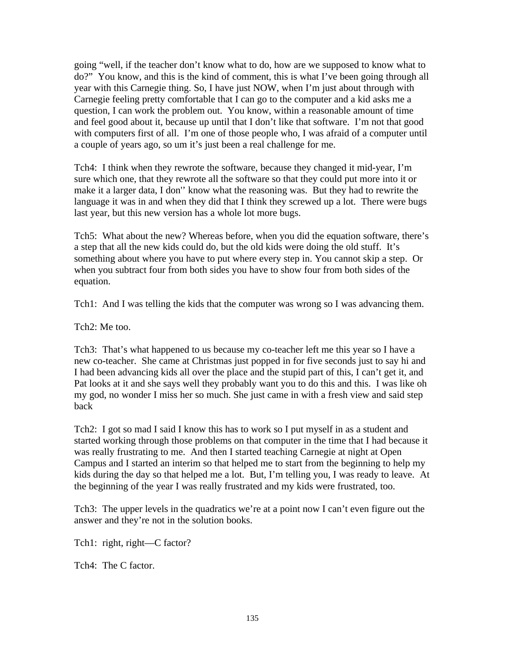going "well, if the teacher don't know what to do, how are we supposed to know what to do?" You know, and this is the kind of comment, this is what I've been going through all year with this Carnegie thing. So, I have just NOW, when I'm just about through with Carnegie feeling pretty comfortable that I can go to the computer and a kid asks me a question, I can work the problem out. You know, within a reasonable amount of time and feel good about it, because up until that I don't like that software. I'm not that good with computers first of all. I'm one of those people who, I was afraid of a computer until a couple of years ago, so um it's just been a real challenge for me.

Tch4: I think when they rewrote the software, because they changed it mid-year, I'm sure which one, that they rewrote all the software so that they could put more into it or make it a larger data, I don'' know what the reasoning was. But they had to rewrite the language it was in and when they did that I think they screwed up a lot. There were bugs last year, but this new version has a whole lot more bugs.

Tch5: What about the new? Whereas before, when you did the equation software, there's a step that all the new kids could do, but the old kids were doing the old stuff. It's something about where you have to put where every step in. You cannot skip a step. Or when you subtract four from both sides you have to show four from both sides of the equation.

Tch1: And I was telling the kids that the computer was wrong so I was advancing them.

Tch2: Me too.

Tch3: That's what happened to us because my co-teacher left me this year so I have a new co-teacher. She came at Christmas just popped in for five seconds just to say hi and I had been advancing kids all over the place and the stupid part of this, I can't get it, and Pat looks at it and she says well they probably want you to do this and this. I was like oh my god, no wonder I miss her so much. She just came in with a fresh view and said step back

Tch2: I got so mad I said I know this has to work so I put myself in as a student and started working through those problems on that computer in the time that I had because it was really frustrating to me. And then I started teaching Carnegie at night at Open Campus and I started an interim so that helped me to start from the beginning to help my kids during the day so that helped me a lot. But, I'm telling you, I was ready to leave. At the beginning of the year I was really frustrated and my kids were frustrated, too.

Tch3: The upper levels in the quadratics we're at a point now I can't even figure out the answer and they're not in the solution books.

Tch1: right, right—C factor?

Tch4: The C factor.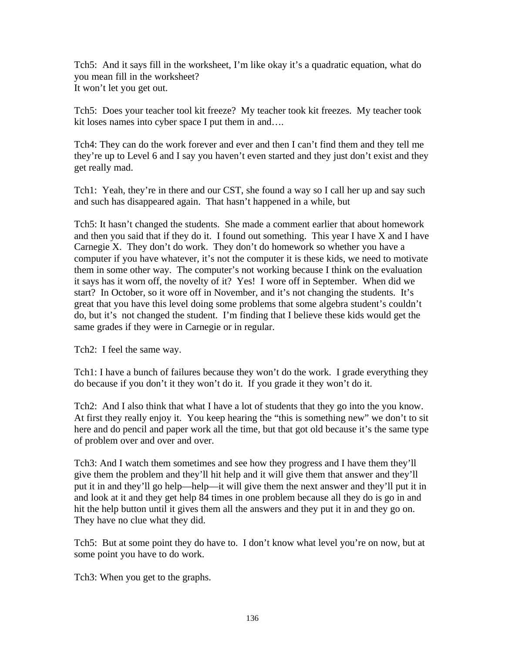Tch5: And it says fill in the worksheet, I'm like okay it's a quadratic equation, what do you mean fill in the worksheet? It won't let you get out.

Tch5: Does your teacher tool kit freeze? My teacher took kit freezes. My teacher took kit loses names into cyber space I put them in and....

Tch4: They can do the work forever and ever and then I can't find them and they tell me they're up to Level 6 and I say you haven't even started and they just don't exist and they get really mad.

Tch1: Yeah, they're in there and our CST, she found a way so I call her up and say such and such has disappeared again. That hasn't happened in a while, but

Tch5: It hasn't changed the students. She made a comment earlier that about homework and then you said that if they do it. I found out something. This year I have X and I have Carnegie X. They don't do work. They don't do homework so whether you have a computer if you have whatever, it's not the computer it is these kids, we need to motivate them in some other way. The computer's not working because I think on the evaluation it says has it worn off, the novelty of it? Yes! I wore off in September. When did we start? In October, so it wore off in November, and it's not changing the students. It's great that you have this level doing some problems that some algebra student's couldn't do, but it's not changed the student. I'm finding that I believe these kids would get the same grades if they were in Carnegie or in regular.

Tch2: I feel the same way.

Tch1: I have a bunch of failures because they won't do the work. I grade everything they do because if you don't it they won't do it. If you grade it they won't do it.

Tch2: And I also think that what I have a lot of students that they go into the you know. At first they really enjoy it. You keep hearing the "this is something new" we don't to sit here and do pencil and paper work all the time, but that got old because it's the same type of problem over and over and over.

Tch3: And I watch them sometimes and see how they progress and I have them they'll give them the problem and they'll hit help and it will give them that answer and they'll put it in and they'll go help—help—it will give them the next answer and they'll put it in and look at it and they get help 84 times in one problem because all they do is go in and hit the help button until it gives them all the answers and they put it in and they go on. They have no clue what they did.

Tch5: But at some point they do have to. I don't know what level you're on now, but at some point you have to do work.

Tch3: When you get to the graphs.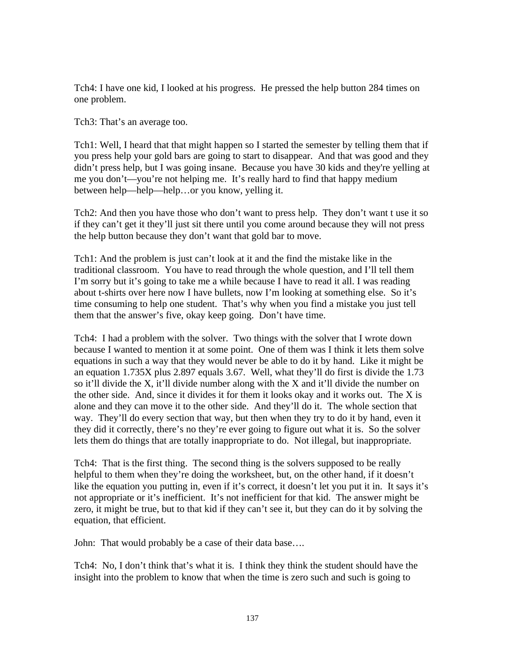Tch4: I have one kid, I looked at his progress. He pressed the help button 284 times on one problem.

Tch3: That's an average too.

Tch1: Well, I heard that that might happen so I started the semester by telling them that if you press help your gold bars are going to start to disappear. And that was good and they didn't press help, but I was going insane. Because you have 30 kids and they're yelling at me you don't—you're not helping me. It's really hard to find that happy medium between help—help—help…or you know, yelling it.

Tch2: And then you have those who don't want to press help. They don't want t use it so if they can't get it they'll just sit there until you come around because they will not press the help button because they don't want that gold bar to move.

Tch1: And the problem is just can't look at it and the find the mistake like in the traditional classroom. You have to read through the whole question, and I'll tell them I'm sorry but it's going to take me a while because I have to read it all. I was reading about t-shirts over here now I have bullets, now I'm looking at something else. So it's time consuming to help one student. That's why when you find a mistake you just tell them that the answer's five, okay keep going. Don't have time.

Tch4: I had a problem with the solver. Two things with the solver that I wrote down because I wanted to mention it at some point. One of them was I think it lets them solve equations in such a way that they would never be able to do it by hand. Like it might be an equation 1.735X plus 2.897 equals 3.67. Well, what they'll do first is divide the 1.73 so it'll divide the X, it'll divide number along with the X and it'll divide the number on the other side. And, since it divides it for them it looks okay and it works out. The X is alone and they can move it to the other side. And they'll do it. The whole section that way. They'll do every section that way, but then when they try to do it by hand, even it they did it correctly, there's no they're ever going to figure out what it is. So the solver lets them do things that are totally inappropriate to do. Not illegal, but inappropriate.

Tch4: That is the first thing. The second thing is the solvers supposed to be really helpful to them when they're doing the worksheet, but, on the other hand, if it doesn't like the equation you putting in, even if it's correct, it doesn't let you put it in. It says it's not appropriate or it's inefficient. It's not inefficient for that kid. The answer might be zero, it might be true, but to that kid if they can't see it, but they can do it by solving the equation, that efficient.

John: That would probably be a case of their data base….

Tch4: No, I don't think that's what it is. I think they think the student should have the insight into the problem to know that when the time is zero such and such is going to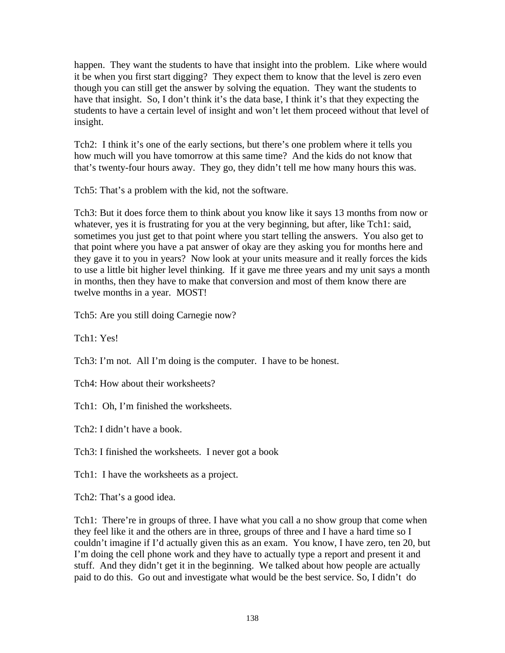happen. They want the students to have that insight into the problem. Like where would it be when you first start digging? They expect them to know that the level is zero even though you can still get the answer by solving the equation. They want the students to have that insight. So, I don't think it's the data base, I think it's that they expecting the students to have a certain level of insight and won't let them proceed without that level of insight.

Tch2: I think it's one of the early sections, but there's one problem where it tells you how much will you have tomorrow at this same time? And the kids do not know that that's twenty-four hours away. They go, they didn't tell me how many hours this was.

Tch5: That's a problem with the kid, not the software.

Tch3: But it does force them to think about you know like it says 13 months from now or whatever, yes it is frustrating for you at the very beginning, but after, like Tch1: said, sometimes you just get to that point where you start telling the answers. You also get to that point where you have a pat answer of okay are they asking you for months here and they gave it to you in years? Now look at your units measure and it really forces the kids to use a little bit higher level thinking. If it gave me three years and my unit says a month in months, then they have to make that conversion and most of them know there are twelve months in a year. MOST!

Tch5: Are you still doing Carnegie now?

Tch1: Yes!

Tch3: I'm not. All I'm doing is the computer. I have to be honest.

Tch4: How about their worksheets?

Tch1: Oh, I'm finished the worksheets.

Tch2: I didn't have a book.

Tch3: I finished the worksheets. I never got a book

Tch1: I have the worksheets as a project.

Tch2: That's a good idea.

Tch1: There're in groups of three. I have what you call a no show group that come when they feel like it and the others are in three, groups of three and I have a hard time so I couldn't imagine if I'd actually given this as an exam. You know, I have zero, ten 20, but I'm doing the cell phone work and they have to actually type a report and present it and stuff. And they didn't get it in the beginning. We talked about how people are actually paid to do this. Go out and investigate what would be the best service. So, I didn't do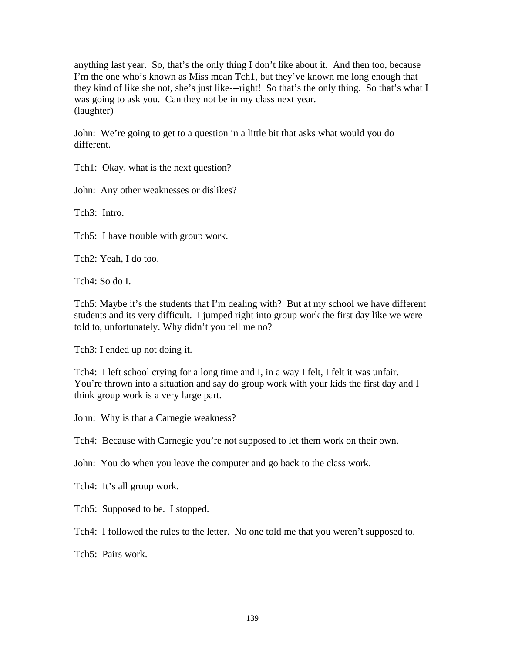anything last year. So, that's the only thing I don't like about it. And then too, because I'm the one who's known as Miss mean Tch1, but they've known me long enough that they kind of like she not, she's just like---right! So that's the only thing. So that's what I was going to ask you. Can they not be in my class next year. (laughter)

John: We're going to get to a question in a little bit that asks what would you do different.

Tch1: Okay, what is the next question?

John: Any other weaknesses or dislikes?

Tch3: Intro.

Tch5: I have trouble with group work.

Tch2: Yeah, I do too.

Tch4: So do I.

Tch5: Maybe it's the students that I'm dealing with? But at my school we have different students and its very difficult. I jumped right into group work the first day like we were told to, unfortunately. Why didn't you tell me no?

Tch3: I ended up not doing it.

Tch4: I left school crying for a long time and I, in a way I felt, I felt it was unfair. You're thrown into a situation and say do group work with your kids the first day and I think group work is a very large part.

John: Why is that a Carnegie weakness?

Tch4: Because with Carnegie you're not supposed to let them work on their own.

John: You do when you leave the computer and go back to the class work.

Tch4: It's all group work.

Tch5: Supposed to be. I stopped.

Tch4: I followed the rules to the letter. No one told me that you weren't supposed to.

Tch5: Pairs work.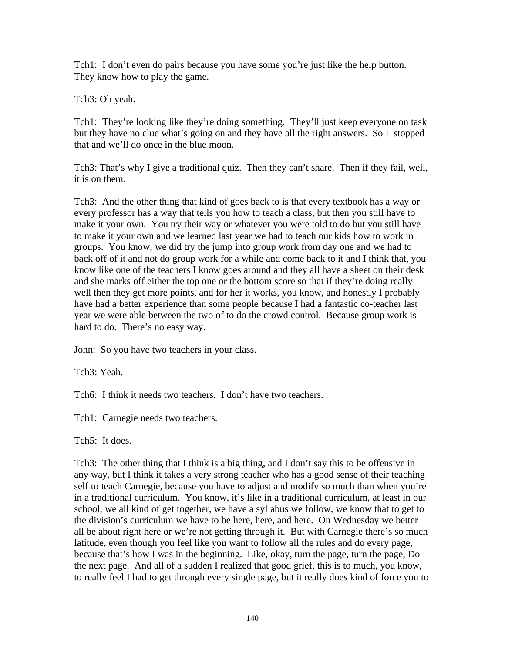Tch1: I don't even do pairs because you have some you're just like the help button. They know how to play the game.

Tch3: Oh yeah.

Tch1: They're looking like they're doing something. They'll just keep everyone on task but they have no clue what's going on and they have all the right answers. So I stopped that and we'll do once in the blue moon.

Tch3: That's why I give a traditional quiz. Then they can't share. Then if they fail, well, it is on them.

Tch3: And the other thing that kind of goes back to is that every textbook has a way or every professor has a way that tells you how to teach a class, but then you still have to make it your own. You try their way or whatever you were told to do but you still have to make it your own and we learned last year we had to teach our kids how to work in groups. You know, we did try the jump into group work from day one and we had to back off of it and not do group work for a while and come back to it and I think that, you know like one of the teachers I know goes around and they all have a sheet on their desk and she marks off either the top one or the bottom score so that if they're doing really well then they get more points, and for her it works, you know, and honestly I probably have had a better experience than some people because I had a fantastic co-teacher last year we were able between the two of to do the crowd control. Because group work is hard to do. There's no easy way.

John: So you have two teachers in your class.

Tch3: Yeah.

Tch6: I think it needs two teachers. I don't have two teachers.

Tch1: Carnegie needs two teachers.

Tch5: It does.

Tch3: The other thing that I think is a big thing, and I don't say this to be offensive in any way, but I think it takes a very strong teacher who has a good sense of their teaching self to teach Carnegie, because you have to adjust and modify so much than when you're in a traditional curriculum. You know, it's like in a traditional curriculum, at least in our school, we all kind of get together, we have a syllabus we follow, we know that to get to the division's curriculum we have to be here, here, and here. On Wednesday we better all be about right here or we're not getting through it. But with Carnegie there's so much latitude, even though you feel like you want to follow all the rules and do every page, because that's how I was in the beginning. Like, okay, turn the page, turn the page, Do the next page. And all of a sudden I realized that good grief, this is to much, you know, to really feel I had to get through every single page, but it really does kind of force you to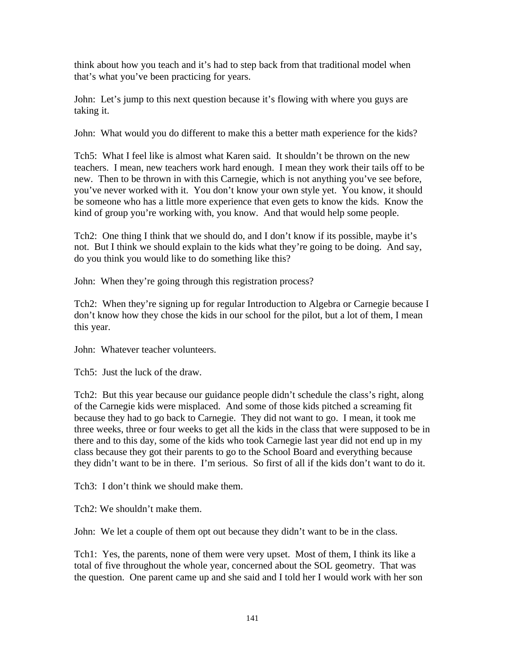think about how you teach and it's had to step back from that traditional model when that's what you've been practicing for years.

John: Let's jump to this next question because it's flowing with where you guys are taking it.

John: What would you do different to make this a better math experience for the kids?

Tch5: What I feel like is almost what Karen said. It shouldn't be thrown on the new teachers. I mean, new teachers work hard enough. I mean they work their tails off to be new. Then to be thrown in with this Carnegie, which is not anything you've see before, you've never worked with it. You don't know your own style yet. You know, it should be someone who has a little more experience that even gets to know the kids. Know the kind of group you're working with, you know. And that would help some people.

Tch2: One thing I think that we should do, and I don't know if its possible, maybe it's not. But I think we should explain to the kids what they're going to be doing. And say, do you think you would like to do something like this?

John: When they're going through this registration process?

Tch2: When they're signing up for regular Introduction to Algebra or Carnegie because I don't know how they chose the kids in our school for the pilot, but a lot of them, I mean this year.

John: Whatever teacher volunteers.

Tch5: Just the luck of the draw.

Tch2: But this year because our guidance people didn't schedule the class's right, along of the Carnegie kids were misplaced. And some of those kids pitched a screaming fit because they had to go back to Carnegie. They did not want to go. I mean, it took me three weeks, three or four weeks to get all the kids in the class that were supposed to be in there and to this day, some of the kids who took Carnegie last year did not end up in my class because they got their parents to go to the School Board and everything because they didn't want to be in there. I'm serious. So first of all if the kids don't want to do it.

Tch3: I don't think we should make them.

Tch2: We shouldn't make them.

John: We let a couple of them opt out because they didn't want to be in the class.

Tch1: Yes, the parents, none of them were very upset. Most of them, I think its like a total of five throughout the whole year, concerned about the SOL geometry. That was the question. One parent came up and she said and I told her I would work with her son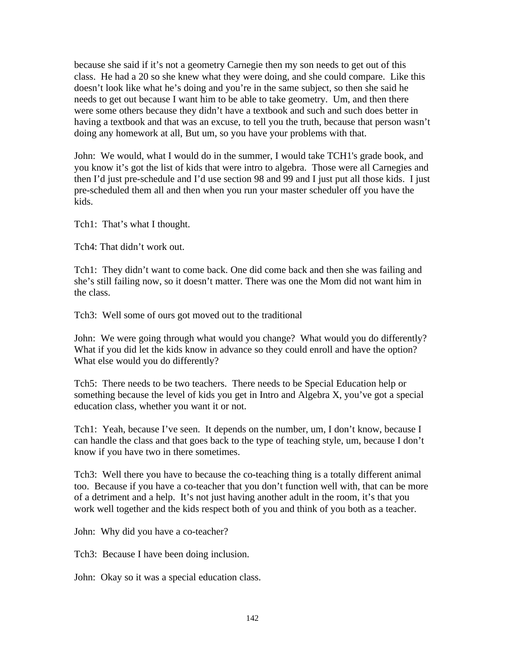because she said if it's not a geometry Carnegie then my son needs to get out of this class. He had a 20 so she knew what they were doing, and she could compare. Like this doesn't look like what he's doing and you're in the same subject, so then she said he needs to get out because I want him to be able to take geometry. Um, and then there were some others because they didn't have a textbook and such and such does better in having a textbook and that was an excuse, to tell you the truth, because that person wasn't doing any homework at all, But um, so you have your problems with that.

John: We would, what I would do in the summer, I would take TCH1's grade book, and you know it's got the list of kids that were intro to algebra. Those were all Carnegies and then I'd just pre-schedule and I'd use section 98 and 99 and I just put all those kids. I just pre-scheduled them all and then when you run your master scheduler off you have the kids.

Tch1: That's what I thought.

Tch4: That didn't work out.

Tch1: They didn't want to come back. One did come back and then she was failing and she's still failing now, so it doesn't matter. There was one the Mom did not want him in the class.

Tch3: Well some of ours got moved out to the traditional

John: We were going through what would you change? What would you do differently? What if you did let the kids know in advance so they could enroll and have the option? What else would you do differently?

Tch5: There needs to be two teachers. There needs to be Special Education help or something because the level of kids you get in Intro and Algebra X, you've got a special education class, whether you want it or not.

Tch1: Yeah, because I've seen. It depends on the number, um, I don't know, because I can handle the class and that goes back to the type of teaching style, um, because I don't know if you have two in there sometimes.

Tch3: Well there you have to because the co-teaching thing is a totally different animal too. Because if you have a co-teacher that you don't function well with, that can be more of a detriment and a help. It's not just having another adult in the room, it's that you work well together and the kids respect both of you and think of you both as a teacher.

John: Why did you have a co-teacher?

Tch3: Because I have been doing inclusion.

John: Okay so it was a special education class.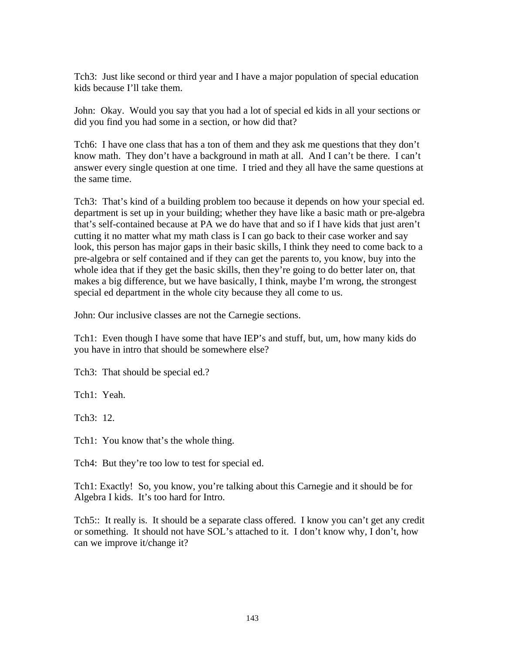Tch3: Just like second or third year and I have a major population of special education kids because I'll take them.

John: Okay. Would you say that you had a lot of special ed kids in all your sections or did you find you had some in a section, or how did that?

Tch6: I have one class that has a ton of them and they ask me questions that they don't know math. They don't have a background in math at all. And I can't be there. I can't answer every single question at one time. I tried and they all have the same questions at the same time.

Tch3: That's kind of a building problem too because it depends on how your special ed. department is set up in your building; whether they have like a basic math or pre-algebra that's self-contained because at PA we do have that and so if I have kids that just aren't cutting it no matter what my math class is I can go back to their case worker and say look, this person has major gaps in their basic skills, I think they need to come back to a pre-algebra or self contained and if they can get the parents to, you know, buy into the whole idea that if they get the basic skills, then they're going to do better later on, that makes a big difference, but we have basically, I think, maybe I'm wrong, the strongest special ed department in the whole city because they all come to us.

John: Our inclusive classes are not the Carnegie sections.

Tch1: Even though I have some that have IEP's and stuff, but, um, how many kids do you have in intro that should be somewhere else?

Tch3: That should be special ed.?

Tch1: Yeah.

Tch3: 12.

Tch1: You know that's the whole thing.

Tch4: But they're too low to test for special ed.

Tch1: Exactly! So, you know, you're talking about this Carnegie and it should be for Algebra I kids. It's too hard for Intro.

Tch5:: It really is. It should be a separate class offered. I know you can't get any credit or something. It should not have SOL's attached to it. I don't know why, I don't, how can we improve it/change it?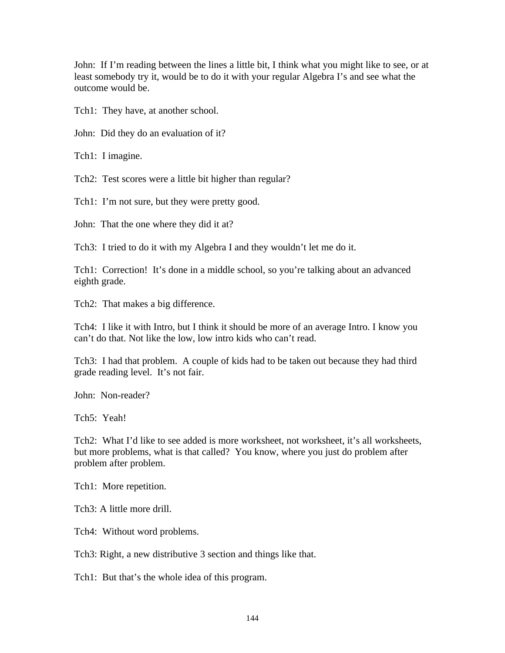John: If I'm reading between the lines a little bit, I think what you might like to see, or at least somebody try it, would be to do it with your regular Algebra I's and see what the outcome would be.

Tch1: They have, at another school.

John: Did they do an evaluation of it?

Tch1: I imagine.

Tch2: Test scores were a little bit higher than regular?

Tch1: I'm not sure, but they were pretty good.

John: That the one where they did it at?

Tch3: I tried to do it with my Algebra I and they wouldn't let me do it.

Tch1: Correction! It's done in a middle school, so you're talking about an advanced eighth grade.

Tch2: That makes a big difference.

Tch4: I like it with Intro, but I think it should be more of an average Intro. I know you can't do that. Not like the low, low intro kids who can't read.

Tch3: I had that problem. A couple of kids had to be taken out because they had third grade reading level. It's not fair.

John: Non-reader?

Tch5: Yeah!

Tch2: What I'd like to see added is more worksheet, not worksheet, it's all worksheets, but more problems, what is that called? You know, where you just do problem after problem after problem.

Tch1: More repetition.

Tch3: A little more drill.

Tch4: Without word problems.

Tch3: Right, a new distributive 3 section and things like that.

Tch1: But that's the whole idea of this program.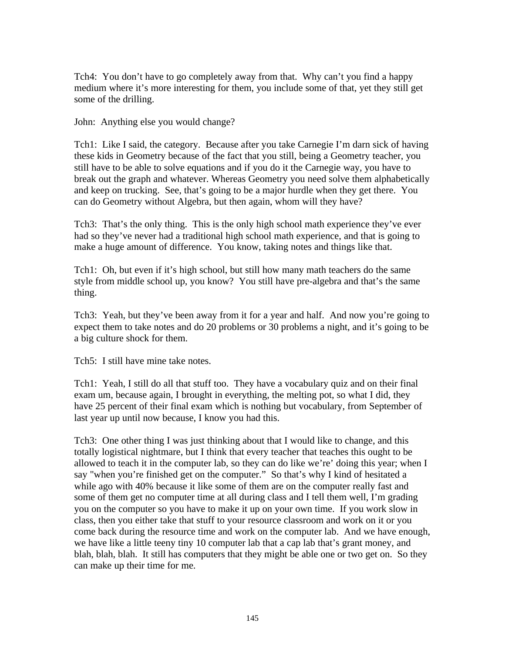Tch4: You don't have to go completely away from that. Why can't you find a happy medium where it's more interesting for them, you include some of that, yet they still get some of the drilling.

John: Anything else you would change?

Tch1: Like I said, the category. Because after you take Carnegie I'm darn sick of having these kids in Geometry because of the fact that you still, being a Geometry teacher, you still have to be able to solve equations and if you do it the Carnegie way, you have to break out the graph and whatever. Whereas Geometry you need solve them alphabetically and keep on trucking. See, that's going to be a major hurdle when they get there. You can do Geometry without Algebra, but then again, whom will they have?

Tch3: That's the only thing. This is the only high school math experience they've ever had so they've never had a traditional high school math experience, and that is going to make a huge amount of difference. You know, taking notes and things like that.

Tch1: Oh, but even if it's high school, but still how many math teachers do the same style from middle school up, you know? You still have pre-algebra and that's the same thing.

Tch3: Yeah, but they've been away from it for a year and half. And now you're going to expect them to take notes and do 20 problems or 30 problems a night, and it's going to be a big culture shock for them.

Tch5: I still have mine take notes.

Tch1: Yeah, I still do all that stuff too. They have a vocabulary quiz and on their final exam um, because again, I brought in everything, the melting pot, so what I did, they have 25 percent of their final exam which is nothing but vocabulary, from September of last year up until now because, I know you had this.

Tch3: One other thing I was just thinking about that I would like to change, and this totally logistical nightmare, but I think that every teacher that teaches this ought to be allowed to teach it in the computer lab, so they can do like we're' doing this year; when I say "when you're finished get on the computer." So that's why I kind of hesitated a while ago with 40% because it like some of them are on the computer really fast and some of them get no computer time at all during class and I tell them well, I'm grading you on the computer so you have to make it up on your own time. If you work slow in class, then you either take that stuff to your resource classroom and work on it or you come back during the resource time and work on the computer lab. And we have enough, we have like a little teeny tiny 10 computer lab that a cap lab that's grant money, and blah, blah, blah. It still has computers that they might be able one or two get on. So they can make up their time for me.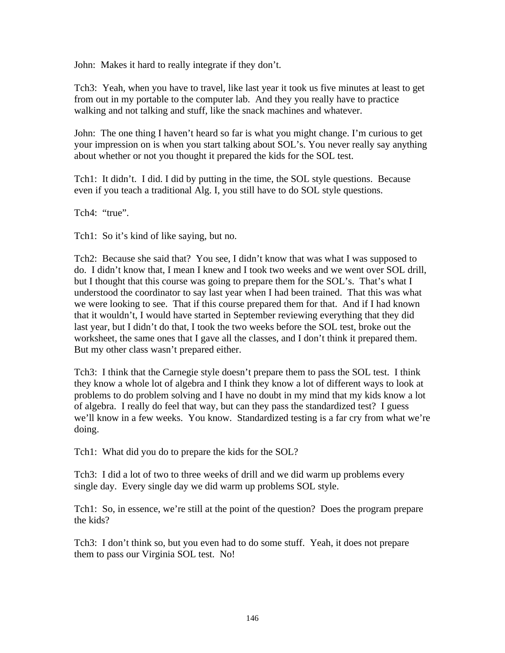John: Makes it hard to really integrate if they don't.

Tch3: Yeah, when you have to travel, like last year it took us five minutes at least to get from out in my portable to the computer lab. And they you really have to practice walking and not talking and stuff, like the snack machines and whatever.

John: The one thing I haven't heard so far is what you might change. I'm curious to get your impression on is when you start talking about SOL's. You never really say anything about whether or not you thought it prepared the kids for the SOL test.

Tch1: It didn't. I did. I did by putting in the time, the SOL style questions. Because even if you teach a traditional Alg. I, you still have to do SOL style questions.

Tch4: "true".

Tch1: So it's kind of like saying, but no.

Tch2: Because she said that? You see, I didn't know that was what I was supposed to do. I didn't know that, I mean I knew and I took two weeks and we went over SOL drill, but I thought that this course was going to prepare them for the SOL's. That's what I understood the coordinator to say last year when I had been trained. That this was what we were looking to see. That if this course prepared them for that. And if I had known that it wouldn't, I would have started in September reviewing everything that they did last year, but I didn't do that, I took the two weeks before the SOL test, broke out the worksheet, the same ones that I gave all the classes, and I don't think it prepared them. But my other class wasn't prepared either.

Tch3: I think that the Carnegie style doesn't prepare them to pass the SOL test. I think they know a whole lot of algebra and I think they know a lot of different ways to look at problems to do problem solving and I have no doubt in my mind that my kids know a lot of algebra. I really do feel that way, but can they pass the standardized test? I guess we'll know in a few weeks. You know. Standardized testing is a far cry from what we're doing.

Tch1: What did you do to prepare the kids for the SOL?

Tch3: I did a lot of two to three weeks of drill and we did warm up problems every single day. Every single day we did warm up problems SOL style.

Tch1: So, in essence, we're still at the point of the question? Does the program prepare the kids?

Tch3: I don't think so, but you even had to do some stuff. Yeah, it does not prepare them to pass our Virginia SOL test. No!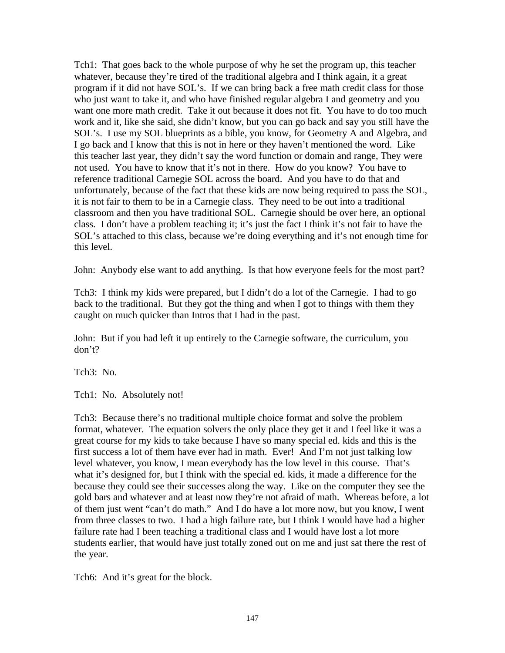Tch1: That goes back to the whole purpose of why he set the program up, this teacher whatever, because they're tired of the traditional algebra and I think again, it a great program if it did not have SOL's. If we can bring back a free math credit class for those who just want to take it, and who have finished regular algebra I and geometry and you want one more math credit. Take it out because it does not fit. You have to do too much work and it, like she said, she didn't know, but you can go back and say you still have the SOL's. I use my SOL blueprints as a bible, you know, for Geometry A and Algebra, and I go back and I know that this is not in here or they haven't mentioned the word. Like this teacher last year, they didn't say the word function or domain and range, They were not used. You have to know that it's not in there. How do you know? You have to reference traditional Carnegie SOL across the board. And you have to do that and unfortunately, because of the fact that these kids are now being required to pass the SOL, it is not fair to them to be in a Carnegie class. They need to be out into a traditional classroom and then you have traditional SOL. Carnegie should be over here, an optional class. I don't have a problem teaching it; it's just the fact I think it's not fair to have the SOL's attached to this class, because we're doing everything and it's not enough time for this level.

John: Anybody else want to add anything. Is that how everyone feels for the most part?

Tch3: I think my kids were prepared, but I didn't do a lot of the Carnegie. I had to go back to the traditional. But they got the thing and when I got to things with them they caught on much quicker than Intros that I had in the past.

John: But if you had left it up entirely to the Carnegie software, the curriculum, you don't?

Tch3: No.

Tch1: No. Absolutely not!

Tch3: Because there's no traditional multiple choice format and solve the problem format, whatever. The equation solvers the only place they get it and I feel like it was a great course for my kids to take because I have so many special ed. kids and this is the first success a lot of them have ever had in math. Ever! And I'm not just talking low level whatever, you know, I mean everybody has the low level in this course. That's what it's designed for, but I think with the special ed. kids, it made a difference for the because they could see their successes along the way. Like on the computer they see the gold bars and whatever and at least now they're not afraid of math. Whereas before, a lot of them just went "can't do math." And I do have a lot more now, but you know, I went from three classes to two. I had a high failure rate, but I think I would have had a higher failure rate had I been teaching a traditional class and I would have lost a lot more students earlier, that would have just totally zoned out on me and just sat there the rest of the year.

Tch6: And it's great for the block.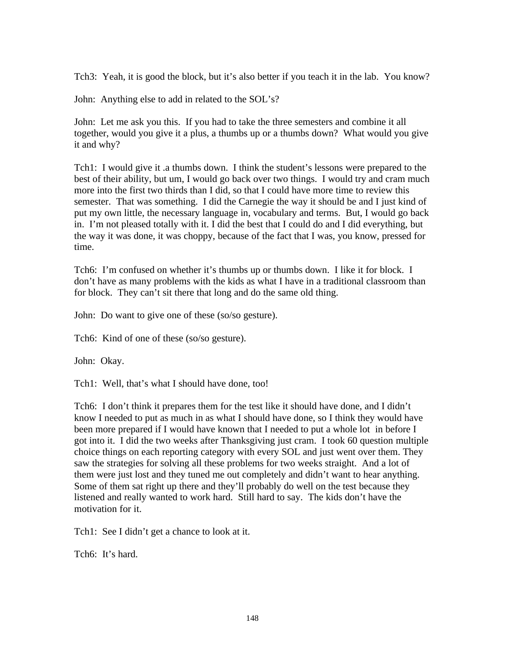Tch3: Yeah, it is good the block, but it's also better if you teach it in the lab. You know?

John: Anything else to add in related to the SOL's?

John: Let me ask you this. If you had to take the three semesters and combine it all together, would you give it a plus, a thumbs up or a thumbs down? What would you give it and why?

Tch1: I would give it .a thumbs down. I think the student's lessons were prepared to the best of their ability, but um, I would go back over two things. I would try and cram much more into the first two thirds than I did, so that I could have more time to review this semester. That was something. I did the Carnegie the way it should be and I just kind of put my own little, the necessary language in, vocabulary and terms. But, I would go back in. I'm not pleased totally with it. I did the best that I could do and I did everything, but the way it was done, it was choppy, because of the fact that I was, you know, pressed for time.

Tch6: I'm confused on whether it's thumbs up or thumbs down. I like it for block. I don't have as many problems with the kids as what I have in a traditional classroom than for block. They can't sit there that long and do the same old thing.

John: Do want to give one of these (so/so gesture).

Tch6: Kind of one of these (so/so gesture).

John: Okay.

Tch1: Well, that's what I should have done, too!

Tch6: I don't think it prepares them for the test like it should have done, and I didn't know I needed to put as much in as what I should have done, so I think they would have been more prepared if I would have known that I needed to put a whole lot in before I got into it. I did the two weeks after Thanksgiving just cram. I took 60 question multiple choice things on each reporting category with every SOL and just went over them. They saw the strategies for solving all these problems for two weeks straight. And a lot of them were just lost and they tuned me out completely and didn't want to hear anything. Some of them sat right up there and they'll probably do well on the test because they listened and really wanted to work hard. Still hard to say. The kids don't have the motivation for it.

Tch1: See I didn't get a chance to look at it.

Tch6: It's hard.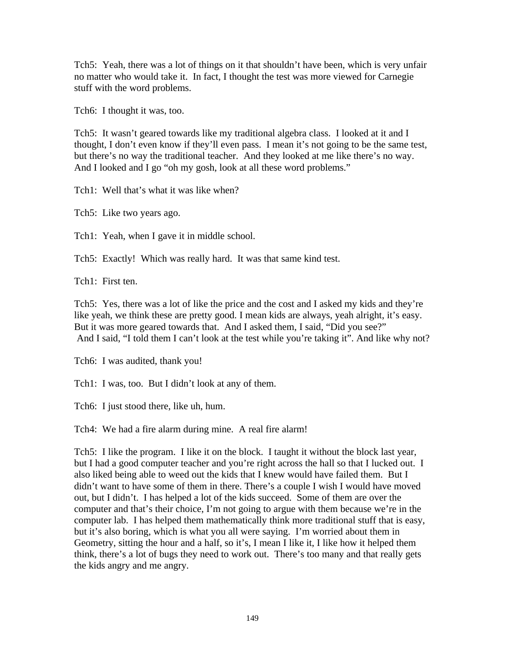Tch5: Yeah, there was a lot of things on it that shouldn't have been, which is very unfair no matter who would take it. In fact, I thought the test was more viewed for Carnegie stuff with the word problems.

Tch6: I thought it was, too.

Tch5: It wasn't geared towards like my traditional algebra class. I looked at it and I thought, I don't even know if they'll even pass. I mean it's not going to be the same test, but there's no way the traditional teacher. And they looked at me like there's no way. And I looked and I go "oh my gosh, look at all these word problems."

Tch1: Well that's what it was like when?

Tch5: Like two years ago.

Tch1: Yeah, when I gave it in middle school.

Tch5: Exactly! Which was really hard. It was that same kind test.

Tch1: First ten.

Tch5: Yes, there was a lot of like the price and the cost and I asked my kids and they're like yeah, we think these are pretty good. I mean kids are always, yeah alright, it's easy. But it was more geared towards that. And I asked them, I said, "Did you see?" And I said, "I told them I can't look at the test while you're taking it". And like why not?

Tch6: I was audited, thank you!

Tch1: I was, too. But I didn't look at any of them.

Tch6: I just stood there, like uh, hum.

Tch4: We had a fire alarm during mine. A real fire alarm!

Tch5: I like the program. I like it on the block. I taught it without the block last year, but I had a good computer teacher and you're right across the hall so that I lucked out. I also liked being able to weed out the kids that I knew would have failed them. But I didn't want to have some of them in there. There's a couple I wish I would have moved out, but I didn't. I has helped a lot of the kids succeed. Some of them are over the computer and that's their choice, I'm not going to argue with them because we're in the computer lab. I has helped them mathematically think more traditional stuff that is easy, but it's also boring, which is what you all were saying. I'm worried about them in Geometry, sitting the hour and a half, so it's, I mean I like it, I like how it helped them think, there's a lot of bugs they need to work out. There's too many and that really gets the kids angry and me angry.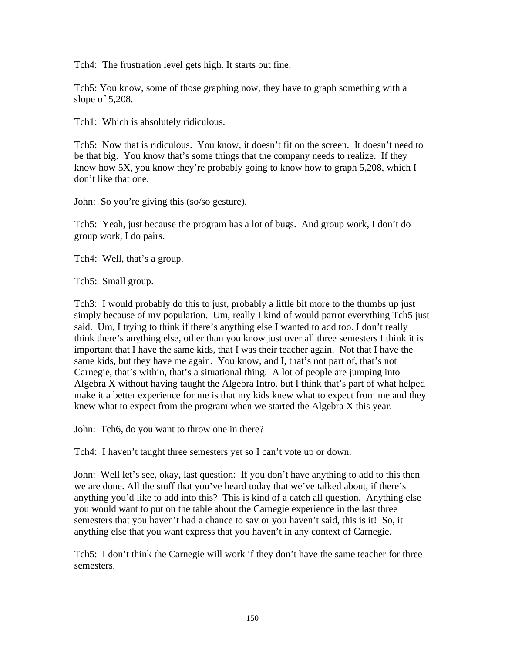Tch4: The frustration level gets high. It starts out fine.

Tch5: You know, some of those graphing now, they have to graph something with a slope of 5,208.

Tch1: Which is absolutely ridiculous.

Tch5: Now that is ridiculous. You know, it doesn't fit on the screen. It doesn't need to be that big. You know that's some things that the company needs to realize. If they know how 5X, you know they're probably going to know how to graph 5,208, which I don't like that one.

John: So you're giving this (so/so gesture).

Tch5: Yeah, just because the program has a lot of bugs. And group work, I don't do group work, I do pairs.

Tch4: Well, that's a group.

Tch5: Small group.

Tch3: I would probably do this to just, probably a little bit more to the thumbs up just simply because of my population. Um, really I kind of would parrot everything Tch5 just said. Um, I trying to think if there's anything else I wanted to add too. I don't really think there's anything else, other than you know just over all three semesters I think it is important that I have the same kids, that I was their teacher again. Not that I have the same kids, but they have me again. You know, and I, that's not part of, that's not Carnegie, that's within, that's a situational thing. A lot of people are jumping into Algebra X without having taught the Algebra Intro. but I think that's part of what helped make it a better experience for me is that my kids knew what to expect from me and they knew what to expect from the program when we started the Algebra X this year.

John: Tch6, do you want to throw one in there?

Tch4: I haven't taught three semesters yet so I can't vote up or down.

John: Well let's see, okay, last question: If you don't have anything to add to this then we are done. All the stuff that you've heard today that we've talked about, if there's anything you'd like to add into this? This is kind of a catch all question. Anything else you would want to put on the table about the Carnegie experience in the last three semesters that you haven't had a chance to say or you haven't said, this is it! So, it anything else that you want express that you haven't in any context of Carnegie.

Tch5: I don't think the Carnegie will work if they don't have the same teacher for three semesters.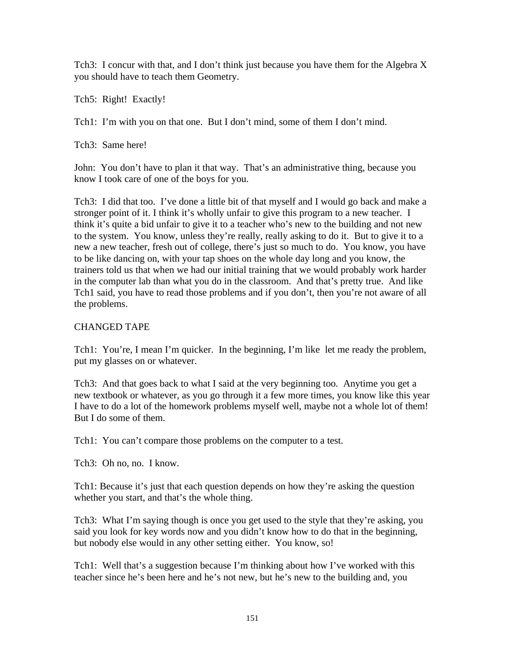Tch3: I concur with that, and I don't think just because you have them for the Algebra X you should have to teach them Geometry.

Tch5: Right! Exactly!

Tch1: I'm with you on that one. But I don't mind, some of them I don't mind.

Tch3: Same here!

John: You don't have to plan it that way. That's an administrative thing, because you know I took care of one of the boys for you.

Tch3: I did that too. I've done a little bit of that myself and I would go back and make a stronger point of it. I think it's wholly unfair to give this program to a new teacher. I think it's quite a bid unfair to give it to a teacher who's new to the building and not new to the system. You know, unless they're really, really asking to do it. But to give it to a new a new teacher, fresh out of college, there's just so much to do. You know, you have to be like dancing on, with your tap shoes on the whole day long and you know, the trainers told us that when we had our initial training that we would probably work harder in the computer lab than what you do in the classroom. And that's pretty true. And like Tch1 said, you have to read those problems and if you don't, then you're not aware of all the problems.

## CHANGED TAPE

Tch1: You're, I mean I'm quicker. In the beginning, I'm like let me ready the problem, put my glasses on or whatever.

Tch3: And that goes back to what I said at the very beginning too. Anytime you get a new textbook or whatever, as you go through it a few more times, you know like this year I have to do a lot of the homework problems myself well, maybe not a whole lot of them! But I do some of them.

Tch1: You can't compare those problems on the computer to a test.

Tch3: Oh no, no. I know.

Tch1: Because it's just that each question depends on how they're asking the question whether you start, and that's the whole thing.

Tch3: What I'm saying though is once you get used to the style that they're asking, you said you look for key words now and you didn't know how to do that in the beginning, but nobody else would in any other setting either. You know, so!

Tch1: Well that's a suggestion because I'm thinking about how I've worked with this teacher since he's been here and he's not new, but he's new to the building and, you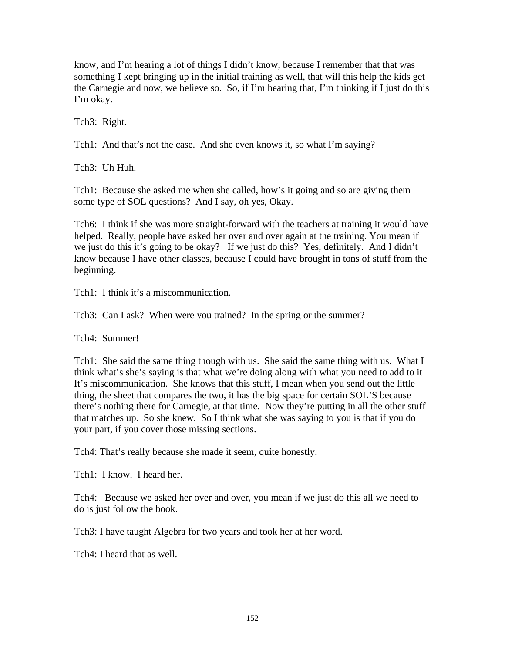know, and I'm hearing a lot of things I didn't know, because I remember that that was something I kept bringing up in the initial training as well, that will this help the kids get the Carnegie and now, we believe so. So, if I'm hearing that, I'm thinking if I just do this I'm okay.

Tch3: Right.

Tch1: And that's not the case. And she even knows it, so what I'm saying?

Tch3: Uh Huh.

Tch1: Because she asked me when she called, how's it going and so are giving them some type of SOL questions? And I say, oh yes, Okay.

Tch6: I think if she was more straight-forward with the teachers at training it would have helped. Really, people have asked her over and over again at the training. You mean if we just do this it's going to be okay? If we just do this? Yes, definitely. And I didn't know because I have other classes, because I could have brought in tons of stuff from the beginning.

Tch1: I think it's a miscommunication.

Tch3: Can I ask? When were you trained? In the spring or the summer?

Tch4: Summer!

Tch1: She said the same thing though with us. She said the same thing with us. What I think what's she's saying is that what we're doing along with what you need to add to it It's miscommunication. She knows that this stuff, I mean when you send out the little thing, the sheet that compares the two, it has the big space for certain SOL'S because there's nothing there for Carnegie, at that time. Now they're putting in all the other stuff that matches up. So she knew. So I think what she was saying to you is that if you do your part, if you cover those missing sections.

Tch4: That's really because she made it seem, quite honestly.

Tch1: I know. I heard her.

Tch4: Because we asked her over and over, you mean if we just do this all we need to do is just follow the book.

Tch3: I have taught Algebra for two years and took her at her word.

Tch4: I heard that as well.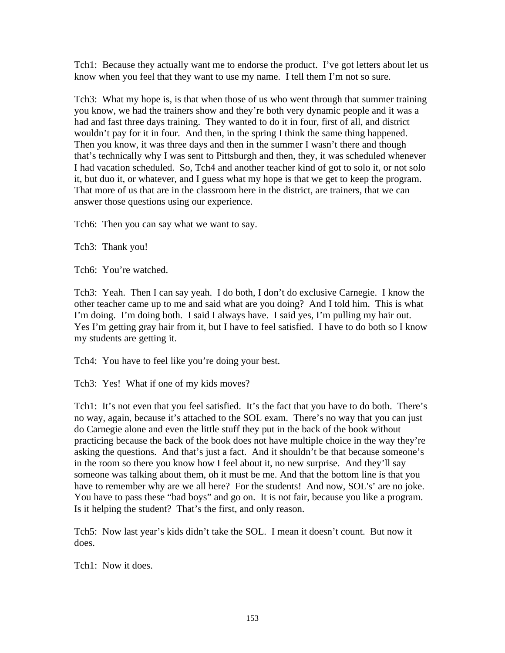Tch1: Because they actually want me to endorse the product. I've got letters about let us know when you feel that they want to use my name. I tell them I'm not so sure.

Tch3: What my hope is, is that when those of us who went through that summer training you know, we had the trainers show and they're both very dynamic people and it was a had and fast three days training. They wanted to do it in four, first of all, and district wouldn't pay for it in four. And then, in the spring I think the same thing happened. Then you know, it was three days and then in the summer I wasn't there and though that's technically why I was sent to Pittsburgh and then, they, it was scheduled whenever I had vacation scheduled. So, Tch4 and another teacher kind of got to solo it, or not solo it, but duo it, or whatever, and I guess what my hope is that we get to keep the program. That more of us that are in the classroom here in the district, are trainers, that we can answer those questions using our experience.

Tch6: Then you can say what we want to say.

Tch3: Thank you!

Tch6: You're watched.

Tch3: Yeah. Then I can say yeah. I do both, I don't do exclusive Carnegie. I know the other teacher came up to me and said what are you doing? And I told him. This is what I'm doing. I'm doing both. I said I always have. I said yes, I'm pulling my hair out. Yes I'm getting gray hair from it, but I have to feel satisfied. I have to do both so I know my students are getting it.

Tch4: You have to feel like you're doing your best.

Tch3: Yes! What if one of my kids moves?

Tch1: It's not even that you feel satisfied. It's the fact that you have to do both. There's no way, again, because it's attached to the SOL exam. There's no way that you can just do Carnegie alone and even the little stuff they put in the back of the book without practicing because the back of the book does not have multiple choice in the way they're asking the questions. And that's just a fact. And it shouldn't be that because someone's in the room so there you know how I feel about it, no new surprise. And they'll say someone was talking about them, oh it must be me. And that the bottom line is that you have to remember why are we all here? For the students! And now, SOL's' are no joke. You have to pass these "bad boys" and go on. It is not fair, because you like a program. Is it helping the student? That's the first, and only reason.

Tch5: Now last year's kids didn't take the SOL. I mean it doesn't count. But now it does.

Tch1: Now it does.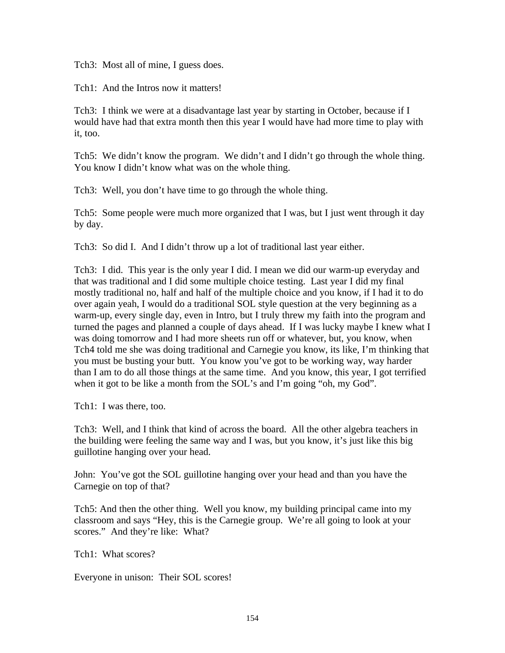Tch3: Most all of mine, I guess does.

Tch1: And the Intros now it matters!

Tch3: I think we were at a disadvantage last year by starting in October, because if I would have had that extra month then this year I would have had more time to play with it, too.

Tch5: We didn't know the program. We didn't and I didn't go through the whole thing. You know I didn't know what was on the whole thing.

Tch3: Well, you don't have time to go through the whole thing.

Tch5: Some people were much more organized that I was, but I just went through it day by day.

Tch3: So did I. And I didn't throw up a lot of traditional last year either.

Tch3: I did. This year is the only year I did. I mean we did our warm-up everyday and that was traditional and I did some multiple choice testing. Last year I did my final mostly traditional no, half and half of the multiple choice and you know, if I had it to do over again yeah, I would do a traditional SOL style question at the very beginning as a warm-up, every single day, even in Intro, but I truly threw my faith into the program and turned the pages and planned a couple of days ahead. If I was lucky maybe I knew what I was doing tomorrow and I had more sheets run off or whatever, but, you know, when Tch4 told me she was doing traditional and Carnegie you know, its like, I'm thinking that you must be busting your butt. You know you've got to be working way, way harder than I am to do all those things at the same time. And you know, this year, I got terrified when it got to be like a month from the SOL's and I'm going "oh, my God".

Tch1: I was there, too.

Tch3: Well, and I think that kind of across the board. All the other algebra teachers in the building were feeling the same way and I was, but you know, it's just like this big guillotine hanging over your head.

John: You've got the SOL guillotine hanging over your head and than you have the Carnegie on top of that?

Tch5: And then the other thing. Well you know, my building principal came into my classroom and says "Hey, this is the Carnegie group. We're all going to look at your scores." And they're like: What?

Tch1: What scores?

Everyone in unison: Their SOL scores!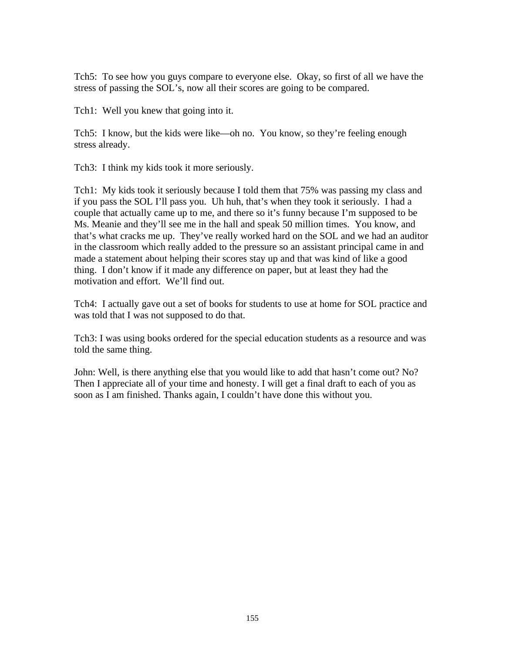Tch5: To see how you guys compare to everyone else. Okay, so first of all we have the stress of passing the SOL's, now all their scores are going to be compared.

Tch1: Well you knew that going into it.

Tch5: I know, but the kids were like—oh no. You know, so they're feeling enough stress already.

Tch3: I think my kids took it more seriously.

Tch1: My kids took it seriously because I told them that 75% was passing my class and if you pass the SOL I'll pass you. Uh huh, that's when they took it seriously. I had a couple that actually came up to me, and there so it's funny because I'm supposed to be Ms. Meanie and they'll see me in the hall and speak 50 million times. You know, and that's what cracks me up. They've really worked hard on the SOL and we had an auditor in the classroom which really added to the pressure so an assistant principal came in and made a statement about helping their scores stay up and that was kind of like a good thing. I don't know if it made any difference on paper, but at least they had the motivation and effort. We'll find out.

Tch4: I actually gave out a set of books for students to use at home for SOL practice and was told that I was not supposed to do that.

Tch3: I was using books ordered for the special education students as a resource and was told the same thing.

John: Well, is there anything else that you would like to add that hasn't come out? No? Then I appreciate all of your time and honesty. I will get a final draft to each of you as soon as I am finished. Thanks again, I couldn't have done this without you.